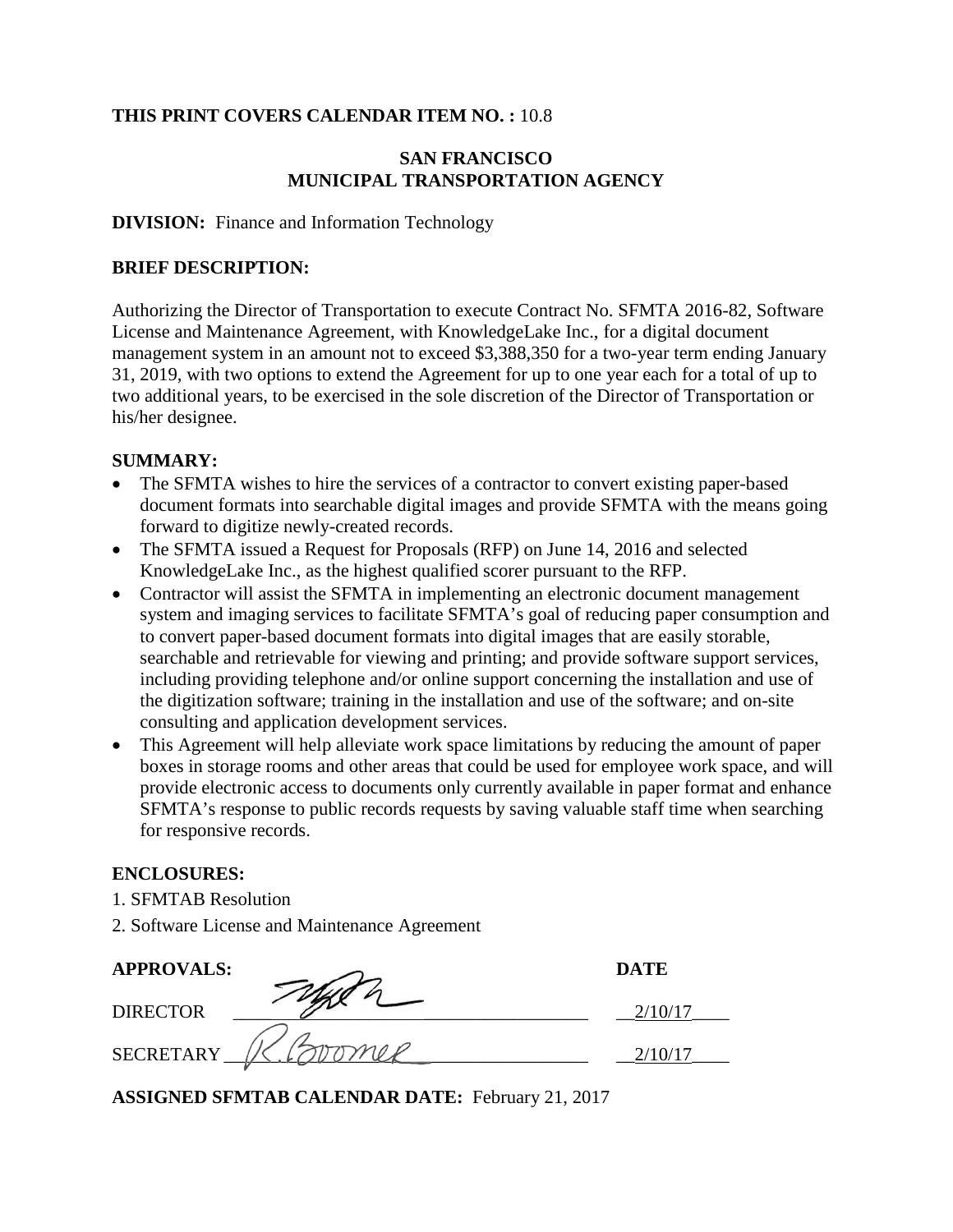#### **THIS PRINT COVERS CALENDAR ITEM NO. :** 10.8

### **SAN FRANCISCO MUNICIPAL TRANSPORTATION AGENCY**

#### **DIVISION:** Finance and Information Technology

#### **BRIEF DESCRIPTION:**

Authorizing the Director of Transportation to execute Contract No. SFMTA 2016-82, Software License and Maintenance Agreement, with KnowledgeLake Inc., for a digital document management system in an amount not to exceed \$3,388,350 for a two-year term ending January 31, 2019, with two options to extend the Agreement for up to one year each for a total of up to two additional years, to be exercised in the sole discretion of the Director of Transportation or his/her designee.

#### **SUMMARY:**

- The SFMTA wishes to hire the services of a contractor to convert existing paper-based document formats into searchable digital images and provide SFMTA with the means going forward to digitize newly-created records.
- The SFMTA issued a Request for Proposals (RFP) on June 14, 2016 and selected KnowledgeLake Inc., as the highest qualified scorer pursuant to the RFP.
- Contractor will assist the SFMTA in implementing an electronic document management system and imaging services to facilitate SFMTA's goal of reducing paper consumption and to convert paper-based document formats into digital images that are easily storable, searchable and retrievable for viewing and printing; and provide software support services, including providing telephone and/or online support concerning the installation and use of the digitization software; training in the installation and use of the software; and on-site consulting and application development services.
- This Agreement will help alleviate work space limitations by reducing the amount of paper boxes in storage rooms and other areas that could be used for employee work space, and will provide electronic access to documents only currently available in paper format and enhance SFMTA's response to public records requests by saving valuable staff time when searching for responsive records.

#### **ENCLOSURES:**

- 1. SFMTAB Resolution
- 2. Software License and Maintenance Agreement

| <b>APPROVALS:</b> | <b>DATE</b> |
|-------------------|-------------|
| <b>DIRECTOR</b>   |             |
| <b>SECRETARY</b>  |             |

**ASSIGNED SFMTAB CALENDAR DATE:** February 21, 2017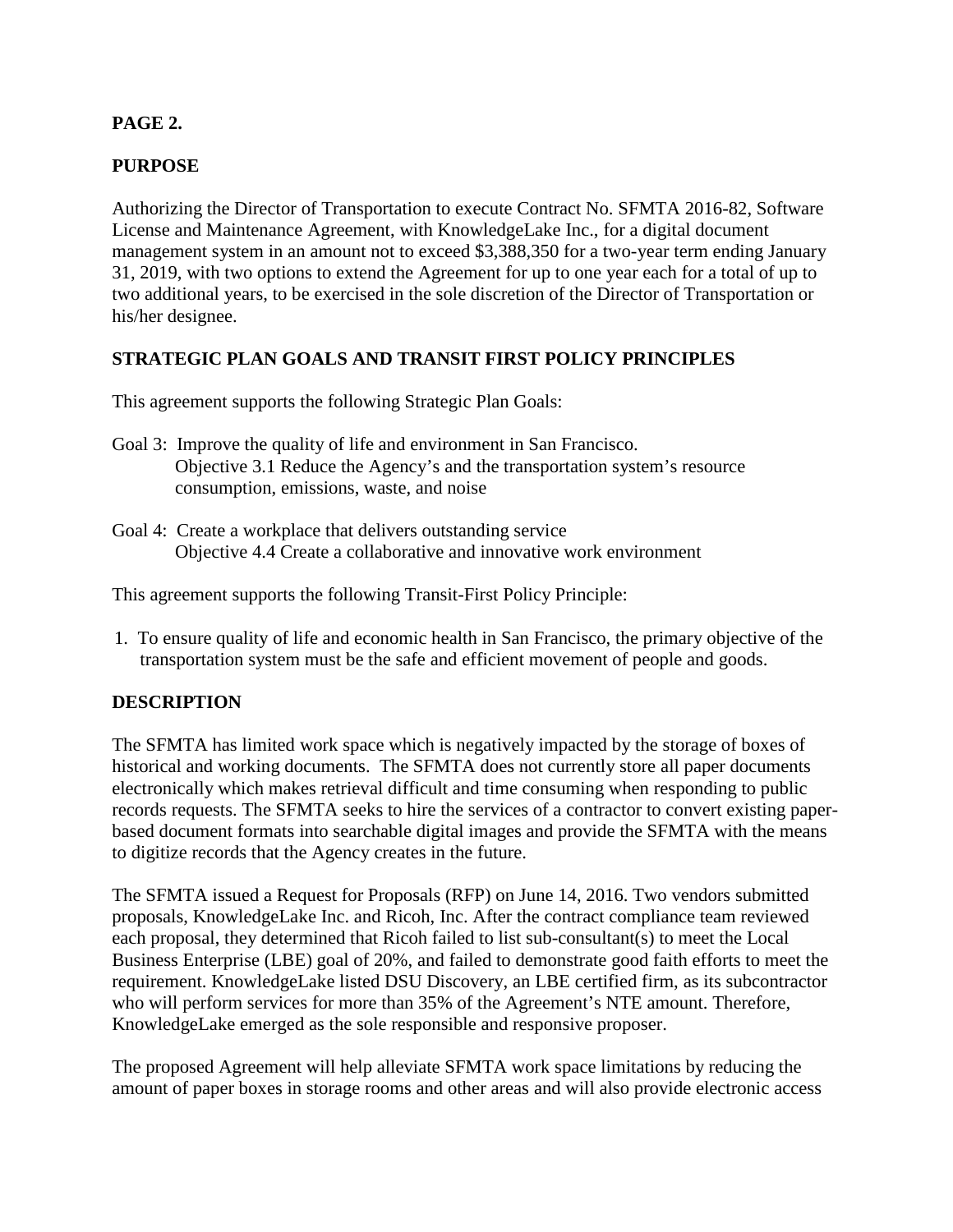## **PAGE 2.**

## **PURPOSE**

Authorizing the Director of Transportation to execute Contract No. SFMTA 2016-82, Software License and Maintenance Agreement, with KnowledgeLake Inc., for a digital document management system in an amount not to exceed \$3,388,350 for a two-year term ending January 31, 2019, with two options to extend the Agreement for up to one year each for a total of up to two additional years, to be exercised in the sole discretion of the Director of Transportation or his/her designee.

#### **STRATEGIC PLAN GOALS AND TRANSIT FIRST POLICY PRINCIPLES**

This agreement supports the following Strategic Plan Goals:

- Goal 3: Improve the quality of life and environment in San Francisco. Objective 3.1 Reduce the Agency's and the transportation system's resource consumption, emissions, waste, and noise
- Goal 4: Create a workplace that delivers outstanding service Objective 4.4 Create a collaborative and innovative work environment

This agreement supports the following Transit-First Policy Principle:

 1. To ensure quality of life and economic health in San Francisco, the primary objective of the transportation system must be the safe and efficient movement of people and goods.

#### **DESCRIPTION**

The SFMTA has limited work space which is negatively impacted by the storage of boxes of historical and working documents. The SFMTA does not currently store all paper documents electronically which makes retrieval difficult and time consuming when responding to public records requests. The SFMTA seeks to hire the services of a contractor to convert existing paperbased document formats into searchable digital images and provide the SFMTA with the means to digitize records that the Agency creates in the future.

The SFMTA issued a Request for Proposals (RFP) on June 14, 2016. Two vendors submitted proposals, KnowledgeLake Inc. and Ricoh, Inc. After the contract compliance team reviewed each proposal, they determined that Ricoh failed to list sub-consultant(s) to meet the Local Business Enterprise (LBE) goal of 20%, and failed to demonstrate good faith efforts to meet the requirement. KnowledgeLake listed DSU Discovery, an LBE certified firm, as its subcontractor who will perform services for more than 35% of the Agreement's NTE amount. Therefore, KnowledgeLake emerged as the sole responsible and responsive proposer.

The proposed Agreement will help alleviate SFMTA work space limitations by reducing the amount of paper boxes in storage rooms and other areas and will also provide electronic access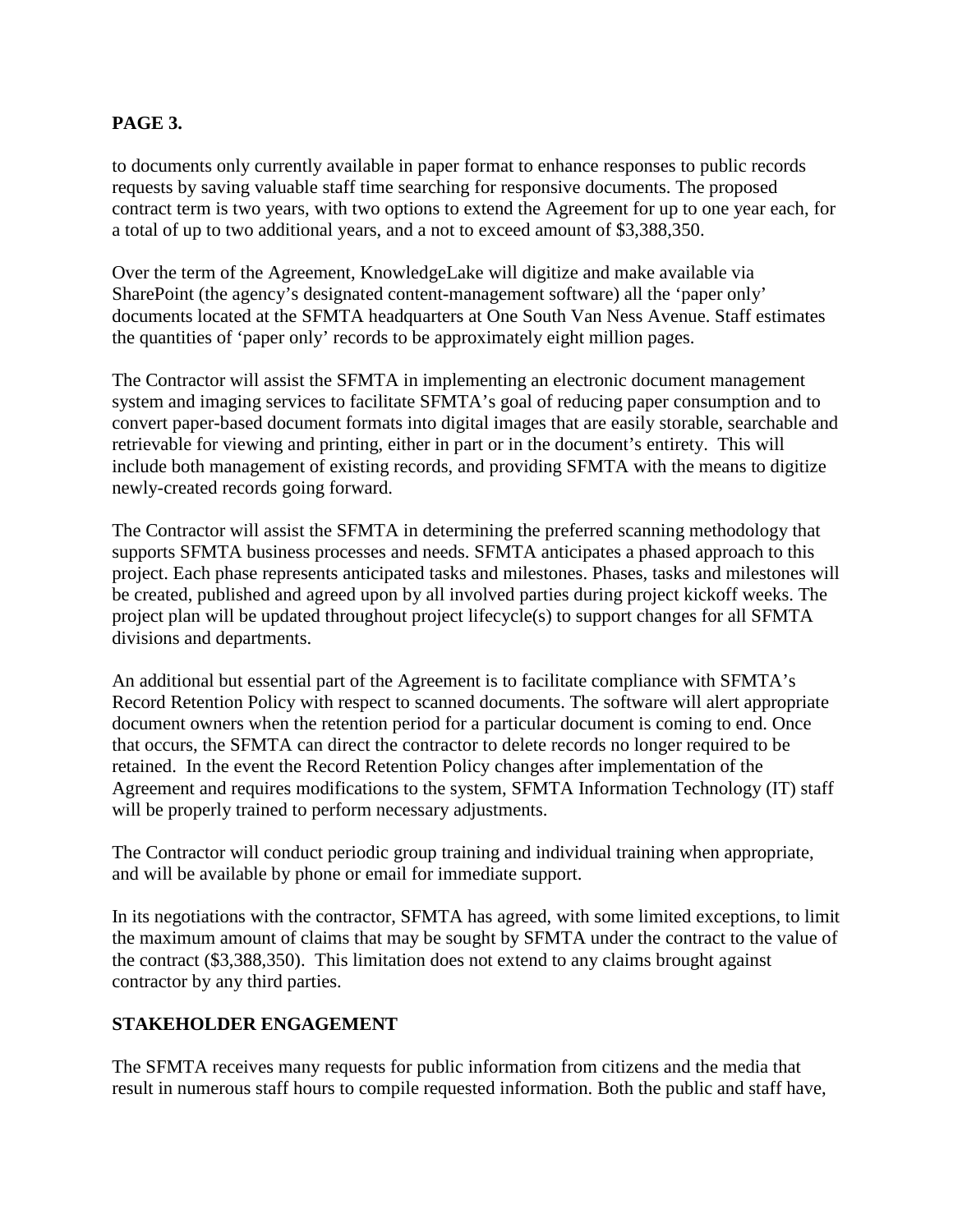### **PAGE 3.**

to documents only currently available in paper format to enhance responses to public records requests by saving valuable staff time searching for responsive documents. The proposed contract term is two years, with two options to extend the Agreement for up to one year each, for a total of up to two additional years, and a not to exceed amount of \$3,388,350.

Over the term of the Agreement, KnowledgeLake will digitize and make available via SharePoint (the agency's designated content-management software) all the 'paper only' documents located at the SFMTA headquarters at One South Van Ness Avenue. Staff estimates the quantities of 'paper only' records to be approximately eight million pages.

The Contractor will assist the SFMTA in implementing an electronic document management system and imaging services to facilitate SFMTA's goal of reducing paper consumption and to convert paper-based document formats into digital images that are easily storable, searchable and retrievable for viewing and printing, either in part or in the document's entirety. This will include both management of existing records, and providing SFMTA with the means to digitize newly-created records going forward.

The Contractor will assist the SFMTA in determining the preferred scanning methodology that supports SFMTA business processes and needs. SFMTA anticipates a phased approach to this project. Each phase represents anticipated tasks and milestones. Phases, tasks and milestones will be created, published and agreed upon by all involved parties during project kickoff weeks. The project plan will be updated throughout project lifecycle(s) to support changes for all SFMTA divisions and departments.

An additional but essential part of the Agreement is to facilitate compliance with SFMTA's Record Retention Policy with respect to scanned documents. The software will alert appropriate document owners when the retention period for a particular document is coming to end. Once that occurs, the SFMTA can direct the contractor to delete records no longer required to be retained. In the event the Record Retention Policy changes after implementation of the Agreement and requires modifications to the system, SFMTA Information Technology (IT) staff will be properly trained to perform necessary adjustments.

The Contractor will conduct periodic group training and individual training when appropriate, and will be available by phone or email for immediate support.

In its negotiations with the contractor, SFMTA has agreed, with some limited exceptions, to limit the maximum amount of claims that may be sought by SFMTA under the contract to the value of the contract (\$3,388,350). This limitation does not extend to any claims brought against contractor by any third parties.

#### **STAKEHOLDER ENGAGEMENT**

The SFMTA receives many requests for public information from citizens and the media that result in numerous staff hours to compile requested information. Both the public and staff have,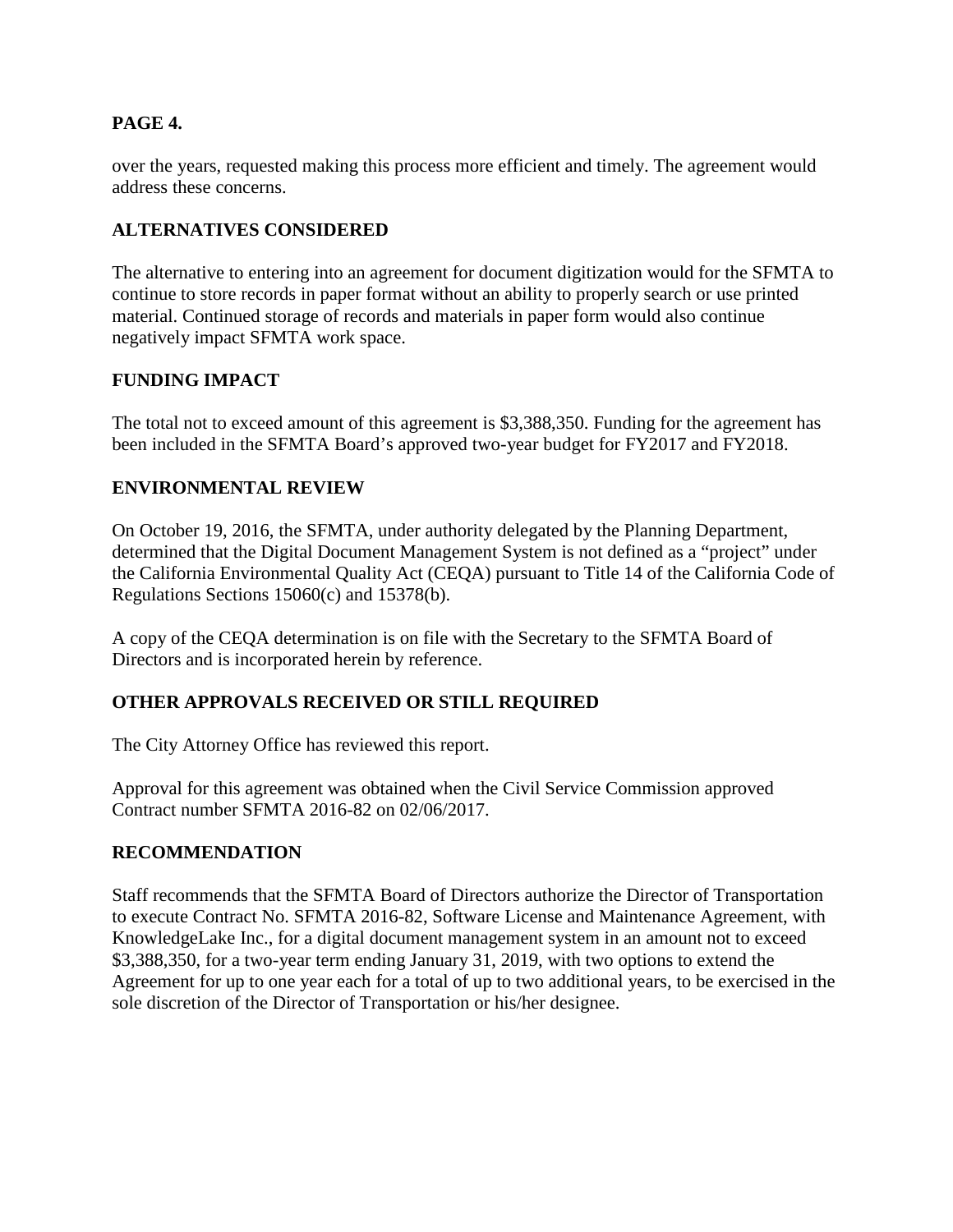### **PAGE 4.**

over the years, requested making this process more efficient and timely. The agreement would address these concerns.

## **ALTERNATIVES CONSIDERED**

The alternative to entering into an agreement for document digitization would for the SFMTA to continue to store records in paper format without an ability to properly search or use printed material. Continued storage of records and materials in paper form would also continue negatively impact SFMTA work space.

## **FUNDING IMPACT**

The total not to exceed amount of this agreement is \$3,388,350. Funding for the agreement has been included in the SFMTA Board's approved two-year budget for FY2017 and FY2018.

#### **ENVIRONMENTAL REVIEW**

On October 19, 2016, the SFMTA, under authority delegated by the Planning Department, determined that the Digital Document Management System is not defined as a "project" under the California Environmental Quality Act (CEQA) pursuant to Title 14 of the California Code of Regulations Sections 15060(c) and 15378(b).

A copy of the CEQA determination is on file with the Secretary to the SFMTA Board of Directors and is incorporated herein by reference.

#### **OTHER APPROVALS RECEIVED OR STILL REQUIRED**

The City Attorney Office has reviewed this report.

Approval for this agreement was obtained when the Civil Service Commission approved Contract number SFMTA 2016-82 on 02/06/2017.

#### **RECOMMENDATION**

Staff recommends that the SFMTA Board of Directors authorize the Director of Transportation to execute Contract No. SFMTA 2016-82, Software License and Maintenance Agreement, with KnowledgeLake Inc., for a digital document management system in an amount not to exceed \$3,388,350, for a two-year term ending January 31, 2019, with two options to extend the Agreement for up to one year each for a total of up to two additional years, to be exercised in the sole discretion of the Director of Transportation or his/her designee.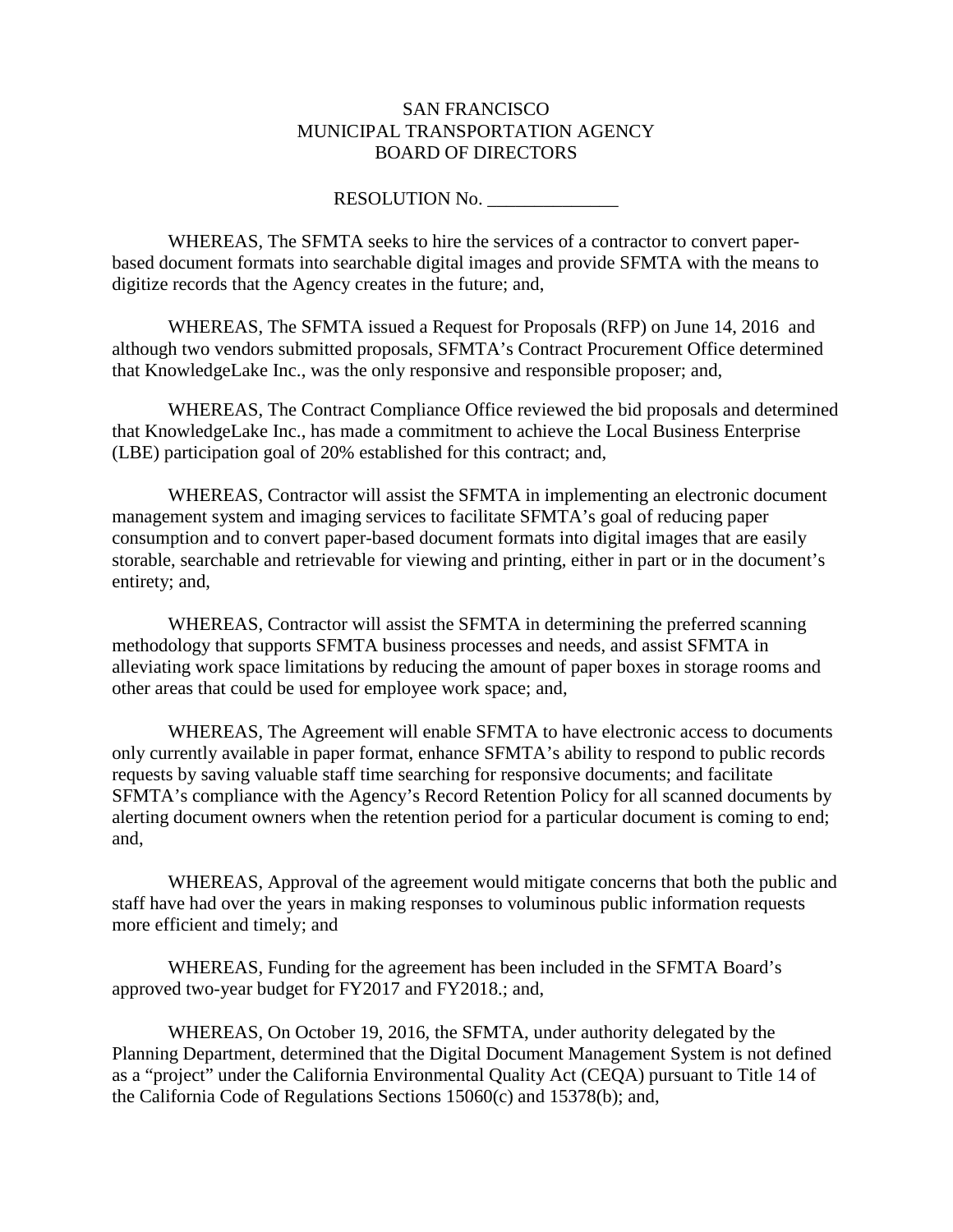#### SAN FRANCISCO MUNICIPAL TRANSPORTATION AGENCY BOARD OF DIRECTORS

RESOLUTION No.

WHEREAS, The SFMTA seeks to hire the services of a contractor to convert paperbased document formats into searchable digital images and provide SFMTA with the means to digitize records that the Agency creates in the future; and,

WHEREAS, The SFMTA issued a Request for Proposals (RFP) on June 14, 2016 and although two vendors submitted proposals, SFMTA's Contract Procurement Office determined that KnowledgeLake Inc., was the only responsive and responsible proposer; and,

WHEREAS, The Contract Compliance Office reviewed the bid proposals and determined that KnowledgeLake Inc., has made a commitment to achieve the Local Business Enterprise (LBE) participation goal of 20% established for this contract; and,

WHEREAS, Contractor will assist the SFMTA in implementing an electronic document management system and imaging services to facilitate SFMTA's goal of reducing paper consumption and to convert paper-based document formats into digital images that are easily storable, searchable and retrievable for viewing and printing, either in part or in the document's entirety; and,

WHEREAS, Contractor will assist the SFMTA in determining the preferred scanning methodology that supports SFMTA business processes and needs, and assist SFMTA in alleviating work space limitations by reducing the amount of paper boxes in storage rooms and other areas that could be used for employee work space; and,

WHEREAS, The Agreement will enable SFMTA to have electronic access to documents only currently available in paper format, enhance SFMTA's ability to respond to public records requests by saving valuable staff time searching for responsive documents; and facilitate SFMTA's compliance with the Agency's Record Retention Policy for all scanned documents by alerting document owners when the retention period for a particular document is coming to end; and,

WHEREAS, Approval of the agreement would mitigate concerns that both the public and staff have had over the years in making responses to voluminous public information requests more efficient and timely; and

WHEREAS, Funding for the agreement has been included in the SFMTA Board's approved two-year budget for FY2017 and FY2018.; and,

WHEREAS, On October 19, 2016, the SFMTA, under authority delegated by the Planning Department, determined that the Digital Document Management System is not defined as a "project" under the California Environmental Quality Act (CEQA) pursuant to Title 14 of the California Code of Regulations Sections 15060(c) and 15378(b); and,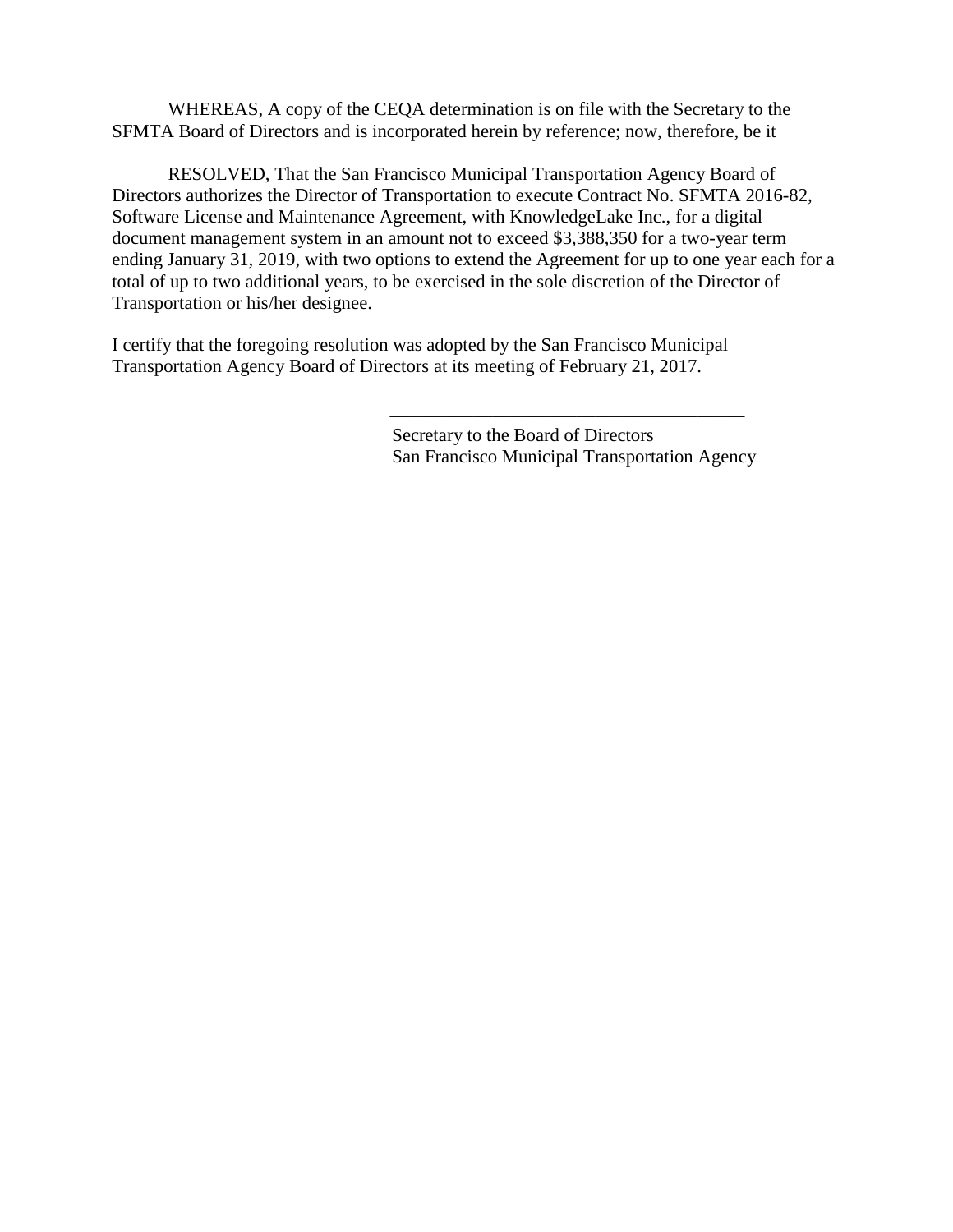WHEREAS, A copy of the CEQA determination is on file with the Secretary to the SFMTA Board of Directors and is incorporated herein by reference; now, therefore, be it

RESOLVED, That the San Francisco Municipal Transportation Agency Board of Directors authorizes the Director of Transportation to execute Contract No. SFMTA 2016-82, Software License and Maintenance Agreement, with KnowledgeLake Inc., for a digital document management system in an amount not to exceed \$3,388,350 for a two-year term ending January 31, 2019, with two options to extend the Agreement for up to one year each for a total of up to two additional years, to be exercised in the sole discretion of the Director of Transportation or his/her designee.

I certify that the foregoing resolution was adopted by the San Francisco Municipal Transportation Agency Board of Directors at its meeting of February 21, 2017.

> Secretary to the Board of Directors San Francisco Municipal Transportation Agency

\_\_\_\_\_\_\_\_\_\_\_\_\_\_\_\_\_\_\_\_\_\_\_\_\_\_\_\_\_\_\_\_\_\_\_\_\_\_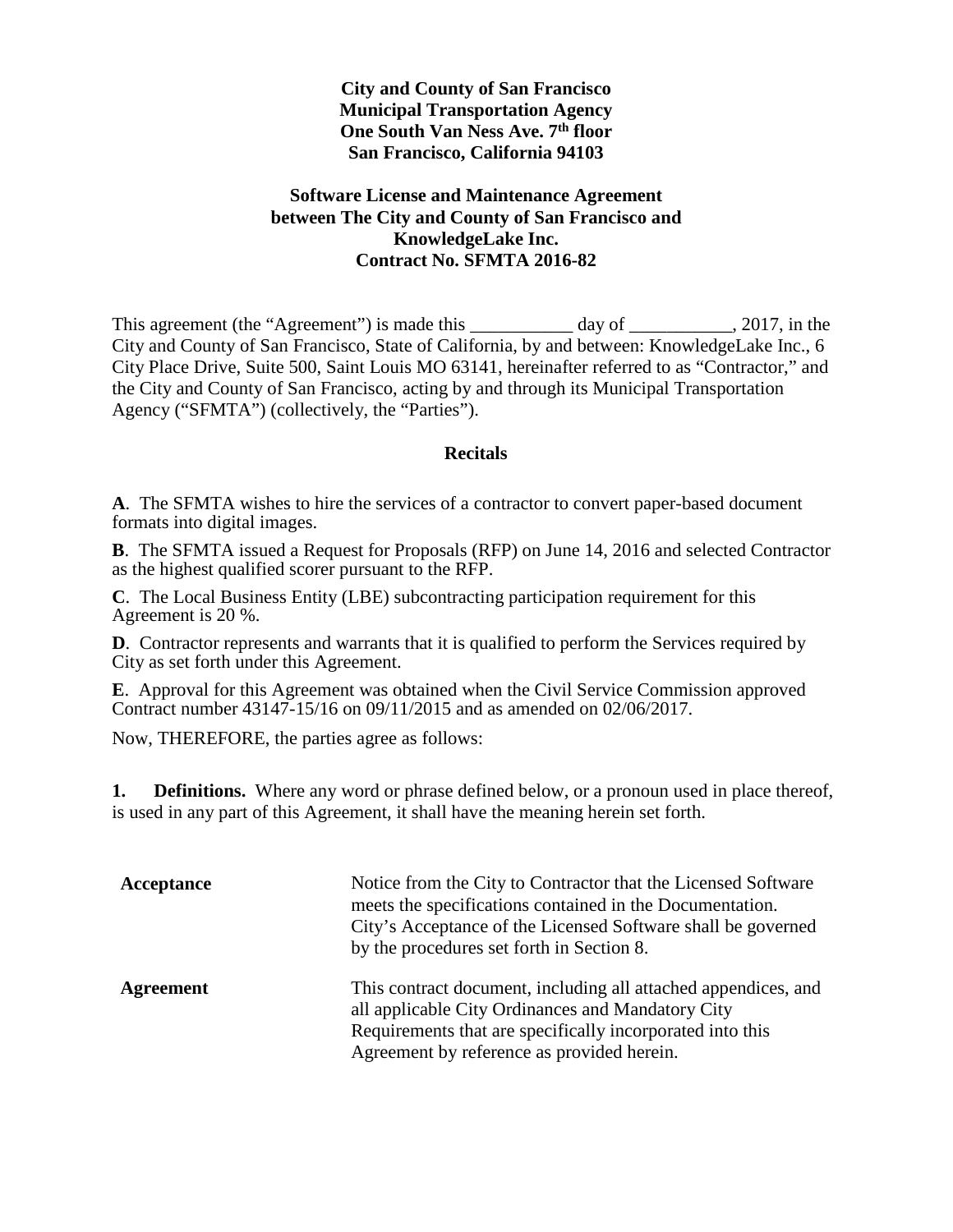#### **City and County of San Francisco Municipal Transportation Agency One South Van Ness Ave. 7th floor San Francisco, California 94103**

#### **Software License and Maintenance Agreement between The City and County of San Francisco and KnowledgeLake Inc. Contract No. SFMTA 2016-82**

This agreement (the "Agreement") is made this \_\_\_\_\_\_\_\_\_\_ day of \_\_\_\_\_\_\_\_\_, 2017, in the City and County of San Francisco, State of California, by and between: KnowledgeLake Inc., 6 City Place Drive, Suite 500, Saint Louis MO 63141, hereinafter referred to as "Contractor," and the City and County of San Francisco, acting by and through its Municipal Transportation Agency ("SFMTA") (collectively, the "Parties").

#### **Recitals**

**A**. The SFMTA wishes to hire the services of a contractor to convert paper-based document formats into digital images.

**B**. The SFMTA issued a Request for Proposals (RFP) on June 14, 2016 and selected Contractor as the highest qualified scorer pursuant to the RFP.

**C**. The Local Business Entity (LBE) subcontracting participation requirement for this Agreement is 20 %.

**D**. Contractor represents and warrants that it is qualified to perform the Services required by City as set forth under this Agreement.

**E**. Approval for this Agreement was obtained when the Civil Service Commission approved Contract number 43147-15/16 on 09/11/2015 and as amended on 02/06/2017.

Now, THEREFORE, the parties agree as follows:

**1. Definitions.** Where any word or phrase defined below, or a pronoun used in place thereof, is used in any part of this Agreement, it shall have the meaning herein set forth.

| Acceptance | Notice from the City to Contractor that the Licensed Software<br>meets the specifications contained in the Documentation.<br>City's Acceptance of the Licensed Software shall be governed<br>by the procedures set forth in Section 8. |
|------------|----------------------------------------------------------------------------------------------------------------------------------------------------------------------------------------------------------------------------------------|
| Agreement  | This contract document, including all attached appendices, and<br>all applicable City Ordinances and Mandatory City<br>Requirements that are specifically incorporated into this<br>Agreement by reference as provided herein.         |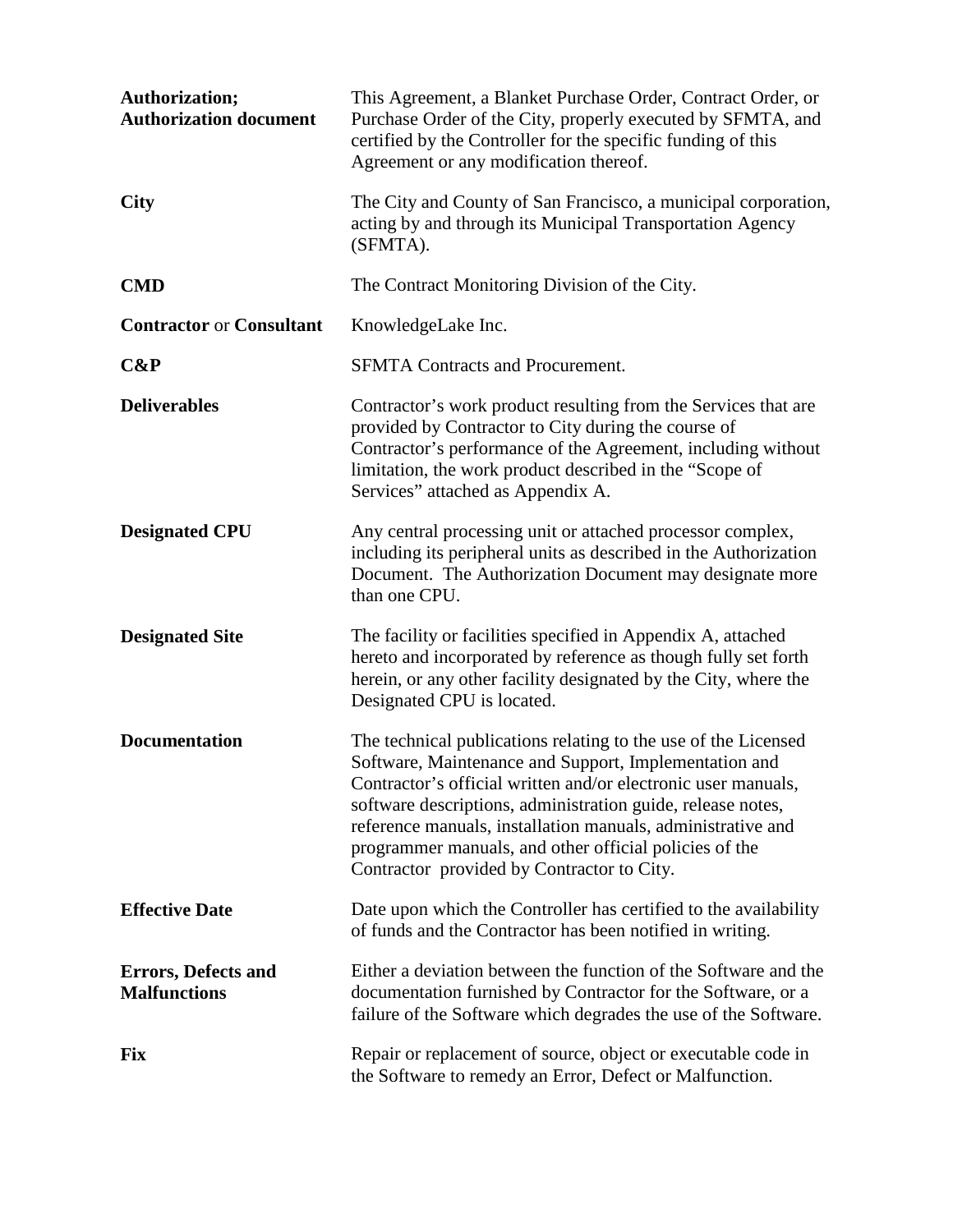| Authorization;<br><b>Authorization document</b>   | This Agreement, a Blanket Purchase Order, Contract Order, or<br>Purchase Order of the City, properly executed by SFMTA, and<br>certified by the Controller for the specific funding of this<br>Agreement or any modification thereof.                                                                                                                                                                                          |
|---------------------------------------------------|--------------------------------------------------------------------------------------------------------------------------------------------------------------------------------------------------------------------------------------------------------------------------------------------------------------------------------------------------------------------------------------------------------------------------------|
| <b>City</b>                                       | The City and County of San Francisco, a municipal corporation,<br>acting by and through its Municipal Transportation Agency<br>(SFMTA).                                                                                                                                                                                                                                                                                        |
| <b>CMD</b>                                        | The Contract Monitoring Division of the City.                                                                                                                                                                                                                                                                                                                                                                                  |
| <b>Contractor or Consultant</b>                   | KnowledgeLake Inc.                                                                                                                                                                                                                                                                                                                                                                                                             |
| C&P                                               | <b>SFMTA Contracts and Procurement.</b>                                                                                                                                                                                                                                                                                                                                                                                        |
| <b>Deliverables</b>                               | Contractor's work product resulting from the Services that are<br>provided by Contractor to City during the course of<br>Contractor's performance of the Agreement, including without<br>limitation, the work product described in the "Scope of<br>Services" attached as Appendix A.                                                                                                                                          |
| <b>Designated CPU</b>                             | Any central processing unit or attached processor complex,<br>including its peripheral units as described in the Authorization<br>Document. The Authorization Document may designate more<br>than one CPU.                                                                                                                                                                                                                     |
| <b>Designated Site</b>                            | The facility or facilities specified in Appendix A, attached<br>hereto and incorporated by reference as though fully set forth<br>herein, or any other facility designated by the City, where the<br>Designated CPU is located.                                                                                                                                                                                                |
| <b>Documentation</b>                              | The technical publications relating to the use of the Licensed<br>Software, Maintenance and Support, Implementation and<br>Contractor's official written and/or electronic user manuals,<br>software descriptions, administration guide, release notes,<br>reference manuals, installation manuals, administrative and<br>programmer manuals, and other official policies of the<br>Contractor provided by Contractor to City. |
| <b>Effective Date</b>                             | Date upon which the Controller has certified to the availability<br>of funds and the Contractor has been notified in writing.                                                                                                                                                                                                                                                                                                  |
| <b>Errors, Defects and</b><br><b>Malfunctions</b> | Either a deviation between the function of the Software and the<br>documentation furnished by Contractor for the Software, or a<br>failure of the Software which degrades the use of the Software.                                                                                                                                                                                                                             |
| <b>Fix</b>                                        | Repair or replacement of source, object or executable code in<br>the Software to remedy an Error, Defect or Malfunction.                                                                                                                                                                                                                                                                                                       |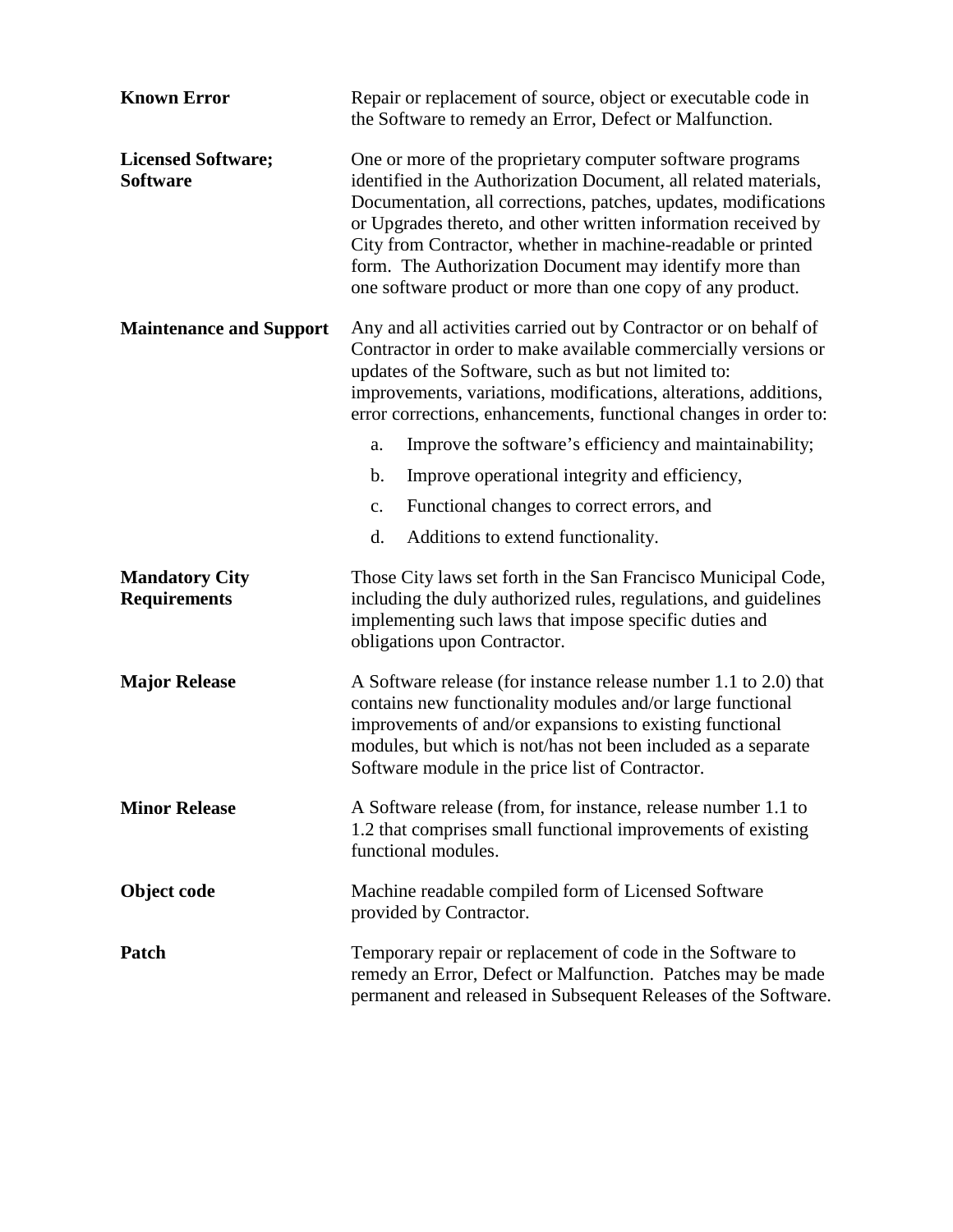| <b>Known Error</b>                           | Repair or replacement of source, object or executable code in<br>the Software to remedy an Error, Defect or Malfunction.                                                                                                                                                                                                                                                                                                                                    |
|----------------------------------------------|-------------------------------------------------------------------------------------------------------------------------------------------------------------------------------------------------------------------------------------------------------------------------------------------------------------------------------------------------------------------------------------------------------------------------------------------------------------|
| <b>Licensed Software;</b><br><b>Software</b> | One or more of the proprietary computer software programs<br>identified in the Authorization Document, all related materials,<br>Documentation, all corrections, patches, updates, modifications<br>or Upgrades thereto, and other written information received by<br>City from Contractor, whether in machine-readable or printed<br>form. The Authorization Document may identify more than<br>one software product or more than one copy of any product. |
| <b>Maintenance and Support</b>               | Any and all activities carried out by Contractor or on behalf of<br>Contractor in order to make available commercially versions or<br>updates of the Software, such as but not limited to:<br>improvements, variations, modifications, alterations, additions,<br>error corrections, enhancements, functional changes in order to:                                                                                                                          |
|                                              | Improve the software's efficiency and maintainability;<br>a.                                                                                                                                                                                                                                                                                                                                                                                                |
|                                              | Improve operational integrity and efficiency,<br>$\mathbf b$ .                                                                                                                                                                                                                                                                                                                                                                                              |
|                                              | Functional changes to correct errors, and<br>$\mathbf{c}$ .                                                                                                                                                                                                                                                                                                                                                                                                 |
|                                              | Additions to extend functionality.<br>d.                                                                                                                                                                                                                                                                                                                                                                                                                    |
| <b>Mandatory City</b><br><b>Requirements</b> | Those City laws set forth in the San Francisco Municipal Code,<br>including the duly authorized rules, regulations, and guidelines<br>implementing such laws that impose specific duties and<br>obligations upon Contractor.                                                                                                                                                                                                                                |
| <b>Major Release</b>                         | A Software release (for instance release number 1.1 to 2.0) that<br>contains new functionality modules and/or large functional<br>improvements of and/or expansions to existing functional<br>modules, but which is not/has not been included as a separate<br>Software module in the price list of Contractor.                                                                                                                                             |
| <b>Minor Release</b>                         | A Software release (from, for instance, release number 1.1 to<br>1.2 that comprises small functional improvements of existing<br>functional modules.                                                                                                                                                                                                                                                                                                        |
| Object code                                  | Machine readable compiled form of Licensed Software<br>provided by Contractor.                                                                                                                                                                                                                                                                                                                                                                              |
| Patch                                        | Temporary repair or replacement of code in the Software to<br>remedy an Error, Defect or Malfunction. Patches may be made<br>permanent and released in Subsequent Releases of the Software.                                                                                                                                                                                                                                                                 |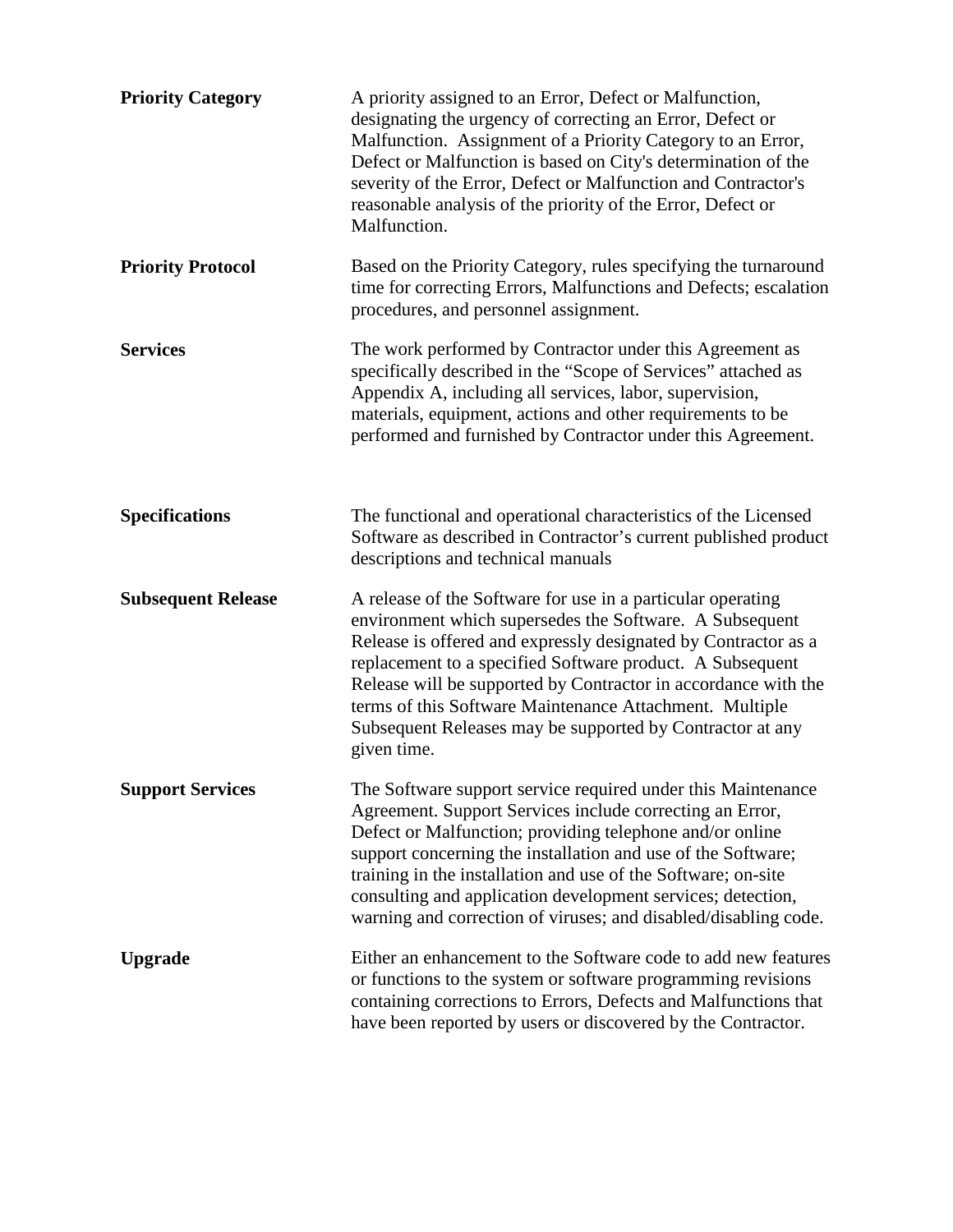| <b>Priority Category</b>  | A priority assigned to an Error, Defect or Malfunction,<br>designating the urgency of correcting an Error, Defect or<br>Malfunction. Assignment of a Priority Category to an Error,<br>Defect or Malfunction is based on City's determination of the<br>severity of the Error, Defect or Malfunction and Contractor's<br>reasonable analysis of the priority of the Error, Defect or<br>Malfunction.                                                           |
|---------------------------|----------------------------------------------------------------------------------------------------------------------------------------------------------------------------------------------------------------------------------------------------------------------------------------------------------------------------------------------------------------------------------------------------------------------------------------------------------------|
| <b>Priority Protocol</b>  | Based on the Priority Category, rules specifying the turnaround<br>time for correcting Errors, Malfunctions and Defects; escalation<br>procedures, and personnel assignment.                                                                                                                                                                                                                                                                                   |
| <b>Services</b>           | The work performed by Contractor under this Agreement as<br>specifically described in the "Scope of Services" attached as<br>Appendix A, including all services, labor, supervision,<br>materials, equipment, actions and other requirements to be<br>performed and furnished by Contractor under this Agreement.                                                                                                                                              |
| <b>Specifications</b>     | The functional and operational characteristics of the Licensed<br>Software as described in Contractor's current published product<br>descriptions and technical manuals                                                                                                                                                                                                                                                                                        |
| <b>Subsequent Release</b> | A release of the Software for use in a particular operating<br>environment which supersedes the Software. A Subsequent<br>Release is offered and expressly designated by Contractor as a<br>replacement to a specified Software product. A Subsequent<br>Release will be supported by Contractor in accordance with the<br>terms of this Software Maintenance Attachment. Multiple<br>Subsequent Releases may be supported by Contractor at any<br>given time. |
| <b>Support Services</b>   | The Software support service required under this Maintenance<br>Agreement. Support Services include correcting an Error,<br>Defect or Malfunction; providing telephone and/or online<br>support concerning the installation and use of the Software;<br>training in the installation and use of the Software; on-site<br>consulting and application development services; detection,<br>warning and correction of viruses; and disabled/disabling code.        |
| <b>Upgrade</b>            | Either an enhancement to the Software code to add new features<br>or functions to the system or software programming revisions<br>containing corrections to Errors, Defects and Malfunctions that<br>have been reported by users or discovered by the Contractor.                                                                                                                                                                                              |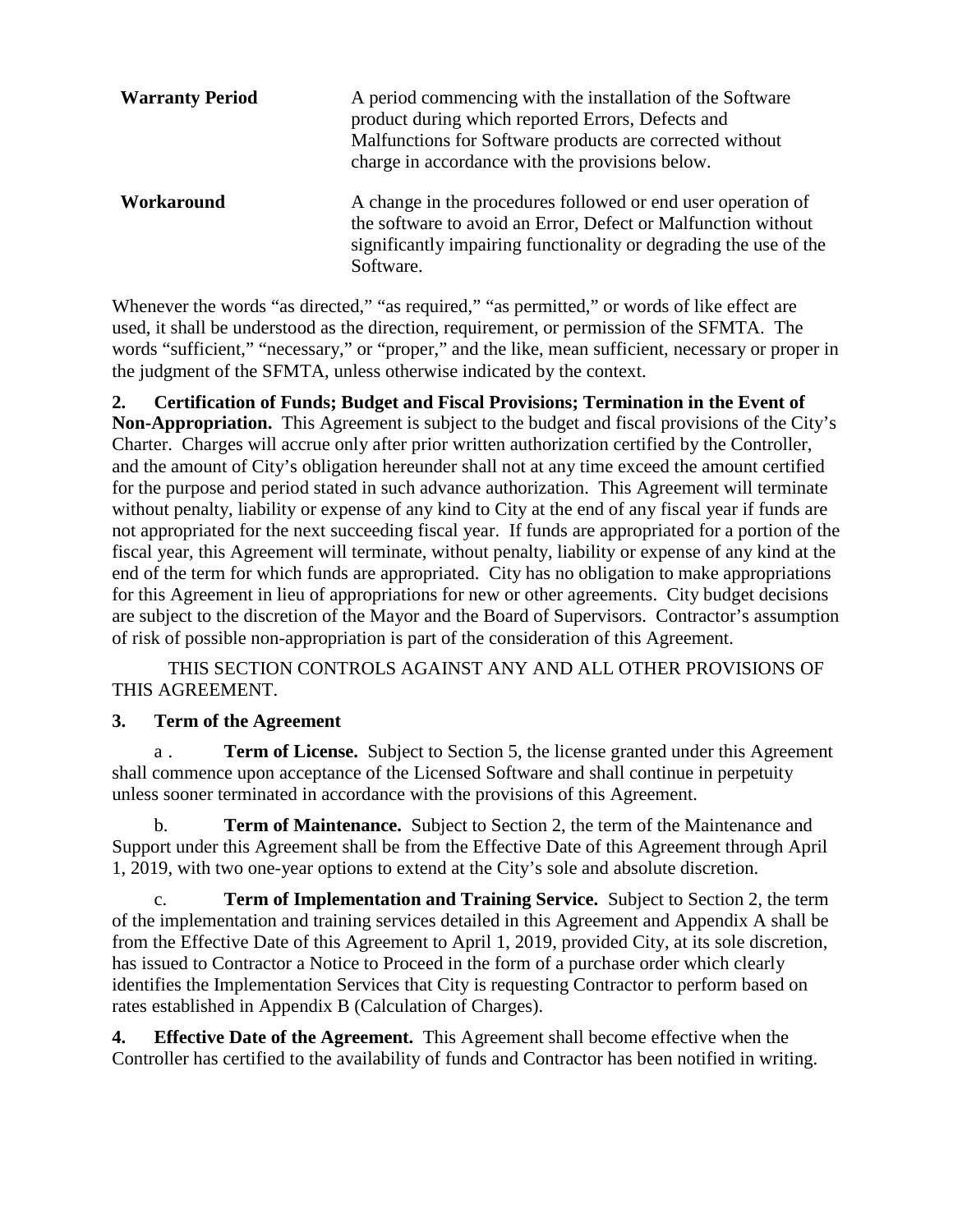| <b>Warranty Period</b> | A period commencing with the installation of the Software<br>product during which reported Errors, Defects and<br>Malfunctions for Software products are corrected without<br>charge in accordance with the provisions below. |
|------------------------|-------------------------------------------------------------------------------------------------------------------------------------------------------------------------------------------------------------------------------|
| Workaround             | A change in the procedures followed or end user operation of<br>the software to avoid an Error, Defect or Malfunction without<br>significantly impairing functionality or degrading the use of the<br>Software.               |

Whenever the words "as directed," "as required," "as permitted," or words of like effect are used, it shall be understood as the direction, requirement, or permission of the SFMTA. The words "sufficient," "necessary," or "proper," and the like, mean sufficient, necessary or proper in the judgment of the SFMTA, unless otherwise indicated by the context.

**2. Certification of Funds; Budget and Fiscal Provisions; Termination in the Event of Non-Appropriation.** This Agreement is subject to the budget and fiscal provisions of the City's Charter. Charges will accrue only after prior written authorization certified by the Controller, and the amount of City's obligation hereunder shall not at any time exceed the amount certified for the purpose and period stated in such advance authorization. This Agreement will terminate without penalty, liability or expense of any kind to City at the end of any fiscal year if funds are not appropriated for the next succeeding fiscal year. If funds are appropriated for a portion of the fiscal year, this Agreement will terminate, without penalty, liability or expense of any kind at the end of the term for which funds are appropriated. City has no obligation to make appropriations for this Agreement in lieu of appropriations for new or other agreements. City budget decisions are subject to the discretion of the Mayor and the Board of Supervisors. Contractor's assumption of risk of possible non-appropriation is part of the consideration of this Agreement.

THIS SECTION CONTROLS AGAINST ANY AND ALL OTHER PROVISIONS OF THIS AGREEMENT.

#### **3. Term of the Agreement**

a . **Term of License.** Subject to Section 5, the license granted under this Agreement shall commence upon acceptance of the Licensed Software and shall continue in perpetuity unless sooner terminated in accordance with the provisions of this Agreement.

b. **Term of Maintenance.** Subject to Section 2, the term of the Maintenance and Support under this Agreement shall be from the Effective Date of this Agreement through April 1, 2019, with two one-year options to extend at the City's sole and absolute discretion.

c. **Term of Implementation and Training Service.** Subject to Section 2, the term of the implementation and training services detailed in this Agreement and Appendix A shall be from the Effective Date of this Agreement to April 1, 2019, provided City, at its sole discretion, has issued to Contractor a Notice to Proceed in the form of a purchase order which clearly identifies the Implementation Services that City is requesting Contractor to perform based on rates established in Appendix B (Calculation of Charges).

**4. Effective Date of the Agreement.** This Agreement shall become effective when the Controller has certified to the availability of funds and Contractor has been notified in writing.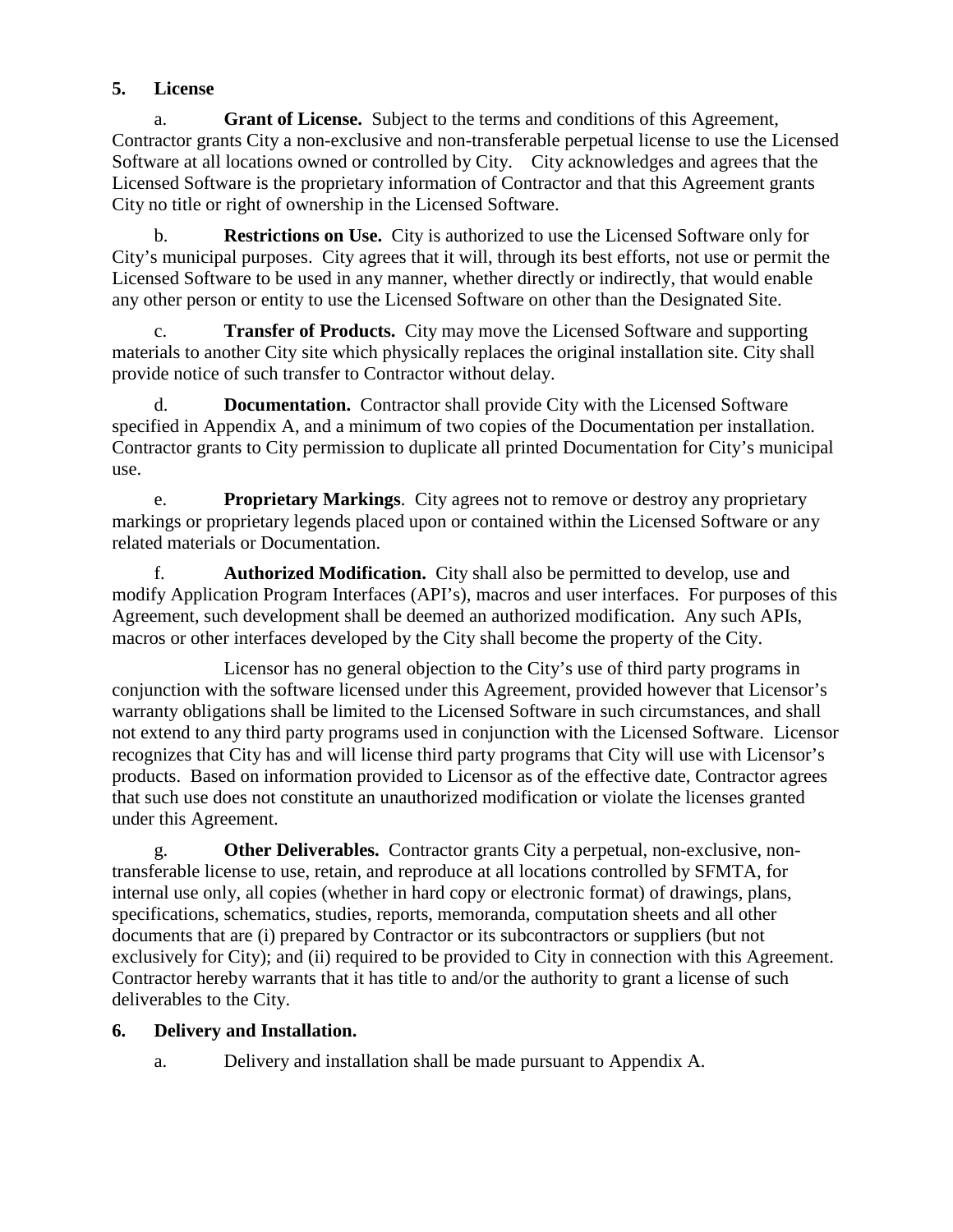## **5. License**

a. **Grant of License.** Subject to the terms and conditions of this Agreement, Contractor grants City a non-exclusive and non-transferable perpetual license to use the Licensed Software at all locations owned or controlled by City. City acknowledges and agrees that the Licensed Software is the proprietary information of Contractor and that this Agreement grants City no title or right of ownership in the Licensed Software.

b. **Restrictions on Use.** City is authorized to use the Licensed Software only for City's municipal purposes. City agrees that it will, through its best efforts, not use or permit the Licensed Software to be used in any manner, whether directly or indirectly, that would enable any other person or entity to use the Licensed Software on other than the Designated Site.

c. **Transfer of Products.** City may move the Licensed Software and supporting materials to another City site which physically replaces the original installation site. City shall provide notice of such transfer to Contractor without delay.

d. **Documentation.** Contractor shall provide City with the Licensed Software specified in Appendix A, and a minimum of two copies of the Documentation per installation. Contractor grants to City permission to duplicate all printed Documentation for City's municipal use.

e. **Proprietary Markings**. City agrees not to remove or destroy any proprietary markings or proprietary legends placed upon or contained within the Licensed Software or any related materials or Documentation.

f. **Authorized Modification.** City shall also be permitted to develop, use and modify Application Program Interfaces (API's), macros and user interfaces. For purposes of this Agreement, such development shall be deemed an authorized modification. Any such APIs, macros or other interfaces developed by the City shall become the property of the City.

Licensor has no general objection to the City's use of third party programs in conjunction with the software licensed under this Agreement, provided however that Licensor's warranty obligations shall be limited to the Licensed Software in such circumstances, and shall not extend to any third party programs used in conjunction with the Licensed Software. Licensor recognizes that City has and will license third party programs that City will use with Licensor's products. Based on information provided to Licensor as of the effective date, Contractor agrees that such use does not constitute an unauthorized modification or violate the licenses granted under this Agreement.

g. **Other Deliverables.** Contractor grants City a perpetual, non-exclusive, nontransferable license to use, retain, and reproduce at all locations controlled by SFMTA, for internal use only, all copies (whether in hard copy or electronic format) of drawings, plans, specifications, schematics, studies, reports, memoranda, computation sheets and all other documents that are (i) prepared by Contractor or its subcontractors or suppliers (but not exclusively for City); and (ii) required to be provided to City in connection with this Agreement. Contractor hereby warrants that it has title to and/or the authority to grant a license of such deliverables to the City.

## **6. Delivery and Installation.**

a. Delivery and installation shall be made pursuant to Appendix A.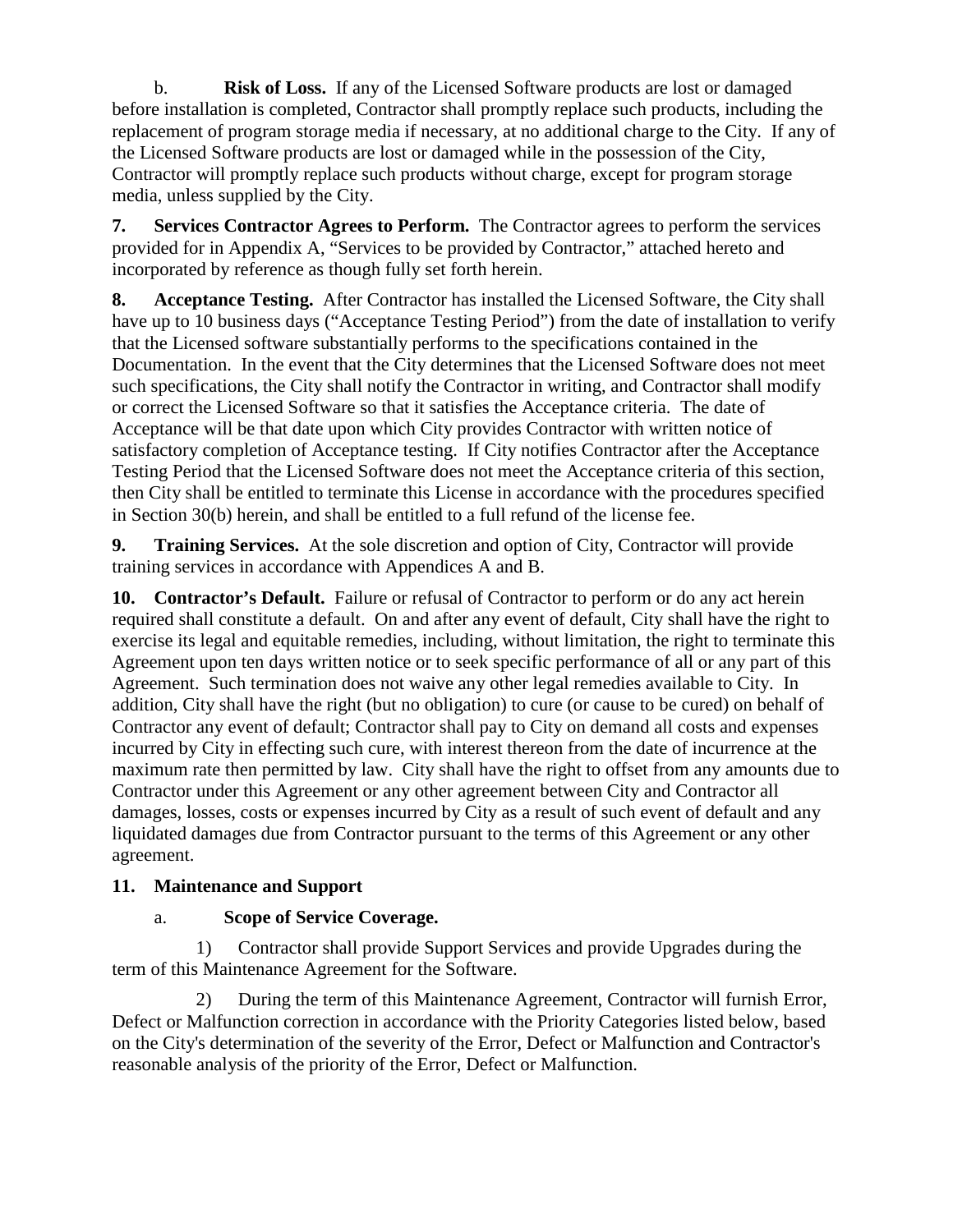b. **Risk of Loss.** If any of the Licensed Software products are lost or damaged before installation is completed, Contractor shall promptly replace such products, including the replacement of program storage media if necessary, at no additional charge to the City. If any of the Licensed Software products are lost or damaged while in the possession of the City, Contractor will promptly replace such products without charge, except for program storage media, unless supplied by the City.

**7. Services Contractor Agrees to Perform.** The Contractor agrees to perform the services provided for in Appendix A, "Services to be provided by Contractor," attached hereto and incorporated by reference as though fully set forth herein.

**8. Acceptance Testing.** After Contractor has installed the Licensed Software, the City shall have up to 10 business days ("Acceptance Testing Period") from the date of installation to verify that the Licensed software substantially performs to the specifications contained in the Documentation. In the event that the City determines that the Licensed Software does not meet such specifications, the City shall notify the Contractor in writing, and Contractor shall modify or correct the Licensed Software so that it satisfies the Acceptance criteria. The date of Acceptance will be that date upon which City provides Contractor with written notice of satisfactory completion of Acceptance testing. If City notifies Contractor after the Acceptance Testing Period that the Licensed Software does not meet the Acceptance criteria of this section, then City shall be entitled to terminate this License in accordance with the procedures specified in Section 30(b) herein, and shall be entitled to a full refund of the license fee.

**9. Training Services.** At the sole discretion and option of City, Contractor will provide training services in accordance with Appendices A and B.

**10. Contractor's Default.** Failure or refusal of Contractor to perform or do any act herein required shall constitute a default. On and after any event of default, City shall have the right to exercise its legal and equitable remedies, including, without limitation, the right to terminate this Agreement upon ten days written notice or to seek specific performance of all or any part of this Agreement. Such termination does not waive any other legal remedies available to City. In addition, City shall have the right (but no obligation) to cure (or cause to be cured) on behalf of Contractor any event of default; Contractor shall pay to City on demand all costs and expenses incurred by City in effecting such cure, with interest thereon from the date of incurrence at the maximum rate then permitted by law. City shall have the right to offset from any amounts due to Contractor under this Agreement or any other agreement between City and Contractor all damages, losses, costs or expenses incurred by City as a result of such event of default and any liquidated damages due from Contractor pursuant to the terms of this Agreement or any other agreement.

#### **11. Maintenance and Support**

## a. **Scope of Service Coverage.**

1) Contractor shall provide Support Services and provide Upgrades during the term of this Maintenance Agreement for the Software.

2) During the term of this Maintenance Agreement, Contractor will furnish Error, Defect or Malfunction correction in accordance with the Priority Categories listed below, based on the City's determination of the severity of the Error, Defect or Malfunction and Contractor's reasonable analysis of the priority of the Error, Defect or Malfunction.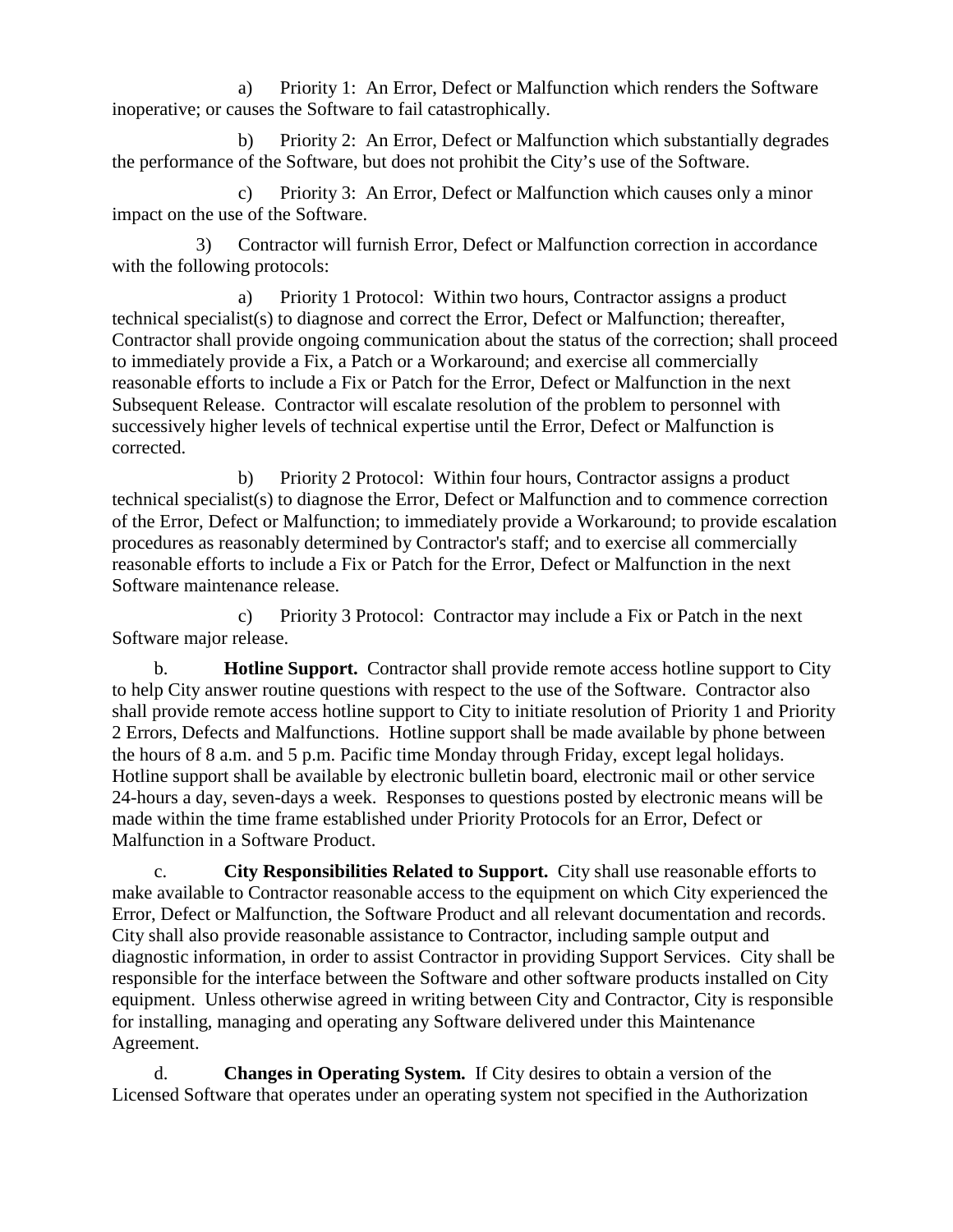a) Priority 1: An Error, Defect or Malfunction which renders the Software inoperative; or causes the Software to fail catastrophically.

b) Priority 2: An Error, Defect or Malfunction which substantially degrades the performance of the Software, but does not prohibit the City's use of the Software.

c) Priority 3: An Error, Defect or Malfunction which causes only a minor impact on the use of the Software.

3) Contractor will furnish Error, Defect or Malfunction correction in accordance with the following protocols:

a) Priority 1 Protocol: Within two hours, Contractor assigns a product technical specialist(s) to diagnose and correct the Error, Defect or Malfunction; thereafter, Contractor shall provide ongoing communication about the status of the correction; shall proceed to immediately provide a Fix, a Patch or a Workaround; and exercise all commercially reasonable efforts to include a Fix or Patch for the Error, Defect or Malfunction in the next Subsequent Release. Contractor will escalate resolution of the problem to personnel with successively higher levels of technical expertise until the Error, Defect or Malfunction is corrected.

b) Priority 2 Protocol: Within four hours, Contractor assigns a product technical specialist(s) to diagnose the Error, Defect or Malfunction and to commence correction of the Error, Defect or Malfunction; to immediately provide a Workaround; to provide escalation procedures as reasonably determined by Contractor's staff; and to exercise all commercially reasonable efforts to include a Fix or Patch for the Error, Defect or Malfunction in the next Software maintenance release.

c) Priority 3 Protocol: Contractor may include a Fix or Patch in the next Software major release.

b. **Hotline Support.** Contractor shall provide remote access hotline support to City to help City answer routine questions with respect to the use of the Software. Contractor also shall provide remote access hotline support to City to initiate resolution of Priority 1 and Priority 2 Errors, Defects and Malfunctions. Hotline support shall be made available by phone between the hours of 8 a.m. and 5 p.m. Pacific time Monday through Friday, except legal holidays. Hotline support shall be available by electronic bulletin board, electronic mail or other service 24-hours a day, seven-days a week. Responses to questions posted by electronic means will be made within the time frame established under Priority Protocols for an Error, Defect or Malfunction in a Software Product.

c. **City Responsibilities Related to Support.** City shall use reasonable efforts to make available to Contractor reasonable access to the equipment on which City experienced the Error, Defect or Malfunction, the Software Product and all relevant documentation and records. City shall also provide reasonable assistance to Contractor, including sample output and diagnostic information, in order to assist Contractor in providing Support Services. City shall be responsible for the interface between the Software and other software products installed on City equipment. Unless otherwise agreed in writing between City and Contractor, City is responsible for installing, managing and operating any Software delivered under this Maintenance Agreement.

d. **Changes in Operating System.** If City desires to obtain a version of the Licensed Software that operates under an operating system not specified in the Authorization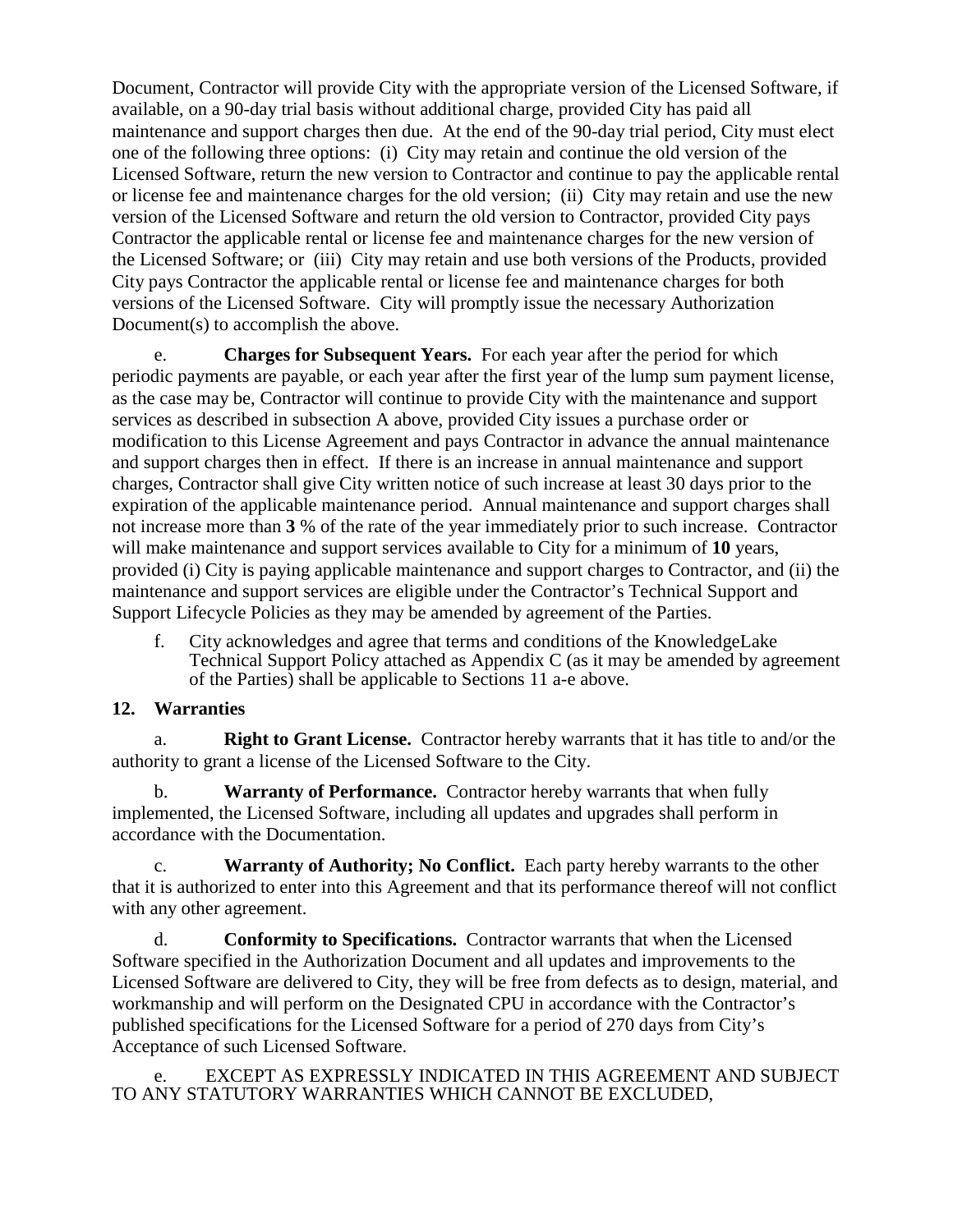Document, Contractor will provide City with the appropriate version of the Licensed Software, if available, on a 90-day trial basis without additional charge, provided City has paid all maintenance and support charges then due. At the end of the 90-day trial period, City must elect one of the following three options: (i) City may retain and continue the old version of the Licensed Software, return the new version to Contractor and continue to pay the applicable rental or license fee and maintenance charges for the old version; (ii) City may retain and use the new version of the Licensed Software and return the old version to Contractor, provided City pays Contractor the applicable rental or license fee and maintenance charges for the new version of the Licensed Software; or (iii) City may retain and use both versions of the Products, provided City pays Contractor the applicable rental or license fee and maintenance charges for both versions of the Licensed Software. City will promptly issue the necessary Authorization Document(s) to accomplish the above.

e. **Charges for Subsequent Years.** For each year after the period for which periodic payments are payable, or each year after the first year of the lump sum payment license, as the case may be, Contractor will continue to provide City with the maintenance and support services as described in subsection A above, provided City issues a purchase order or modification to this License Agreement and pays Contractor in advance the annual maintenance and support charges then in effect. If there is an increase in annual maintenance and support charges, Contractor shall give City written notice of such increase at least 30 days prior to the expiration of the applicable maintenance period. Annual maintenance and support charges shall not increase more than **3** % of the rate of the year immediately prior to such increase. Contractor will make maintenance and support services available to City for a minimum of **10** years, provided (i) City is paying applicable maintenance and support charges to Contractor, and (ii) the maintenance and support services are eligible under the Contractor's Technical Support and Support Lifecycle Policies as they may be amended by agreement of the Parties.

f. City acknowledges and agree that terms and conditions of the KnowledgeLake Technical Support Policy attached as Appendix C (as it may be amended by agreement of the Parties) shall be applicable to Sections 11 a-e above.

#### **12. Warranties**

a. **Right to Grant License.** Contractor hereby warrants that it has title to and/or the authority to grant a license of the Licensed Software to the City.

b. **Warranty of Performance.** Contractor hereby warrants that when fully implemented, the Licensed Software, including all updates and upgrades shall perform in accordance with the Documentation.

c. **Warranty of Authority; No Conflict.** Each party hereby warrants to the other that it is authorized to enter into this Agreement and that its performance thereof will not conflict with any other agreement.

d. **Conformity to Specifications.** Contractor warrants that when the Licensed Software specified in the Authorization Document and all updates and improvements to the Licensed Software are delivered to City, they will be free from defects as to design, material, and workmanship and will perform on the Designated CPU in accordance with the Contractor's published specifications for the Licensed Software for a period of 270 days from City's Acceptance of such Licensed Software.

EXCEPT AS EXPRESSLY INDICATED IN THIS AGREEMENT AND SUBJECT TO ANY STATUTORY WARRANTIES WHICH CANNOT BE EXCLUDED,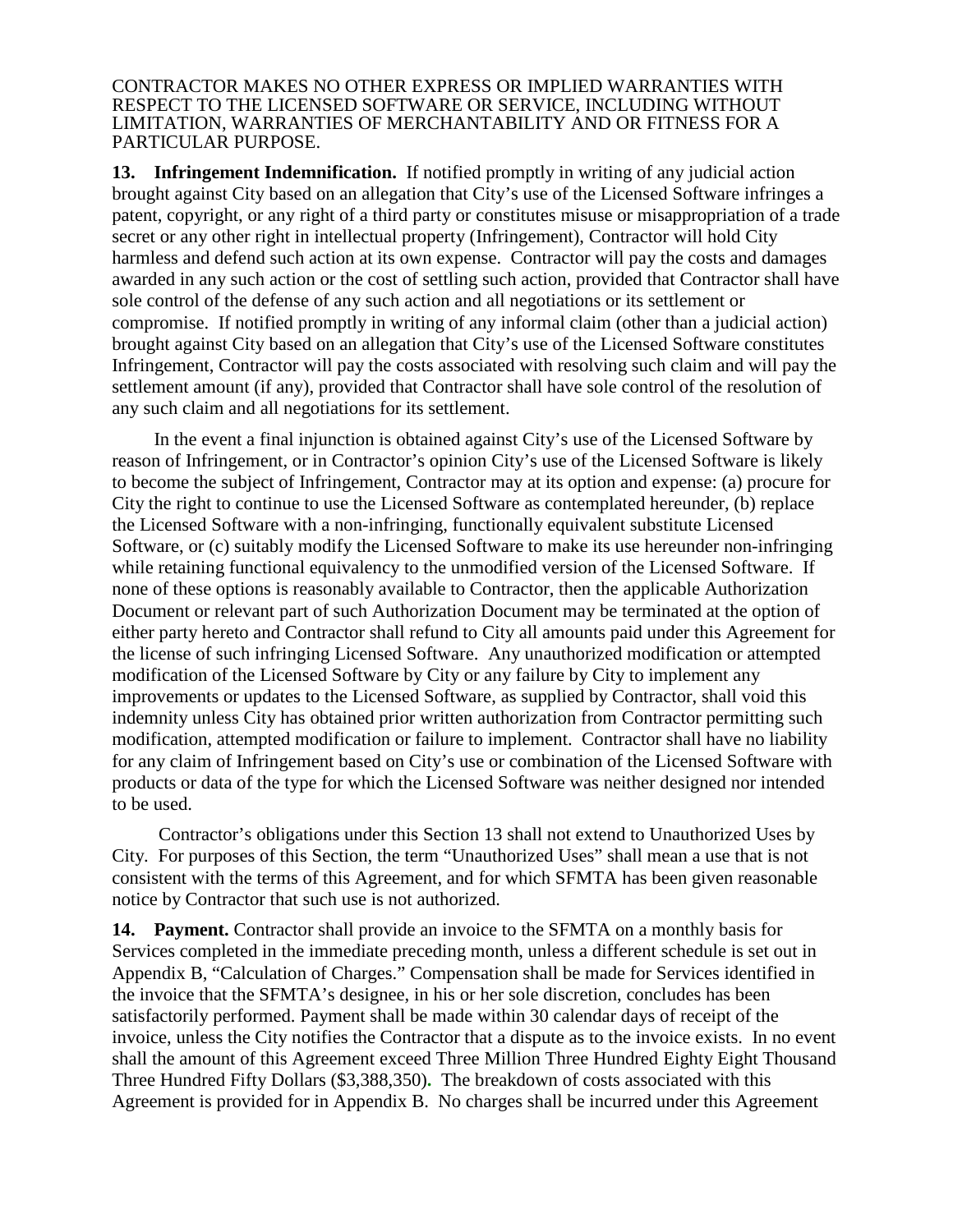CONTRACTOR MAKES NO OTHER EXPRESS OR IMPLIED WARRANTIES WITH RESPECT TO THE LICENSED SOFTWARE OR SERVICE, INCLUDING WITHOUT LIMITATION, WARRANTIES OF MERCHANTABILITY AND OR FITNESS FOR A PARTICULAR PURPOSE.

**13. Infringement Indemnification.** If notified promptly in writing of any judicial action brought against City based on an allegation that City's use of the Licensed Software infringes a patent, copyright, or any right of a third party or constitutes misuse or misappropriation of a trade secret or any other right in intellectual property (Infringement), Contractor will hold City harmless and defend such action at its own expense. Contractor will pay the costs and damages awarded in any such action or the cost of settling such action, provided that Contractor shall have sole control of the defense of any such action and all negotiations or its settlement or compromise. If notified promptly in writing of any informal claim (other than a judicial action) brought against City based on an allegation that City's use of the Licensed Software constitutes Infringement, Contractor will pay the costs associated with resolving such claim and will pay the settlement amount (if any), provided that Contractor shall have sole control of the resolution of any such claim and all negotiations for its settlement.

In the event a final injunction is obtained against City's use of the Licensed Software by reason of Infringement, or in Contractor's opinion City's use of the Licensed Software is likely to become the subject of Infringement, Contractor may at its option and expense: (a) procure for City the right to continue to use the Licensed Software as contemplated hereunder, (b) replace the Licensed Software with a non-infringing, functionally equivalent substitute Licensed Software, or (c) suitably modify the Licensed Software to make its use hereunder non-infringing while retaining functional equivalency to the unmodified version of the Licensed Software. If none of these options is reasonably available to Contractor, then the applicable Authorization Document or relevant part of such Authorization Document may be terminated at the option of either party hereto and Contractor shall refund to City all amounts paid under this Agreement for the license of such infringing Licensed Software. Any unauthorized modification or attempted modification of the Licensed Software by City or any failure by City to implement any improvements or updates to the Licensed Software, as supplied by Contractor, shall void this indemnity unless City has obtained prior written authorization from Contractor permitting such modification, attempted modification or failure to implement. Contractor shall have no liability for any claim of Infringement based on City's use or combination of the Licensed Software with products or data of the type for which the Licensed Software was neither designed nor intended to be used.

Contractor's obligations under this Section 13 shall not extend to Unauthorized Uses by City. For purposes of this Section, the term "Unauthorized Uses" shall mean a use that is not consistent with the terms of this Agreement, and for which SFMTA has been given reasonable notice by Contractor that such use is not authorized.

**14. Payment.** Contractor shall provide an invoice to the SFMTA on a monthly basis for Services completed in the immediate preceding month, unless a different schedule is set out in Appendix B, "Calculation of Charges." Compensation shall be made for Services identified in the invoice that the SFMTA's designee, in his or her sole discretion, concludes has been satisfactorily performed. Payment shall be made within 30 calendar days of receipt of the invoice, unless the City notifies the Contractor that a dispute as to the invoice exists. In no event shall the amount of this Agreement exceed Three Million Three Hundred Eighty Eight Thousand Three Hundred Fifty Dollars (\$3,388,350)**.** The breakdown of costs associated with this Agreement is provided for in Appendix B. No charges shall be incurred under this Agreement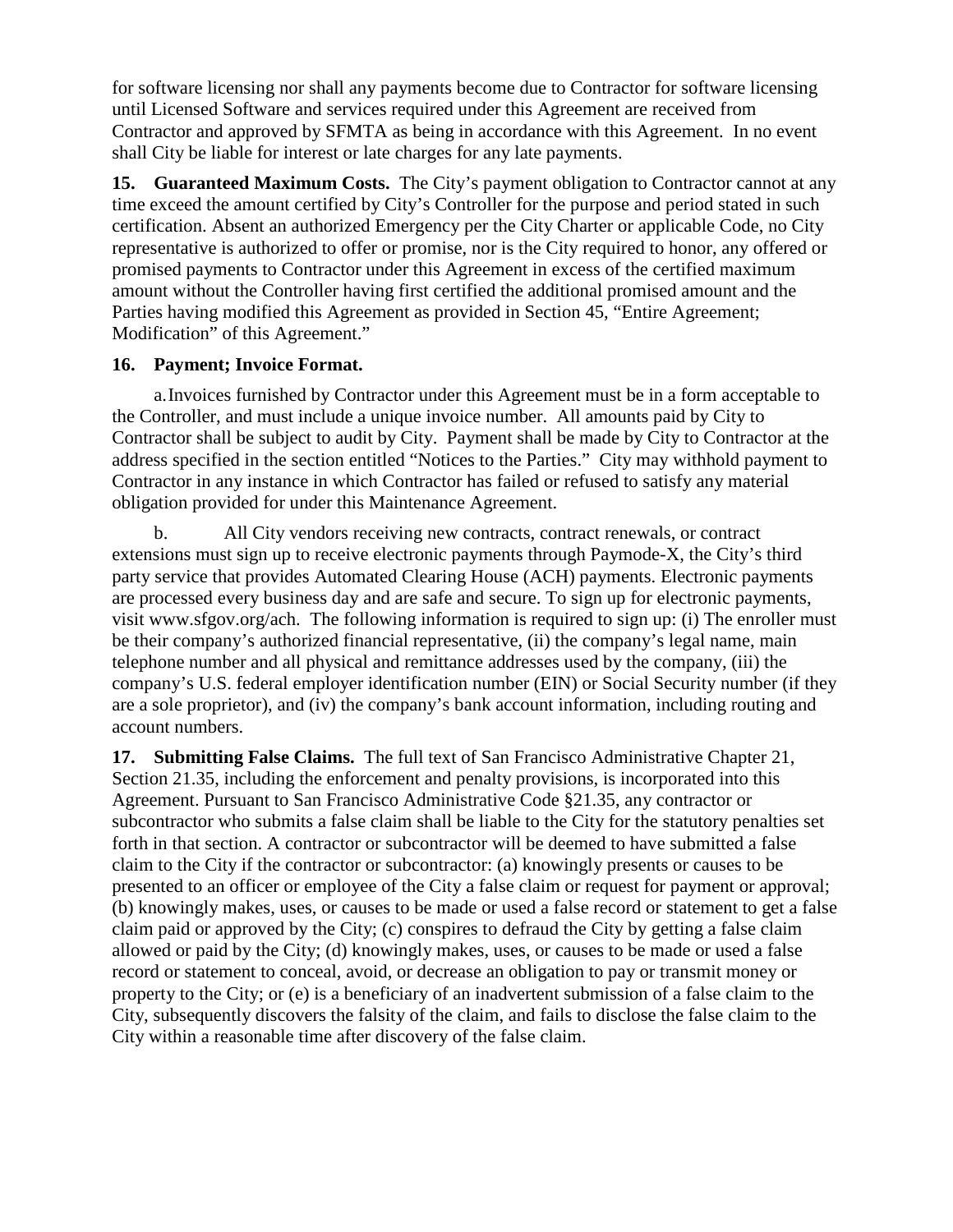for software licensing nor shall any payments become due to Contractor for software licensing until Licensed Software and services required under this Agreement are received from Contractor and approved by SFMTA as being in accordance with this Agreement. In no event shall City be liable for interest or late charges for any late payments.

**15. Guaranteed Maximum Costs.** The City's payment obligation to Contractor cannot at any time exceed the amount certified by City's Controller for the purpose and period stated in such certification. Absent an authorized Emergency per the City Charter or applicable Code, no City representative is authorized to offer or promise, nor is the City required to honor, any offered or promised payments to Contractor under this Agreement in excess of the certified maximum amount without the Controller having first certified the additional promised amount and the Parties having modified this Agreement as provided in Section 45, "Entire Agreement; Modification" of this Agreement."

#### **16. Payment; Invoice Format.**

a.Invoices furnished by Contractor under this Agreement must be in a form acceptable to the Controller, and must include a unique invoice number. All amounts paid by City to Contractor shall be subject to audit by City. Payment shall be made by City to Contractor at the address specified in the section entitled "Notices to the Parties." City may withhold payment to Contractor in any instance in which Contractor has failed or refused to satisfy any material obligation provided for under this Maintenance Agreement.

b. All City vendors receiving new contracts, contract renewals, or contract extensions must sign up to receive electronic payments through Paymode-X, the City's third party service that provides Automated Clearing House (ACH) payments. Electronic payments are processed every business day and are safe and secure. To sign up for electronic payments, visit www.sfgov.org/ach. The following information is required to sign up: (i) The enroller must be their company's authorized financial representative, (ii) the company's legal name, main telephone number and all physical and remittance addresses used by the company, (iii) the company's U.S. federal employer identification number (EIN) or Social Security number (if they are a sole proprietor), and (iv) the company's bank account information, including routing and account numbers.

**17. Submitting False Claims.** The full text of San Francisco Administrative Chapter 21, Section 21.35, including the enforcement and penalty provisions, is incorporated into this Agreement. Pursuant to San Francisco Administrative Code §21.35, any contractor or subcontractor who submits a false claim shall be liable to the City for the statutory penalties set forth in that section. A contractor or subcontractor will be deemed to have submitted a false claim to the City if the contractor or subcontractor: (a) knowingly presents or causes to be presented to an officer or employee of the City a false claim or request for payment or approval; (b) knowingly makes, uses, or causes to be made or used a false record or statement to get a false claim paid or approved by the City; (c) conspires to defraud the City by getting a false claim allowed or paid by the City; (d) knowingly makes, uses, or causes to be made or used a false record or statement to conceal, avoid, or decrease an obligation to pay or transmit money or property to the City; or (e) is a beneficiary of an inadvertent submission of a false claim to the City, subsequently discovers the falsity of the claim, and fails to disclose the false claim to the City within a reasonable time after discovery of the false claim.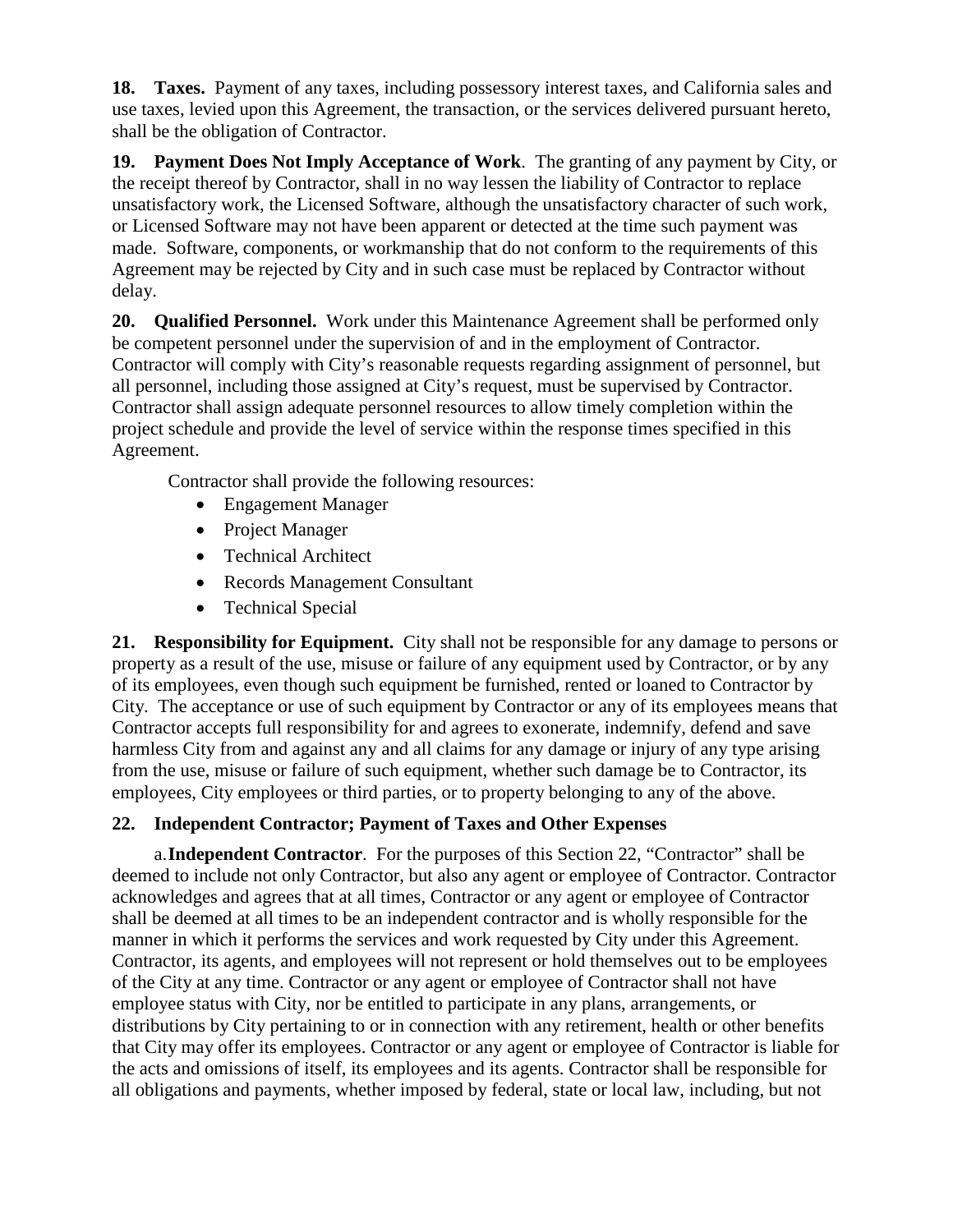**18. Taxes.** Payment of any taxes, including possessory interest taxes, and California sales and use taxes, levied upon this Agreement, the transaction, or the services delivered pursuant hereto, shall be the obligation of Contractor.

**19. Payment Does Not Imply Acceptance of Work**. The granting of any payment by City, or the receipt thereof by Contractor, shall in no way lessen the liability of Contractor to replace unsatisfactory work, the Licensed Software, although the unsatisfactory character of such work, or Licensed Software may not have been apparent or detected at the time such payment was made. Software, components, or workmanship that do not conform to the requirements of this Agreement may be rejected by City and in such case must be replaced by Contractor without delay.

**20. Qualified Personnel.** Work under this Maintenance Agreement shall be performed only be competent personnel under the supervision of and in the employment of Contractor. Contractor will comply with City's reasonable requests regarding assignment of personnel, but all personnel, including those assigned at City's request, must be supervised by Contractor. Contractor shall assign adequate personnel resources to allow timely completion within the project schedule and provide the level of service within the response times specified in this Agreement.

Contractor shall provide the following resources:

- Engagement Manager
- Project Manager
- Technical Architect
- Records Management Consultant
- Technical Special

**21. Responsibility for Equipment.** City shall not be responsible for any damage to persons or property as a result of the use, misuse or failure of any equipment used by Contractor, or by any of its employees, even though such equipment be furnished, rented or loaned to Contractor by City. The acceptance or use of such equipment by Contractor or any of its employees means that Contractor accepts full responsibility for and agrees to exonerate, indemnify, defend and save harmless City from and against any and all claims for any damage or injury of any type arising from the use, misuse or failure of such equipment, whether such damage be to Contractor, its employees, City employees or third parties, or to property belonging to any of the above.

## **22. Independent Contractor; Payment of Taxes and Other Expenses**

a.**Independent Contractor**. For the purposes of this Section 22, "Contractor" shall be deemed to include not only Contractor, but also any agent or employee of Contractor. Contractor acknowledges and agrees that at all times, Contractor or any agent or employee of Contractor shall be deemed at all times to be an independent contractor and is wholly responsible for the manner in which it performs the services and work requested by City under this Agreement. Contractor, its agents, and employees will not represent or hold themselves out to be employees of the City at any time. Contractor or any agent or employee of Contractor shall not have employee status with City, nor be entitled to participate in any plans, arrangements, or distributions by City pertaining to or in connection with any retirement, health or other benefits that City may offer its employees. Contractor or any agent or employee of Contractor is liable for the acts and omissions of itself, its employees and its agents. Contractor shall be responsible for all obligations and payments, whether imposed by federal, state or local law, including, but not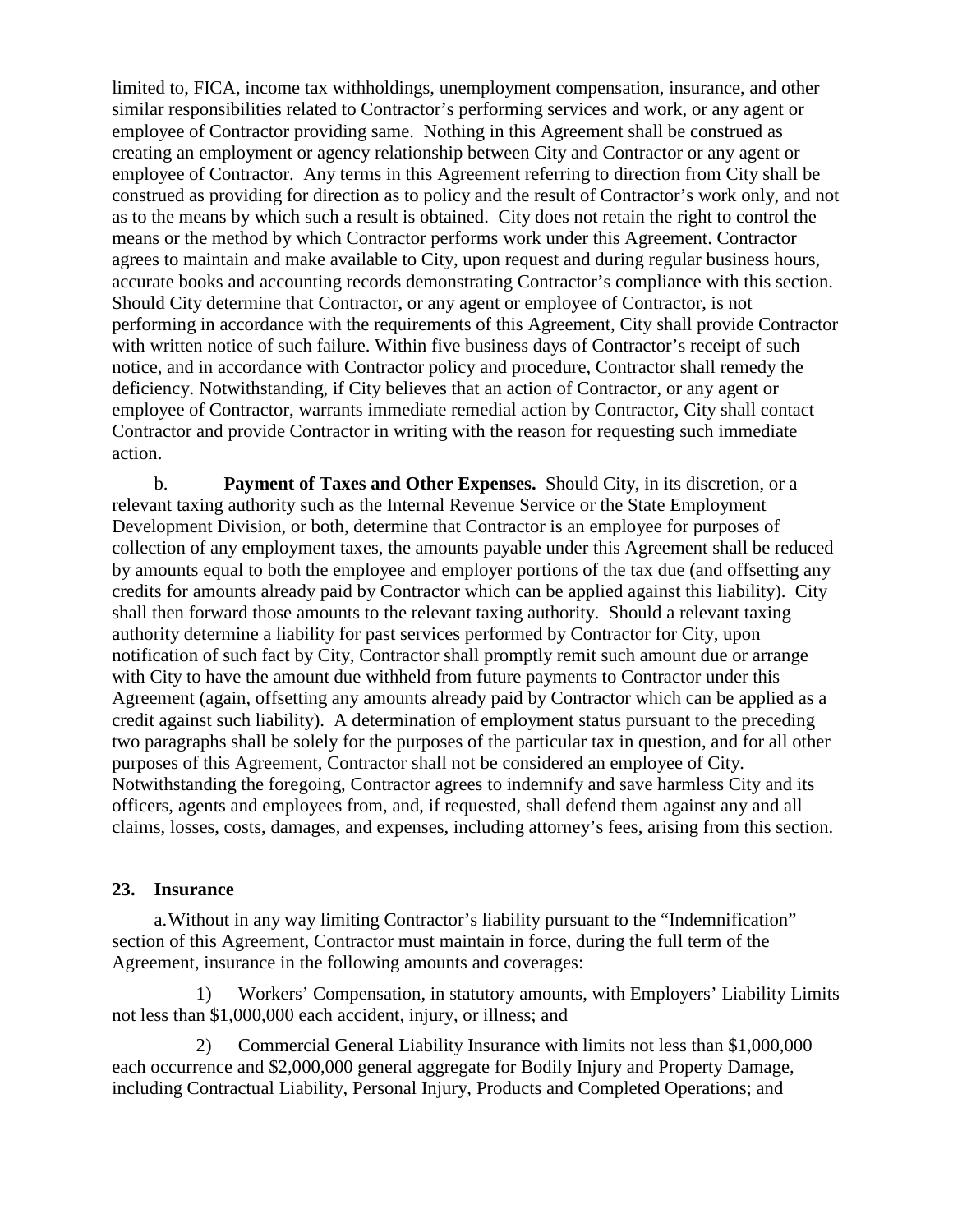limited to, FICA, income tax withholdings, unemployment compensation, insurance, and other similar responsibilities related to Contractor's performing services and work, or any agent or employee of Contractor providing same. Nothing in this Agreement shall be construed as creating an employment or agency relationship between City and Contractor or any agent or employee of Contractor. Any terms in this Agreement referring to direction from City shall be construed as providing for direction as to policy and the result of Contractor's work only, and not as to the means by which such a result is obtained. City does not retain the right to control the means or the method by which Contractor performs work under this Agreement. Contractor agrees to maintain and make available to City, upon request and during regular business hours, accurate books and accounting records demonstrating Contractor's compliance with this section. Should City determine that Contractor, or any agent or employee of Contractor, is not performing in accordance with the requirements of this Agreement, City shall provide Contractor with written notice of such failure. Within five business days of Contractor's receipt of such notice, and in accordance with Contractor policy and procedure, Contractor shall remedy the deficiency. Notwithstanding, if City believes that an action of Contractor, or any agent or employee of Contractor, warrants immediate remedial action by Contractor, City shall contact Contractor and provide Contractor in writing with the reason for requesting such immediate action.

b. **Payment of Taxes and Other Expenses.** Should City, in its discretion, or a relevant taxing authority such as the Internal Revenue Service or the State Employment Development Division, or both, determine that Contractor is an employee for purposes of collection of any employment taxes, the amounts payable under this Agreement shall be reduced by amounts equal to both the employee and employer portions of the tax due (and offsetting any credits for amounts already paid by Contractor which can be applied against this liability). City shall then forward those amounts to the relevant taxing authority. Should a relevant taxing authority determine a liability for past services performed by Contractor for City, upon notification of such fact by City, Contractor shall promptly remit such amount due or arrange with City to have the amount due withheld from future payments to Contractor under this Agreement (again, offsetting any amounts already paid by Contractor which can be applied as a credit against such liability). A determination of employment status pursuant to the preceding two paragraphs shall be solely for the purposes of the particular tax in question, and for all other purposes of this Agreement, Contractor shall not be considered an employee of City. Notwithstanding the foregoing, Contractor agrees to indemnify and save harmless City and its officers, agents and employees from, and, if requested, shall defend them against any and all claims, losses, costs, damages, and expenses, including attorney's fees, arising from this section.

#### **23. Insurance**

a.Without in any way limiting Contractor's liability pursuant to the "Indemnification" section of this Agreement, Contractor must maintain in force, during the full term of the Agreement, insurance in the following amounts and coverages:

1) Workers' Compensation, in statutory amounts, with Employers' Liability Limits not less than \$1,000,000 each accident, injury, or illness; and

2) Commercial General Liability Insurance with limits not less than \$1,000,000 each occurrence and \$2,000,000 general aggregate for Bodily Injury and Property Damage, including Contractual Liability, Personal Injury, Products and Completed Operations; and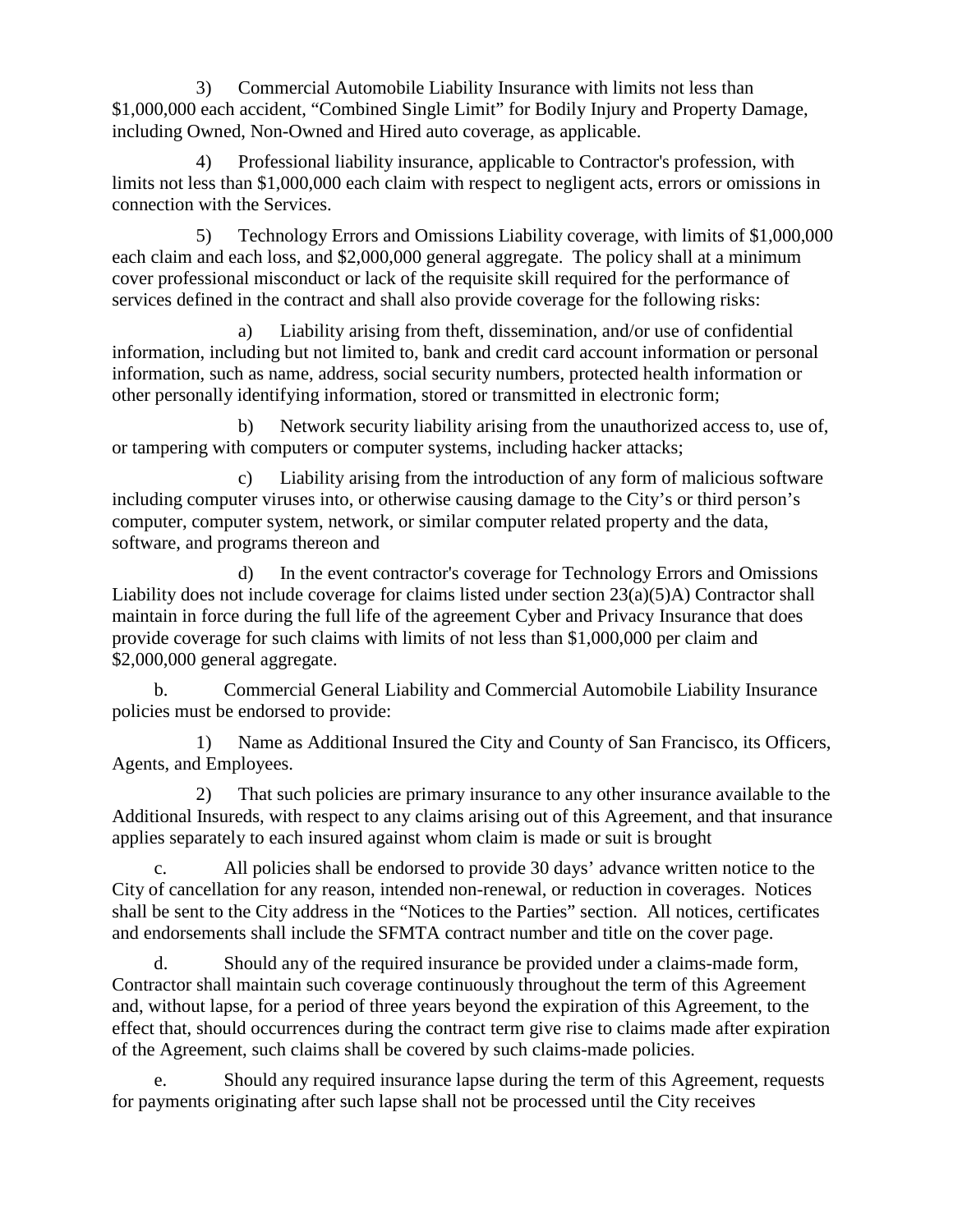3) Commercial Automobile Liability Insurance with limits not less than \$1,000,000 each accident, "Combined Single Limit" for Bodily Injury and Property Damage, including Owned, Non-Owned and Hired auto coverage, as applicable.

4) Professional liability insurance, applicable to Contractor's profession, with limits not less than \$1,000,000 each claim with respect to negligent acts, errors or omissions in connection with the Services.

5) Technology Errors and Omissions Liability coverage, with limits of \$1,000,000 each claim and each loss, and \$2,000,000 general aggregate. The policy shall at a minimum cover professional misconduct or lack of the requisite skill required for the performance of services defined in the contract and shall also provide coverage for the following risks:

a) Liability arising from theft, dissemination, and/or use of confidential information, including but not limited to, bank and credit card account information or personal information, such as name, address, social security numbers, protected health information or other personally identifying information, stored or transmitted in electronic form;

b) Network security liability arising from the unauthorized access to, use of, or tampering with computers or computer systems, including hacker attacks;

c) Liability arising from the introduction of any form of malicious software including computer viruses into, or otherwise causing damage to the City's or third person's computer, computer system, network, or similar computer related property and the data, software, and programs thereon and

d) In the event contractor's coverage for Technology Errors and Omissions Liability does not include coverage for claims listed under section 23(a)(5)A) Contractor shall maintain in force during the full life of the agreement Cyber and Privacy Insurance that does provide coverage for such claims with limits of not less than \$1,000,000 per claim and \$2,000,000 general aggregate.

b. Commercial General Liability and Commercial Automobile Liability Insurance policies must be endorsed to provide:

1) Name as Additional Insured the City and County of San Francisco, its Officers, Agents, and Employees.

2) That such policies are primary insurance to any other insurance available to the Additional Insureds, with respect to any claims arising out of this Agreement, and that insurance applies separately to each insured against whom claim is made or suit is brought

c. All policies shall be endorsed to provide 30 days' advance written notice to the City of cancellation for any reason, intended non-renewal, or reduction in coverages. Notices shall be sent to the City address in the "Notices to the Parties" section. All notices, certificates and endorsements shall include the SFMTA contract number and title on the cover page.

d. Should any of the required insurance be provided under a claims-made form, Contractor shall maintain such coverage continuously throughout the term of this Agreement and, without lapse, for a period of three years beyond the expiration of this Agreement, to the effect that, should occurrences during the contract term give rise to claims made after expiration of the Agreement, such claims shall be covered by such claims-made policies.

e. Should any required insurance lapse during the term of this Agreement, requests for payments originating after such lapse shall not be processed until the City receives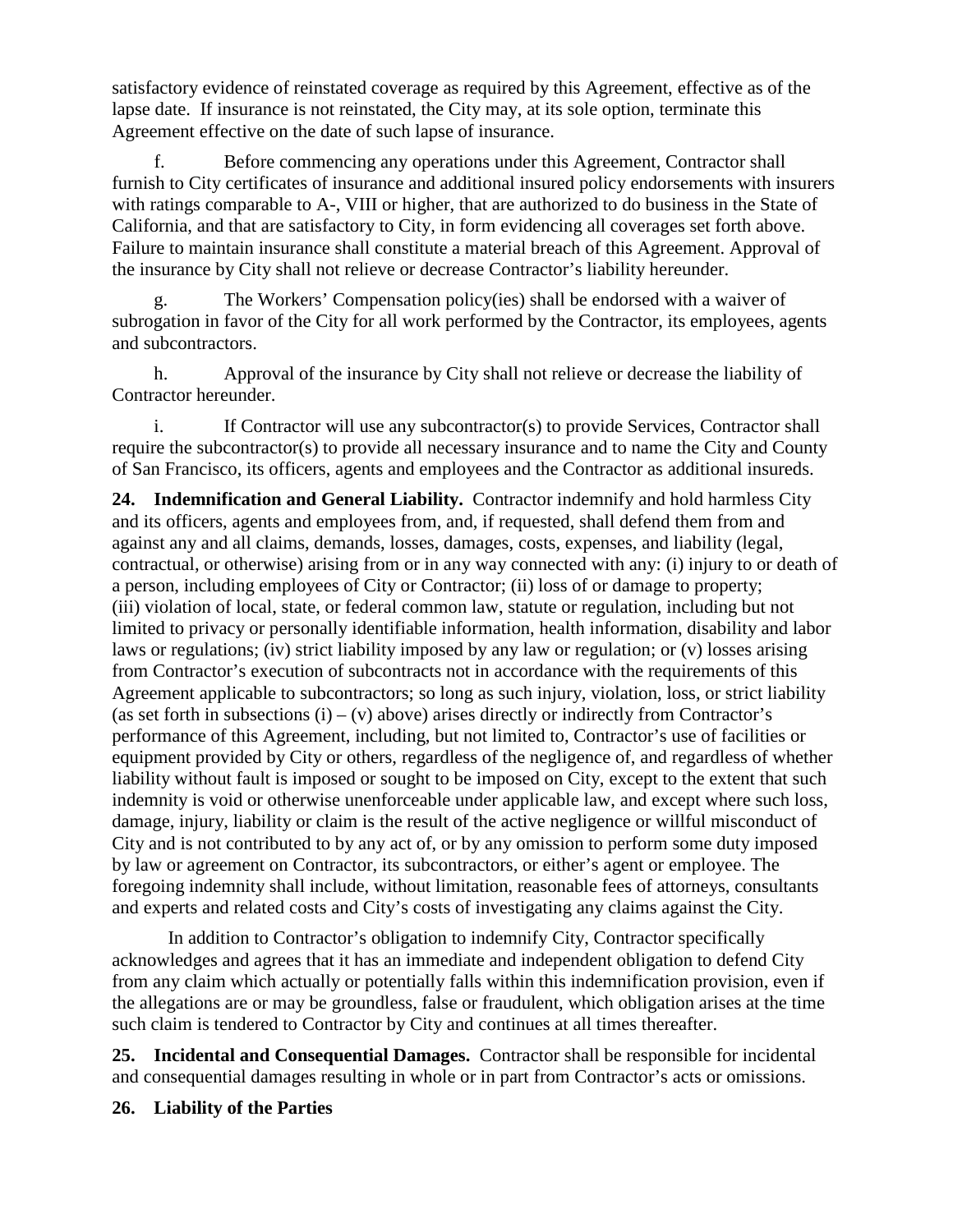satisfactory evidence of reinstated coverage as required by this Agreement, effective as of the lapse date. If insurance is not reinstated, the City may, at its sole option, terminate this Agreement effective on the date of such lapse of insurance.

f. Before commencing any operations under this Agreement, Contractor shall furnish to City certificates of insurance and additional insured policy endorsements with insurers with ratings comparable to A-, VIII or higher, that are authorized to do business in the State of California, and that are satisfactory to City, in form evidencing all coverages set forth above. Failure to maintain insurance shall constitute a material breach of this Agreement. Approval of the insurance by City shall not relieve or decrease Contractor's liability hereunder.

g. The Workers' Compensation policy(ies) shall be endorsed with a waiver of subrogation in favor of the City for all work performed by the Contractor, its employees, agents and subcontractors.

h. Approval of the insurance by City shall not relieve or decrease the liability of Contractor hereunder.

i. If Contractor will use any subcontractor(s) to provide Services, Contractor shall require the subcontractor(s) to provide all necessary insurance and to name the City and County of San Francisco, its officers, agents and employees and the Contractor as additional insureds.

**24. Indemnification and General Liability.** Contractor indemnify and hold harmless City and its officers, agents and employees from, and, if requested, shall defend them from and against any and all claims, demands, losses, damages, costs, expenses, and liability (legal, contractual, or otherwise) arising from or in any way connected with any: (i) injury to or death of a person, including employees of City or Contractor; (ii) loss of or damage to property; (iii) violation of local, state, or federal common law, statute or regulation, including but not limited to privacy or personally identifiable information, health information, disability and labor laws or regulations; (iv) strict liability imposed by any law or regulation; or (v) losses arising from Contractor's execution of subcontracts not in accordance with the requirements of this Agreement applicable to subcontractors; so long as such injury, violation, loss, or strict liability (as set forth in subsections  $(i) - (v)$  above) arises directly or indirectly from Contractor's performance of this Agreement, including, but not limited to, Contractor's use of facilities or equipment provided by City or others, regardless of the negligence of, and regardless of whether liability without fault is imposed or sought to be imposed on City, except to the extent that such indemnity is void or otherwise unenforceable under applicable law, and except where such loss, damage, injury, liability or claim is the result of the active negligence or willful misconduct of City and is not contributed to by any act of, or by any omission to perform some duty imposed by law or agreement on Contractor, its subcontractors, or either's agent or employee. The foregoing indemnity shall include, without limitation, reasonable fees of attorneys, consultants and experts and related costs and City's costs of investigating any claims against the City.

In addition to Contractor's obligation to indemnify City, Contractor specifically acknowledges and agrees that it has an immediate and independent obligation to defend City from any claim which actually or potentially falls within this indemnification provision, even if the allegations are or may be groundless, false or fraudulent, which obligation arises at the time such claim is tendered to Contractor by City and continues at all times thereafter.

**25. Incidental and Consequential Damages.** Contractor shall be responsible for incidental and consequential damages resulting in whole or in part from Contractor's acts or omissions.

#### **26. Liability of the Parties**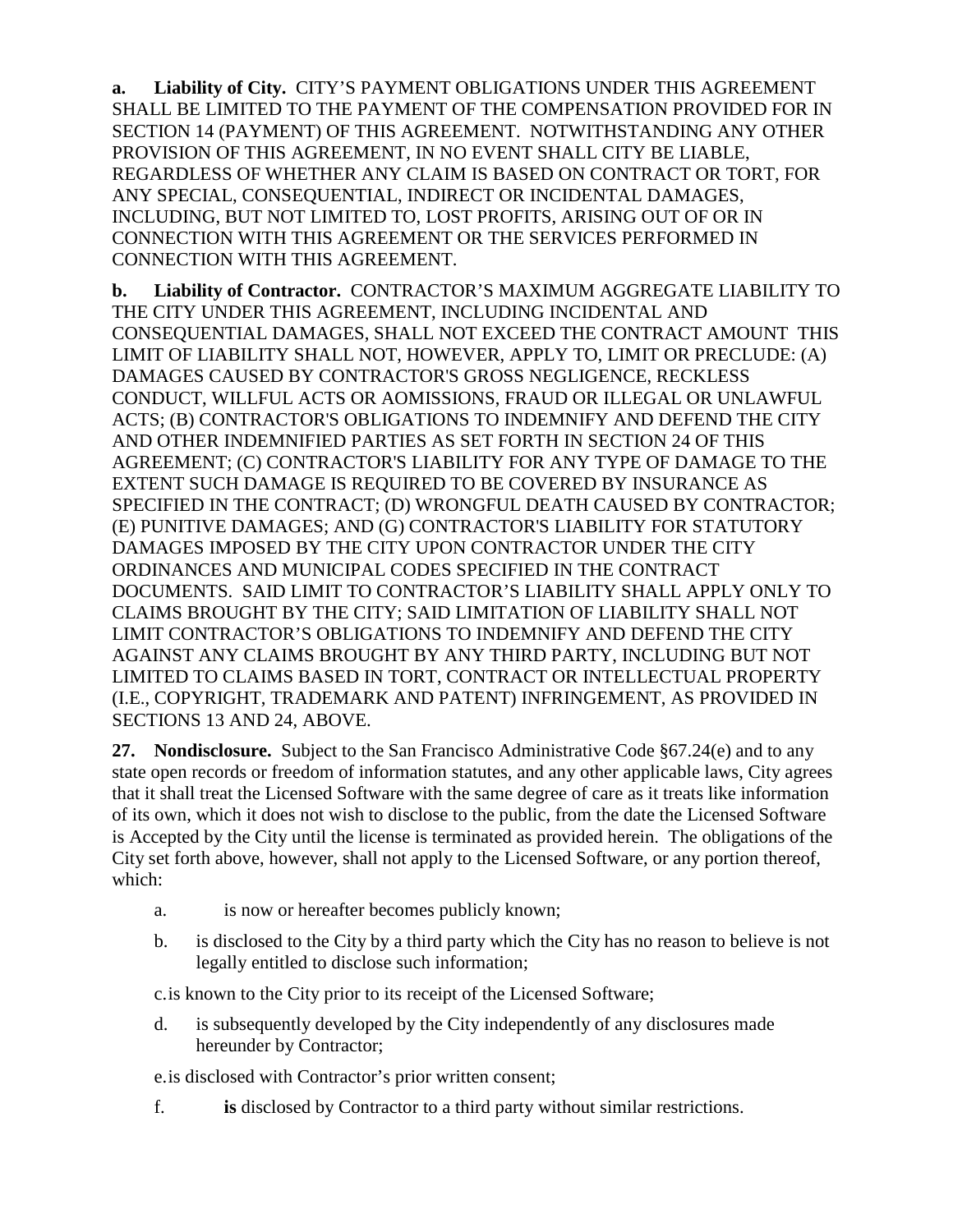**a. Liability of City.** CITY'S PAYMENT OBLIGATIONS UNDER THIS AGREEMENT SHALL BE LIMITED TO THE PAYMENT OF THE COMPENSATION PROVIDED FOR IN SECTION 14 (PAYMENT) OF THIS AGREEMENT. NOTWITHSTANDING ANY OTHER PROVISION OF THIS AGREEMENT, IN NO EVENT SHALL CITY BE LIABLE, REGARDLESS OF WHETHER ANY CLAIM IS BASED ON CONTRACT OR TORT, FOR ANY SPECIAL, CONSEQUENTIAL, INDIRECT OR INCIDENTAL DAMAGES, INCLUDING, BUT NOT LIMITED TO, LOST PROFITS, ARISING OUT OF OR IN CONNECTION WITH THIS AGREEMENT OR THE SERVICES PERFORMED IN CONNECTION WITH THIS AGREEMENT.

**b. Liability of Contractor.** CONTRACTOR'S MAXIMUM AGGREGATE LIABILITY TO THE CITY UNDER THIS AGREEMENT, INCLUDING INCIDENTAL AND CONSEQUENTIAL DAMAGES, SHALL NOT EXCEED THE CONTRACT AMOUNT THIS LIMIT OF LIABILITY SHALL NOT, HOWEVER, APPLY TO, LIMIT OR PRECLUDE: (A) DAMAGES CAUSED BY CONTRACTOR'S GROSS NEGLIGENCE, RECKLESS CONDUCT, WILLFUL ACTS OR AOMISSIONS, FRAUD OR ILLEGAL OR UNLAWFUL ACTS; (B) CONTRACTOR'S OBLIGATIONS TO INDEMNIFY AND DEFEND THE CITY AND OTHER INDEMNIFIED PARTIES AS SET FORTH IN SECTION 24 OF THIS AGREEMENT; (C) CONTRACTOR'S LIABILITY FOR ANY TYPE OF DAMAGE TO THE EXTENT SUCH DAMAGE IS REQUIRED TO BE COVERED BY INSURANCE AS SPECIFIED IN THE CONTRACT; (D) WRONGFUL DEATH CAUSED BY CONTRACTOR; (E) PUNITIVE DAMAGES; AND (G) CONTRACTOR'S LIABILITY FOR STATUTORY DAMAGES IMPOSED BY THE CITY UPON CONTRACTOR UNDER THE CITY ORDINANCES AND MUNICIPAL CODES SPECIFIED IN THE CONTRACT DOCUMENTS. SAID LIMIT TO CONTRACTOR'S LIABILITY SHALL APPLY ONLY TO CLAIMS BROUGHT BY THE CITY; SAID LIMITATION OF LIABILITY SHALL NOT LIMIT CONTRACTOR'S OBLIGATIONS TO INDEMNIFY AND DEFEND THE CITY AGAINST ANY CLAIMS BROUGHT BY ANY THIRD PARTY, INCLUDING BUT NOT LIMITED TO CLAIMS BASED IN TORT, CONTRACT OR INTELLECTUAL PROPERTY (I.E., COPYRIGHT, TRADEMARK AND PATENT) INFRINGEMENT, AS PROVIDED IN SECTIONS 13 AND 24, ABOVE.

**27. Nondisclosure.** Subject to the San Francisco Administrative Code §67.24(e) and to any state open records or freedom of information statutes, and any other applicable laws, City agrees that it shall treat the Licensed Software with the same degree of care as it treats like information of its own, which it does not wish to disclose to the public, from the date the Licensed Software is Accepted by the City until the license is terminated as provided herein. The obligations of the City set forth above, however, shall not apply to the Licensed Software, or any portion thereof, which:

- a. is now or hereafter becomes publicly known;
- b. is disclosed to the City by a third party which the City has no reason to believe is not legally entitled to disclose such information;

c.is known to the City prior to its receipt of the Licensed Software;

d. is subsequently developed by the City independently of any disclosures made hereunder by Contractor;

e.is disclosed with Contractor's prior written consent;

f. **is** disclosed by Contractor to a third party without similar restrictions.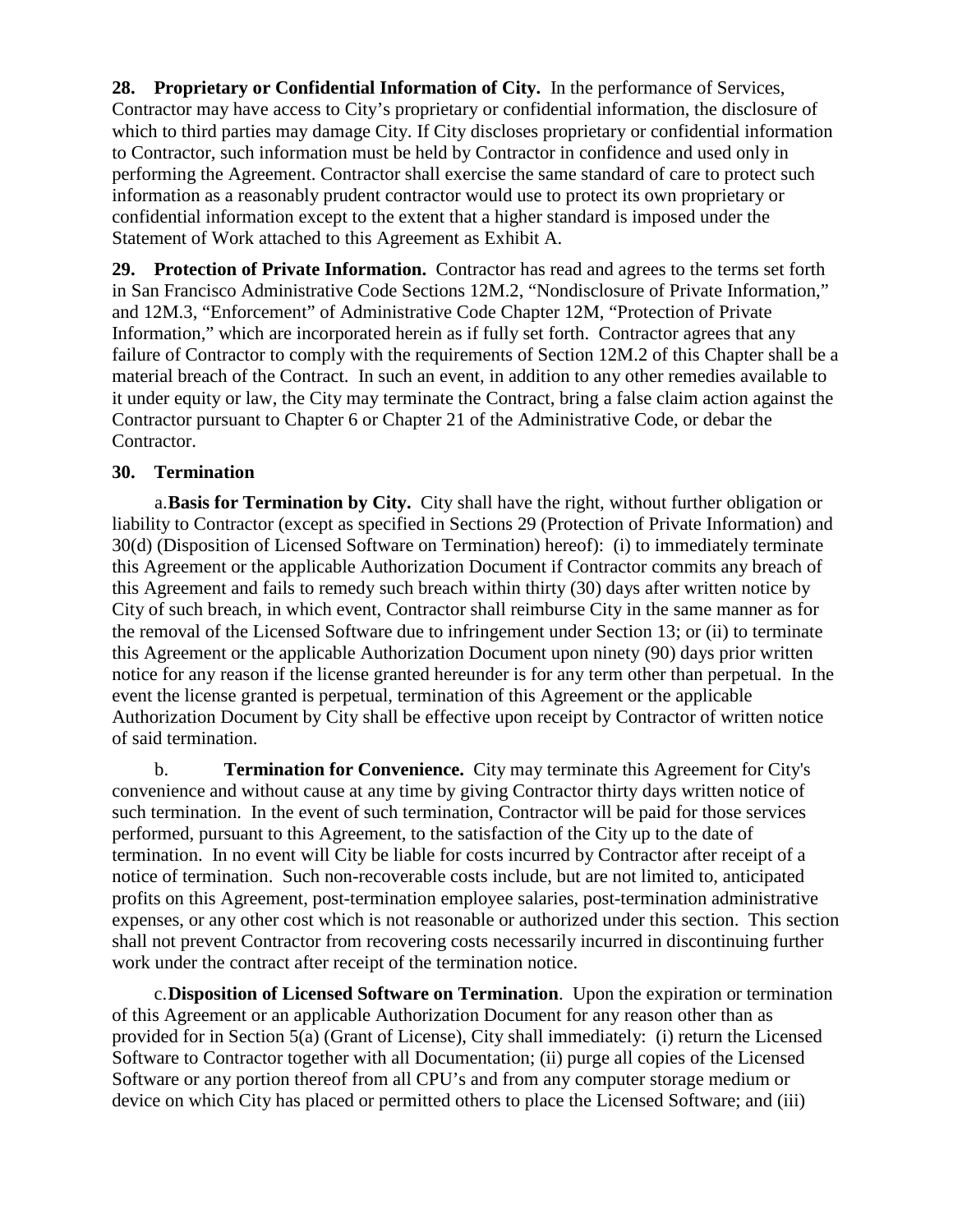**28. Proprietary or Confidential Information of City.** In the performance of Services, Contractor may have access to City's proprietary or confidential information, the disclosure of which to third parties may damage City. If City discloses proprietary or confidential information to Contractor, such information must be held by Contractor in confidence and used only in performing the Agreement. Contractor shall exercise the same standard of care to protect such information as a reasonably prudent contractor would use to protect its own proprietary or confidential information except to the extent that a higher standard is imposed under the Statement of Work attached to this Agreement as Exhibit A.

**29. Protection of Private Information.** Contractor has read and agrees to the terms set forth in San Francisco Administrative Code Sections 12M.2, "Nondisclosure of Private Information," and 12M.3, "Enforcement" of Administrative Code Chapter 12M, "Protection of Private Information," which are incorporated herein as if fully set forth. Contractor agrees that any failure of Contractor to comply with the requirements of Section 12M.2 of this Chapter shall be a material breach of the Contract. In such an event, in addition to any other remedies available to it under equity or law, the City may terminate the Contract, bring a false claim action against the Contractor pursuant to Chapter 6 or Chapter 21 of the Administrative Code, or debar the Contractor.

#### **30. Termination**

a.**Basis for Termination by City.** City shall have the right, without further obligation or liability to Contractor (except as specified in Sections 29 (Protection of Private Information) and 30(d) (Disposition of Licensed Software on Termination) hereof): (i) to immediately terminate this Agreement or the applicable Authorization Document if Contractor commits any breach of this Agreement and fails to remedy such breach within thirty (30) days after written notice by City of such breach, in which event, Contractor shall reimburse City in the same manner as for the removal of the Licensed Software due to infringement under Section 13; or (ii) to terminate this Agreement or the applicable Authorization Document upon ninety (90) days prior written notice for any reason if the license granted hereunder is for any term other than perpetual. In the event the license granted is perpetual, termination of this Agreement or the applicable Authorization Document by City shall be effective upon receipt by Contractor of written notice of said termination.

b. **Termination for Convenience.** City may terminate this Agreement for City's convenience and without cause at any time by giving Contractor thirty days written notice of such termination. In the event of such termination, Contractor will be paid for those services performed, pursuant to this Agreement, to the satisfaction of the City up to the date of termination. In no event will City be liable for costs incurred by Contractor after receipt of a notice of termination. Such non-recoverable costs include, but are not limited to, anticipated profits on this Agreement, post-termination employee salaries, post-termination administrative expenses, or any other cost which is not reasonable or authorized under this section. This section shall not prevent Contractor from recovering costs necessarily incurred in discontinuing further work under the contract after receipt of the termination notice.

c.**Disposition of Licensed Software on Termination**. Upon the expiration or termination of this Agreement or an applicable Authorization Document for any reason other than as provided for in Section 5(a) (Grant of License), City shall immediately: (i) return the Licensed Software to Contractor together with all Documentation; (ii) purge all copies of the Licensed Software or any portion thereof from all CPU's and from any computer storage medium or device on which City has placed or permitted others to place the Licensed Software; and (iii)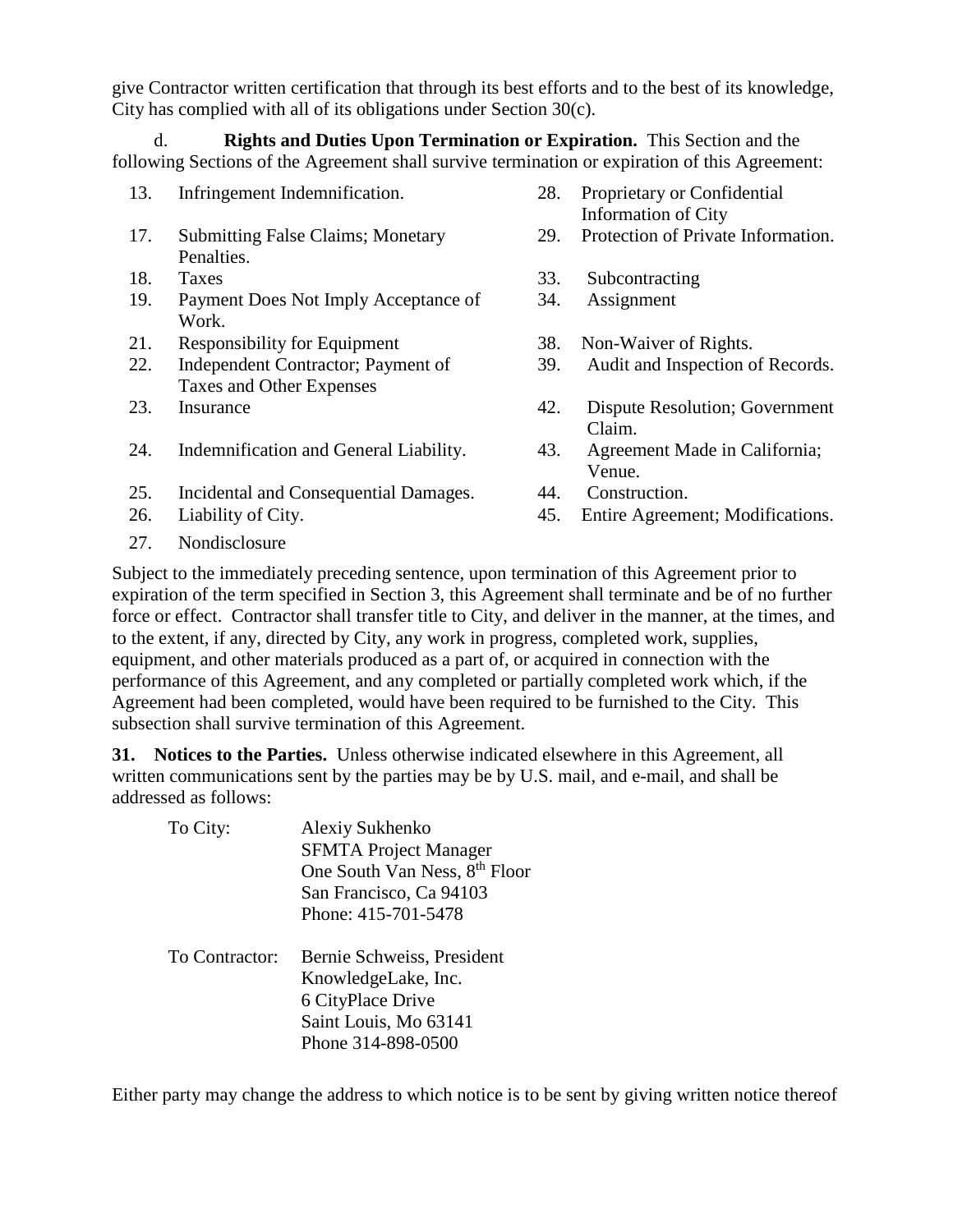give Contractor written certification that through its best efforts and to the best of its knowledge, City has complied with all of its obligations under Section 30(c).

d. **Rights and Duties Upon Termination or Expiration.** This Section and the following Sections of the Agreement shall survive termination or expiration of this Agreement:

- 13. Infringement Indemnification. 28. Proprietary or Confidential Information of City 17. Submitting False Claims; Monetary Penalties. 29. Protection of Private Information. 18. Taxes 33. Subcontracting 19. Payment Does Not Imply Acceptance of Work. 34. Assignment 21. Responsibility for Equipment 38. Non-Waiver of Rights. 22. Independent Contractor; Payment of Taxes and Other Expenses 39. Audit and Inspection of Records. 23. Insurance 42. Dispute Resolution; Government Claim. 24. Indemnification and General Liability. 43. Agreement Made in California; Venue. 25. Incidental and Consequential Damages. 44. Construction. 26. Liability of City. 45. Entire Agreement; Modifications.
- 27. Nondisclosure

Subject to the immediately preceding sentence, upon termination of this Agreement prior to expiration of the term specified in Section 3, this Agreement shall terminate and be of no further force or effect. Contractor shall transfer title to City, and deliver in the manner, at the times, and to the extent, if any, directed by City, any work in progress, completed work, supplies, equipment, and other materials produced as a part of, or acquired in connection with the performance of this Agreement, and any completed or partially completed work which, if the Agreement had been completed, would have been required to be furnished to the City. This subsection shall survive termination of this Agreement.

**31. Notices to the Parties.** Unless otherwise indicated elsewhere in this Agreement, all written communications sent by the parties may be by U.S. mail, and e-mail, and shall be addressed as follows:

| To City:       | Alexiy Sukhenko<br><b>SFMTA</b> Project Manager<br>One South Van Ness, 8 <sup>th</sup> Floor<br>San Francisco, Ca 94103<br>Phone: 415-701-5478 |
|----------------|------------------------------------------------------------------------------------------------------------------------------------------------|
| To Contractor: | Bernie Schweiss, President<br>KnowledgeLake, Inc.<br>6 CityPlace Drive<br>Saint Louis, Mo 63141<br>Phone 314-898-0500                          |

Either party may change the address to which notice is to be sent by giving written notice thereof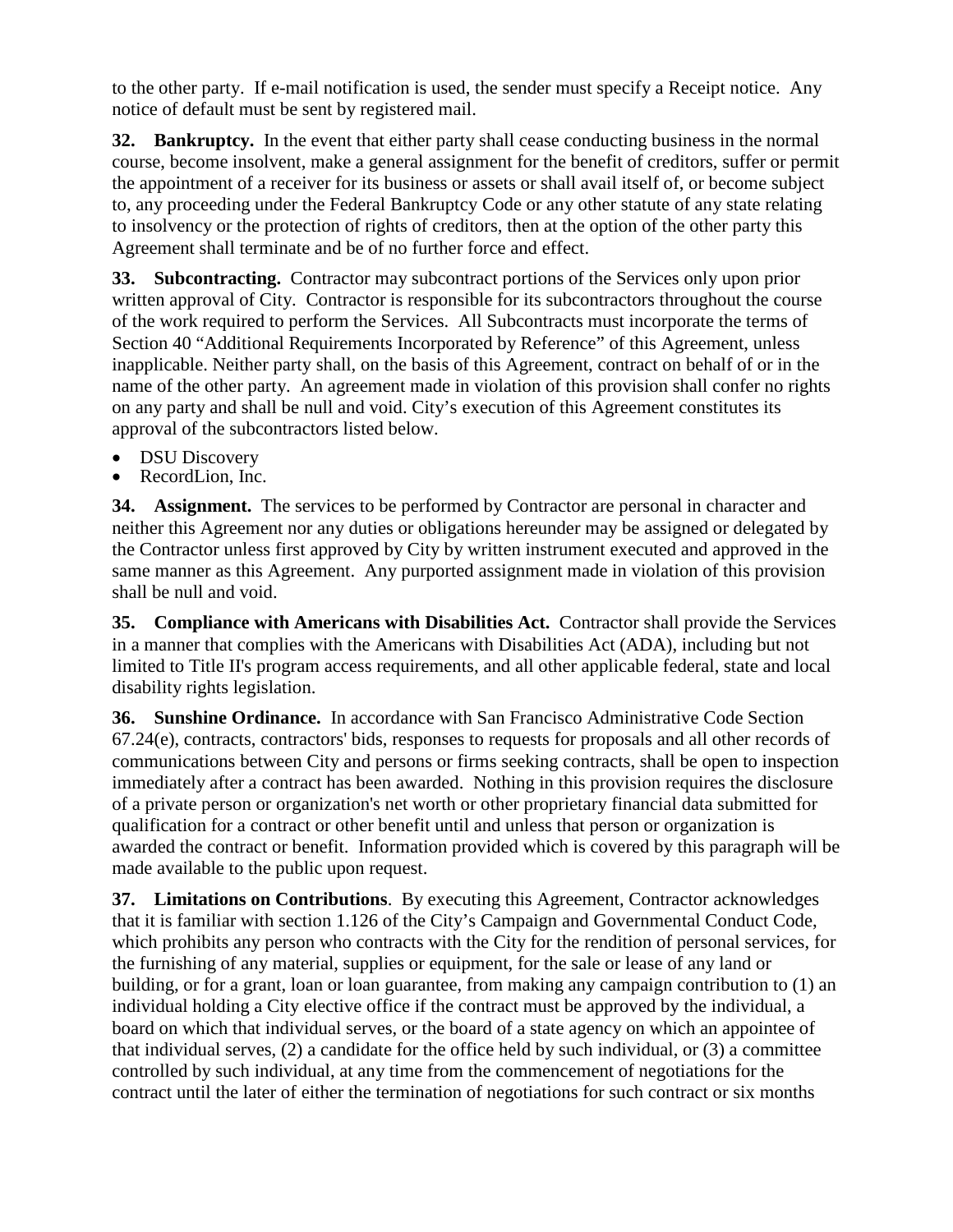to the other party. If e-mail notification is used, the sender must specify a Receipt notice. Any notice of default must be sent by registered mail.

**32. Bankruptcy.** In the event that either party shall cease conducting business in the normal course, become insolvent, make a general assignment for the benefit of creditors, suffer or permit the appointment of a receiver for its business or assets or shall avail itself of, or become subject to, any proceeding under the Federal Bankruptcy Code or any other statute of any state relating to insolvency or the protection of rights of creditors, then at the option of the other party this Agreement shall terminate and be of no further force and effect.

**33. Subcontracting.** Contractor may subcontract portions of the Services only upon prior written approval of City. Contractor is responsible for its subcontractors throughout the course of the work required to perform the Services. All Subcontracts must incorporate the terms of Section 40 "Additional Requirements Incorporated by Reference" of this Agreement, unless inapplicable. Neither party shall, on the basis of this Agreement, contract on behalf of or in the name of the other party. An agreement made in violation of this provision shall confer no rights on any party and shall be null and void. City's execution of this Agreement constitutes its approval of the subcontractors listed below.

- DSU Discovery
- RecordLion, Inc.

**34. Assignment.** The services to be performed by Contractor are personal in character and neither this Agreement nor any duties or obligations hereunder may be assigned or delegated by the Contractor unless first approved by City by written instrument executed and approved in the same manner as this Agreement. Any purported assignment made in violation of this provision shall be null and void.

**35. Compliance with Americans with Disabilities Act.** Contractor shall provide the Services in a manner that complies with the Americans with Disabilities Act (ADA), including but not limited to Title II's program access requirements, and all other applicable federal, state and local disability rights legislation.

**36. Sunshine Ordinance.** In accordance with San Francisco Administrative Code Section 67.24(e), contracts, contractors' bids, responses to requests for proposals and all other records of communications between City and persons or firms seeking contracts, shall be open to inspection immediately after a contract has been awarded. Nothing in this provision requires the disclosure of a private person or organization's net worth or other proprietary financial data submitted for qualification for a contract or other benefit until and unless that person or organization is awarded the contract or benefit. Information provided which is covered by this paragraph will be made available to the public upon request.

**37. Limitations on Contributions**. By executing this Agreement, Contractor acknowledges that it is familiar with section 1.126 of the City's Campaign and Governmental Conduct Code, which prohibits any person who contracts with the City for the rendition of personal services, for the furnishing of any material, supplies or equipment, for the sale or lease of any land or building, or for a grant, loan or loan guarantee, from making any campaign contribution to (1) an individual holding a City elective office if the contract must be approved by the individual, a board on which that individual serves, or the board of a state agency on which an appointee of that individual serves, (2) a candidate for the office held by such individual, or (3) a committee controlled by such individual, at any time from the commencement of negotiations for the contract until the later of either the termination of negotiations for such contract or six months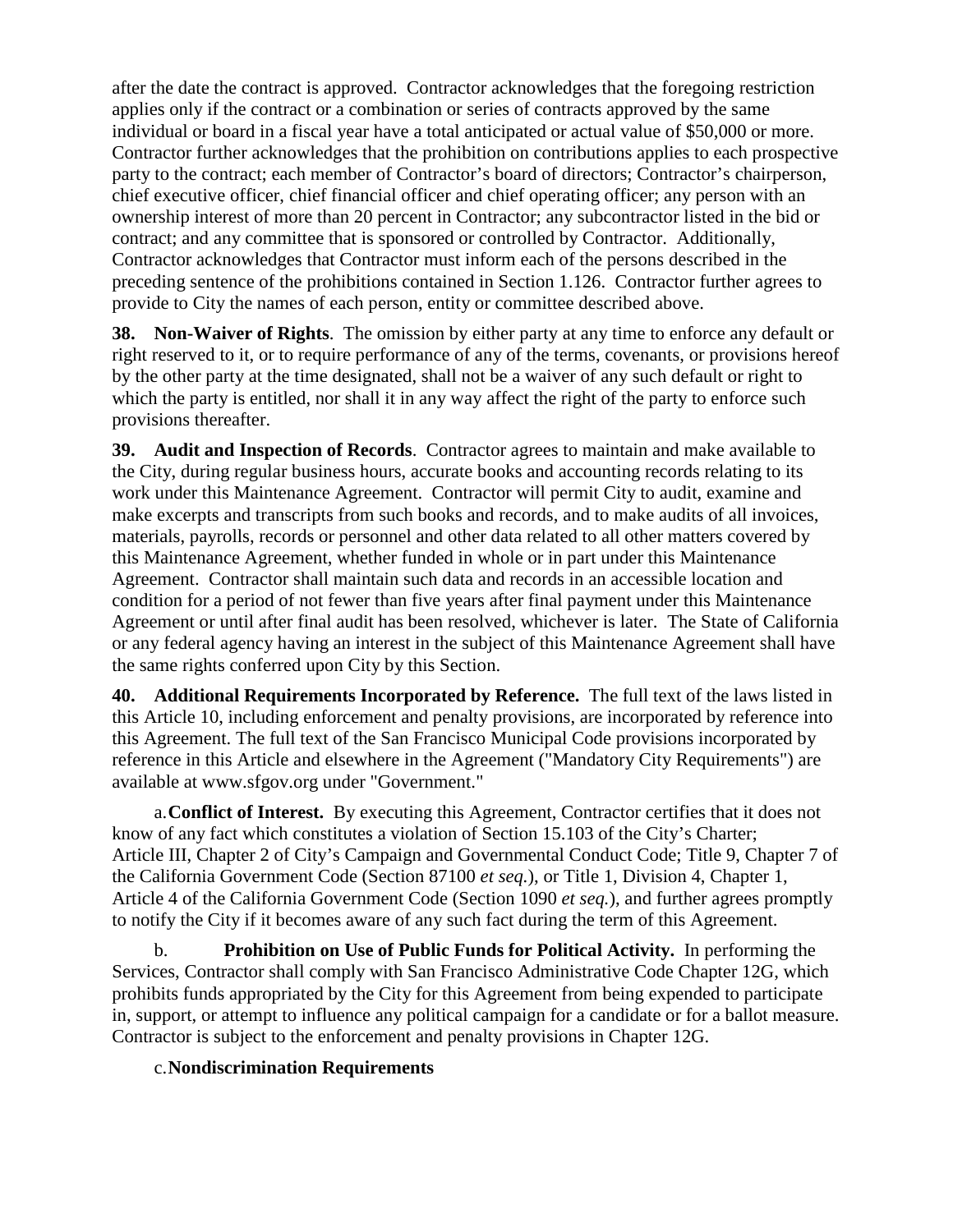after the date the contract is approved. Contractor acknowledges that the foregoing restriction applies only if the contract or a combination or series of contracts approved by the same individual or board in a fiscal year have a total anticipated or actual value of \$50,000 or more. Contractor further acknowledges that the prohibition on contributions applies to each prospective party to the contract; each member of Contractor's board of directors; Contractor's chairperson, chief executive officer, chief financial officer and chief operating officer; any person with an ownership interest of more than 20 percent in Contractor; any subcontractor listed in the bid or contract; and any committee that is sponsored or controlled by Contractor. Additionally, Contractor acknowledges that Contractor must inform each of the persons described in the preceding sentence of the prohibitions contained in Section 1.126. Contractor further agrees to provide to City the names of each person, entity or committee described above.

**38. Non-Waiver of Rights**. The omission by either party at any time to enforce any default or right reserved to it, or to require performance of any of the terms, covenants, or provisions hereof by the other party at the time designated, shall not be a waiver of any such default or right to which the party is entitled, nor shall it in any way affect the right of the party to enforce such provisions thereafter.

**39. Audit and Inspection of Records**. Contractor agrees to maintain and make available to the City, during regular business hours, accurate books and accounting records relating to its work under this Maintenance Agreement. Contractor will permit City to audit, examine and make excerpts and transcripts from such books and records, and to make audits of all invoices, materials, payrolls, records or personnel and other data related to all other matters covered by this Maintenance Agreement, whether funded in whole or in part under this Maintenance Agreement. Contractor shall maintain such data and records in an accessible location and condition for a period of not fewer than five years after final payment under this Maintenance Agreement or until after final audit has been resolved, whichever is later. The State of California or any federal agency having an interest in the subject of this Maintenance Agreement shall have the same rights conferred upon City by this Section.

**40. Additional Requirements Incorporated by Reference.** The full text of the laws listed in this Article 10, including enforcement and penalty provisions, are incorporated by reference into this Agreement. The full text of the San Francisco Municipal Code provisions incorporated by reference in this Article and elsewhere in the Agreement ("Mandatory City Requirements") are available at www.sfgov.org under "Government."

a.**Conflict of Interest.** By executing this Agreement, Contractor certifies that it does not know of any fact which constitutes a violation of Section 15.103 of the City's Charter; Article III, Chapter 2 of City's Campaign and Governmental Conduct Code; Title 9, Chapter 7 of the California Government Code (Section 87100 *et seq.*), or Title 1, Division 4, Chapter 1, Article 4 of the California Government Code (Section 1090 *et seq.*), and further agrees promptly to notify the City if it becomes aware of any such fact during the term of this Agreement.

b. **Prohibition on Use of Public Funds for Political Activity.** In performing the Services, Contractor shall comply with San Francisco Administrative Code Chapter 12G, which prohibits funds appropriated by the City for this Agreement from being expended to participate in, support, or attempt to influence any political campaign for a candidate or for a ballot measure. Contractor is subject to the enforcement and penalty provisions in Chapter 12G.

#### c.**Nondiscrimination Requirements**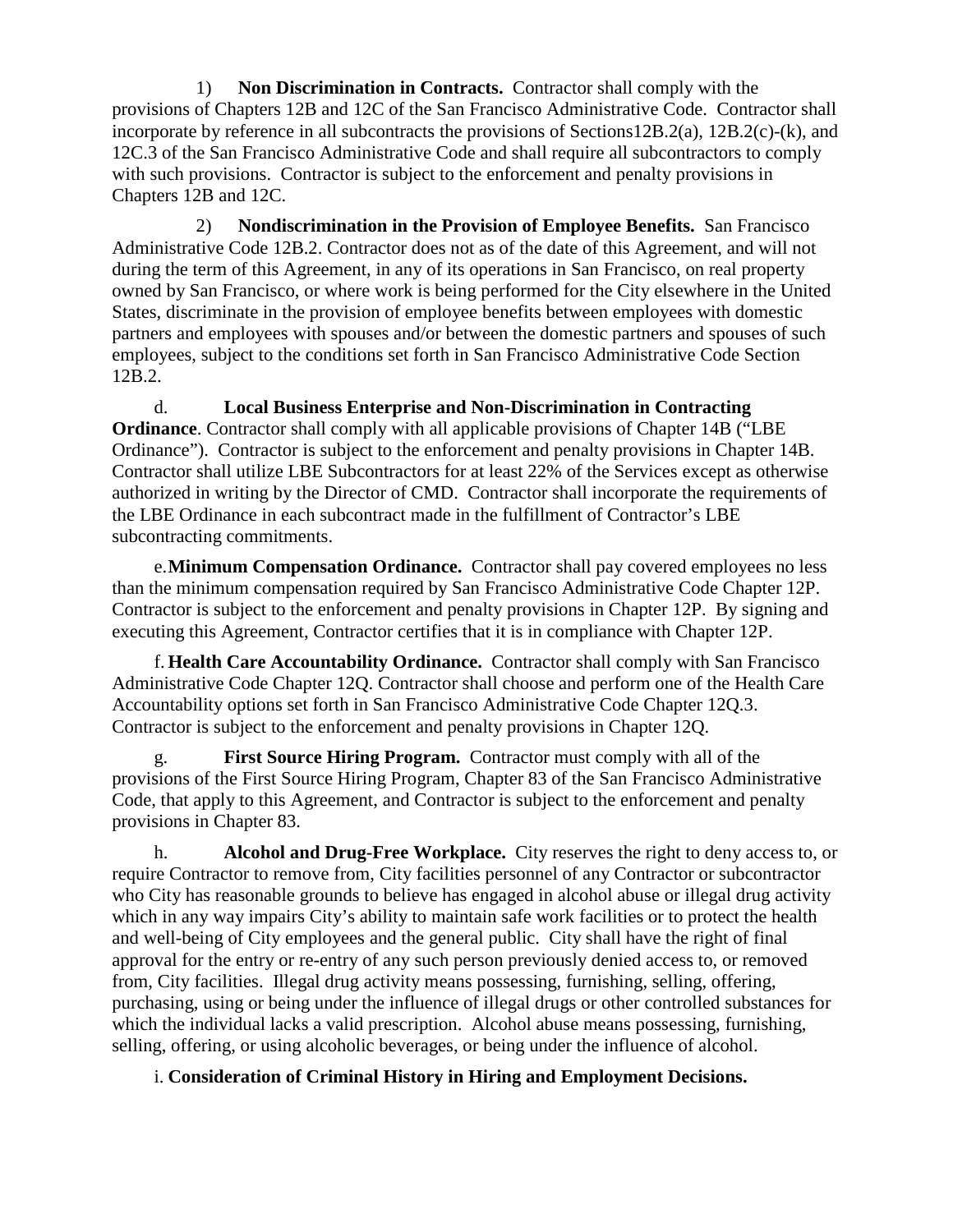1) **Non Discrimination in Contracts.** Contractor shall comply with the provisions of Chapters 12B and 12C of the San Francisco Administrative Code. Contractor shall incorporate by reference in all subcontracts the provisions of Sections12B.2(a), 12B.2(c)-(k), and 12C.3 of the San Francisco Administrative Code and shall require all subcontractors to comply with such provisions. Contractor is subject to the enforcement and penalty provisions in Chapters 12B and 12C.

2) **Nondiscrimination in the Provision of Employee Benefits.** San Francisco Administrative Code 12B.2. Contractor does not as of the date of this Agreement, and will not during the term of this Agreement, in any of its operations in San Francisco, on real property owned by San Francisco, or where work is being performed for the City elsewhere in the United States, discriminate in the provision of employee benefits between employees with domestic partners and employees with spouses and/or between the domestic partners and spouses of such employees, subject to the conditions set forth in San Francisco Administrative Code Section 12B.2.

d. **Local Business Enterprise and Non-Discrimination in Contracting Ordinance**. Contractor shall comply with all applicable provisions of Chapter 14B ("LBE Ordinance"). Contractor is subject to the enforcement and penalty provisions in Chapter 14B. Contractor shall utilize LBE Subcontractors for at least 22% of the Services except as otherwise authorized in writing by the Director of CMD. Contractor shall incorporate the requirements of the LBE Ordinance in each subcontract made in the fulfillment of Contractor's LBE subcontracting commitments.

e.**Minimum Compensation Ordinance.** Contractor shall pay covered employees no less than the minimum compensation required by San Francisco Administrative Code Chapter 12P. Contractor is subject to the enforcement and penalty provisions in Chapter 12P. By signing and executing this Agreement, Contractor certifies that it is in compliance with Chapter 12P.

f. **Health Care Accountability Ordinance.** Contractor shall comply with San Francisco Administrative Code Chapter 12Q. Contractor shall choose and perform one of the Health Care Accountability options set forth in San Francisco Administrative Code Chapter 12Q.3. Contractor is subject to the enforcement and penalty provisions in Chapter 12Q.

g. **First Source Hiring Program.** Contractor must comply with all of the provisions of the First Source Hiring Program, Chapter 83 of the San Francisco Administrative Code, that apply to this Agreement, and Contractor is subject to the enforcement and penalty provisions in Chapter 83.

h. **Alcohol and Drug-Free Workplace.** City reserves the right to deny access to, or require Contractor to remove from, City facilities personnel of any Contractor or subcontractor who City has reasonable grounds to believe has engaged in alcohol abuse or illegal drug activity which in any way impairs City's ability to maintain safe work facilities or to protect the health and well-being of City employees and the general public. City shall have the right of final approval for the entry or re-entry of any such person previously denied access to, or removed from, City facilities. Illegal drug activity means possessing, furnishing, selling, offering, purchasing, using or being under the influence of illegal drugs or other controlled substances for which the individual lacks a valid prescription. Alcohol abuse means possessing, furnishing, selling, offering, or using alcoholic beverages, or being under the influence of alcohol.

i. **Consideration of Criminal History in Hiring and Employment Decisions.**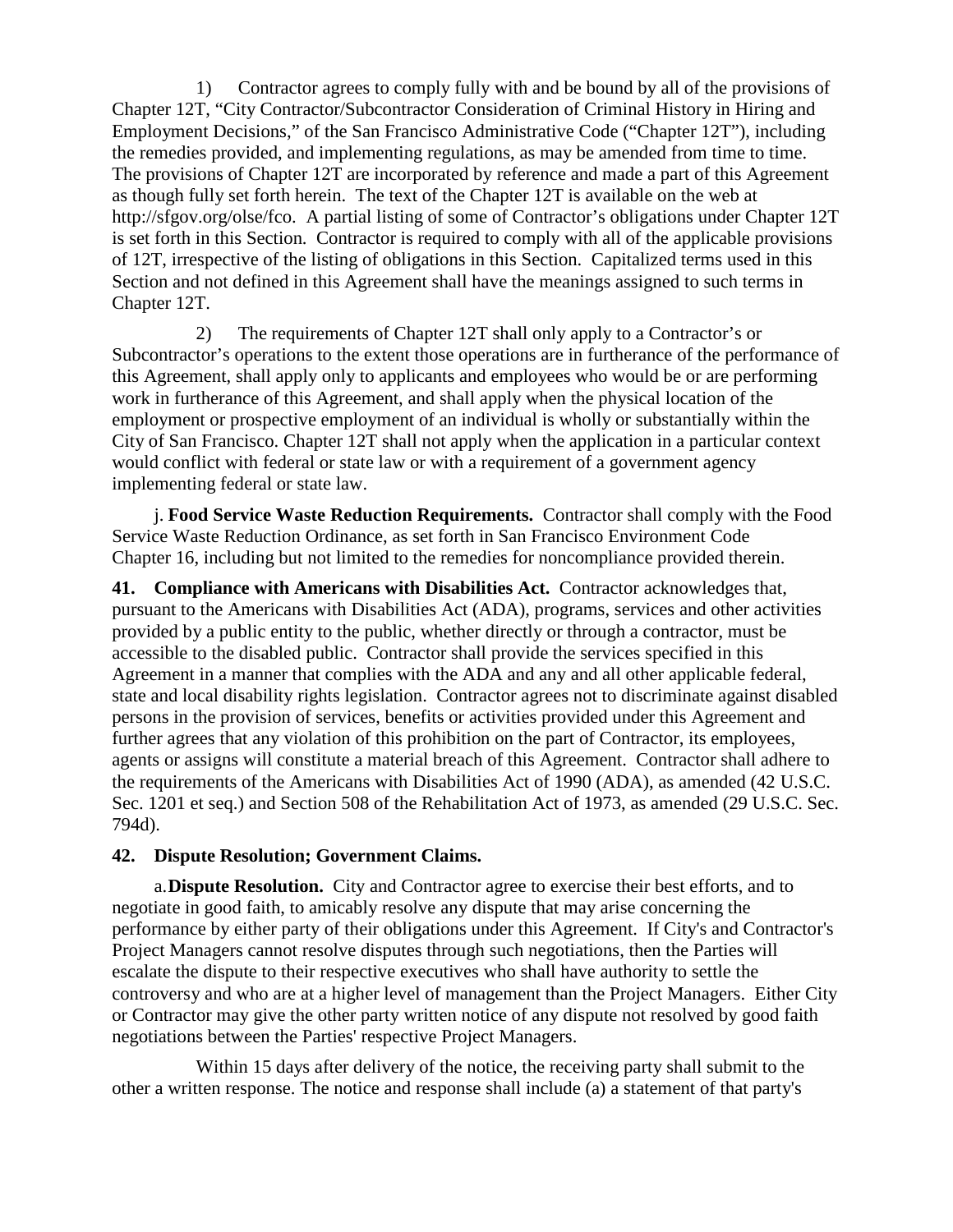1) Contractor agrees to comply fully with and be bound by all of the provisions of Chapter 12T, "City Contractor/Subcontractor Consideration of Criminal History in Hiring and Employment Decisions," of the San Francisco Administrative Code ("Chapter 12T"), including the remedies provided, and implementing regulations, as may be amended from time to time. The provisions of Chapter 12T are incorporated by reference and made a part of this Agreement as though fully set forth herein. The text of the Chapter 12T is available on the web at http://sfgov.org/olse/fco. A partial listing of some of Contractor's obligations under Chapter 12T is set forth in this Section. Contractor is required to comply with all of the applicable provisions of 12T, irrespective of the listing of obligations in this Section. Capitalized terms used in this Section and not defined in this Agreement shall have the meanings assigned to such terms in Chapter 12T.

2) The requirements of Chapter 12T shall only apply to a Contractor's or Subcontractor's operations to the extent those operations are in furtherance of the performance of this Agreement, shall apply only to applicants and employees who would be or are performing work in furtherance of this Agreement, and shall apply when the physical location of the employment or prospective employment of an individual is wholly or substantially within the City of San Francisco. Chapter 12T shall not apply when the application in a particular context would conflict with federal or state law or with a requirement of a government agency implementing federal or state law.

j. **Food Service Waste Reduction Requirements.** Contractor shall comply with the Food Service Waste Reduction Ordinance, as set forth in San Francisco Environment Code Chapter 16, including but not limited to the remedies for noncompliance provided therein.

**41. Compliance with Americans with Disabilities Act.** Contractor acknowledges that, pursuant to the Americans with Disabilities Act (ADA), programs, services and other activities provided by a public entity to the public, whether directly or through a contractor, must be accessible to the disabled public. Contractor shall provide the services specified in this Agreement in a manner that complies with the ADA and any and all other applicable federal, state and local disability rights legislation. Contractor agrees not to discriminate against disabled persons in the provision of services, benefits or activities provided under this Agreement and further agrees that any violation of this prohibition on the part of Contractor, its employees, agents or assigns will constitute a material breach of this Agreement. Contractor shall adhere to the requirements of the Americans with Disabilities Act of 1990 (ADA), as amended (42 U.S.C. Sec. 1201 et seq.) and Section 508 of the Rehabilitation Act of 1973, as amended (29 U.S.C. Sec. 794d).

#### **42. Dispute Resolution; Government Claims.**

a.**Dispute Resolution.** City and Contractor agree to exercise their best efforts, and to negotiate in good faith, to amicably resolve any dispute that may arise concerning the performance by either party of their obligations under this Agreement. If City's and Contractor's Project Managers cannot resolve disputes through such negotiations, then the Parties will escalate the dispute to their respective executives who shall have authority to settle the controversy and who are at a higher level of management than the Project Managers. Either City or Contractor may give the other party written notice of any dispute not resolved by good faith negotiations between the Parties' respective Project Managers.

Within 15 days after delivery of the notice, the receiving party shall submit to the other a written response. The notice and response shall include (a) a statement of that party's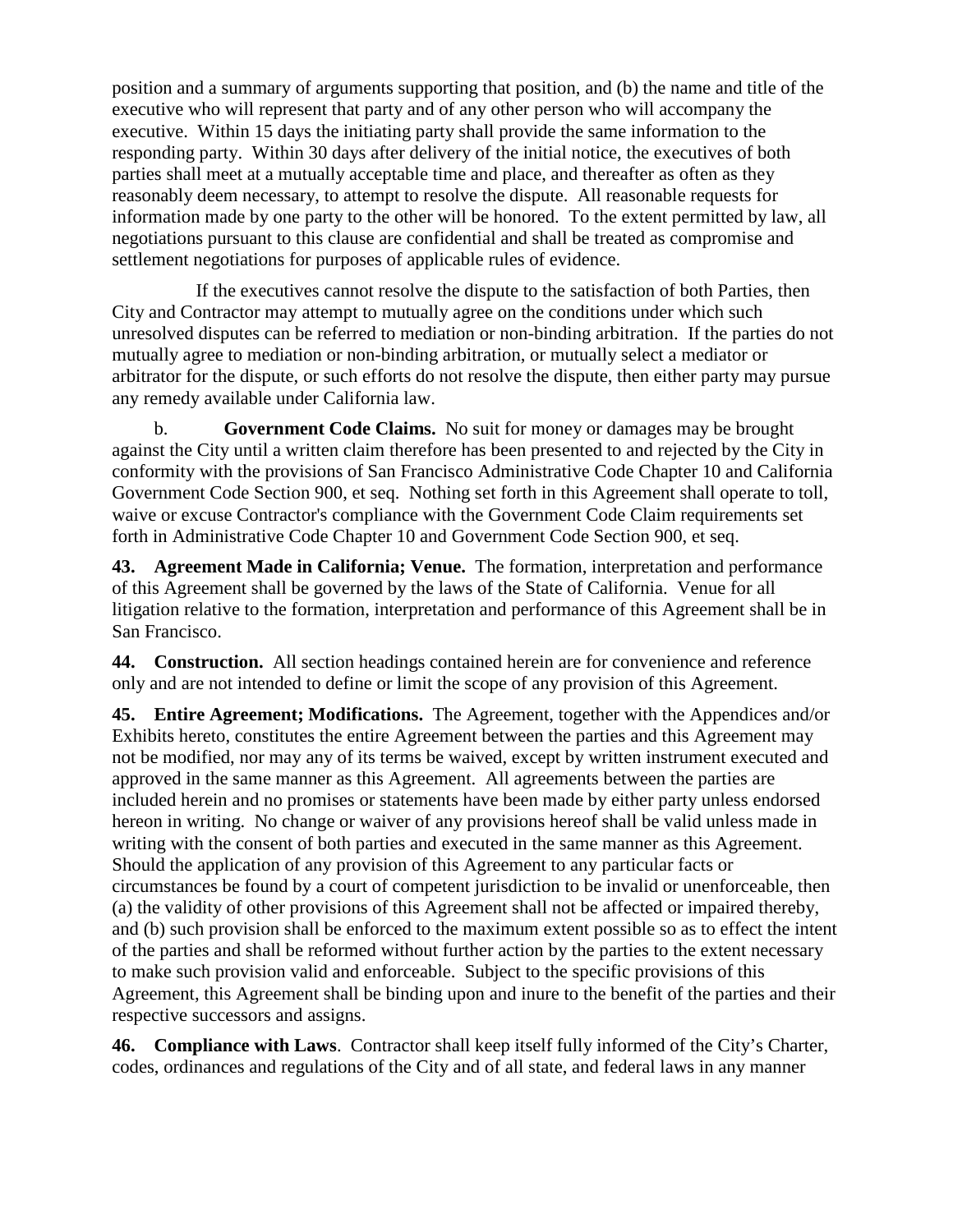position and a summary of arguments supporting that position, and (b) the name and title of the executive who will represent that party and of any other person who will accompany the executive. Within 15 days the initiating party shall provide the same information to the responding party. Within 30 days after delivery of the initial notice, the executives of both parties shall meet at a mutually acceptable time and place, and thereafter as often as they reasonably deem necessary, to attempt to resolve the dispute. All reasonable requests for information made by one party to the other will be honored. To the extent permitted by law, all negotiations pursuant to this clause are confidential and shall be treated as compromise and settlement negotiations for purposes of applicable rules of evidence.

If the executives cannot resolve the dispute to the satisfaction of both Parties, then City and Contractor may attempt to mutually agree on the conditions under which such unresolved disputes can be referred to mediation or non-binding arbitration. If the parties do not mutually agree to mediation or non-binding arbitration, or mutually select a mediator or arbitrator for the dispute, or such efforts do not resolve the dispute, then either party may pursue any remedy available under California law.

b. **Government Code Claims.** No suit for money or damages may be brought against the City until a written claim therefore has been presented to and rejected by the City in conformity with the provisions of San Francisco Administrative Code Chapter 10 and California Government Code Section 900, et seq. Nothing set forth in this Agreement shall operate to toll, waive or excuse Contractor's compliance with the Government Code Claim requirements set forth in Administrative Code Chapter 10 and Government Code Section 900, et seq.

**43. Agreement Made in California; Venue.** The formation, interpretation and performance of this Agreement shall be governed by the laws of the State of California. Venue for all litigation relative to the formation, interpretation and performance of this Agreement shall be in San Francisco.

**44. Construction.** All section headings contained herein are for convenience and reference only and are not intended to define or limit the scope of any provision of this Agreement.

**45. Entire Agreement; Modifications.** The Agreement, together with the Appendices and/or Exhibits hereto, constitutes the entire Agreement between the parties and this Agreement may not be modified, nor may any of its terms be waived, except by written instrument executed and approved in the same manner as this Agreement. All agreements between the parties are included herein and no promises or statements have been made by either party unless endorsed hereon in writing. No change or waiver of any provisions hereof shall be valid unless made in writing with the consent of both parties and executed in the same manner as this Agreement. Should the application of any provision of this Agreement to any particular facts or circumstances be found by a court of competent jurisdiction to be invalid or unenforceable, then (a) the validity of other provisions of this Agreement shall not be affected or impaired thereby, and (b) such provision shall be enforced to the maximum extent possible so as to effect the intent of the parties and shall be reformed without further action by the parties to the extent necessary to make such provision valid and enforceable. Subject to the specific provisions of this Agreement, this Agreement shall be binding upon and inure to the benefit of the parties and their respective successors and assigns.

**46. Compliance with Laws**. Contractor shall keep itself fully informed of the City's Charter, codes, ordinances and regulations of the City and of all state, and federal laws in any manner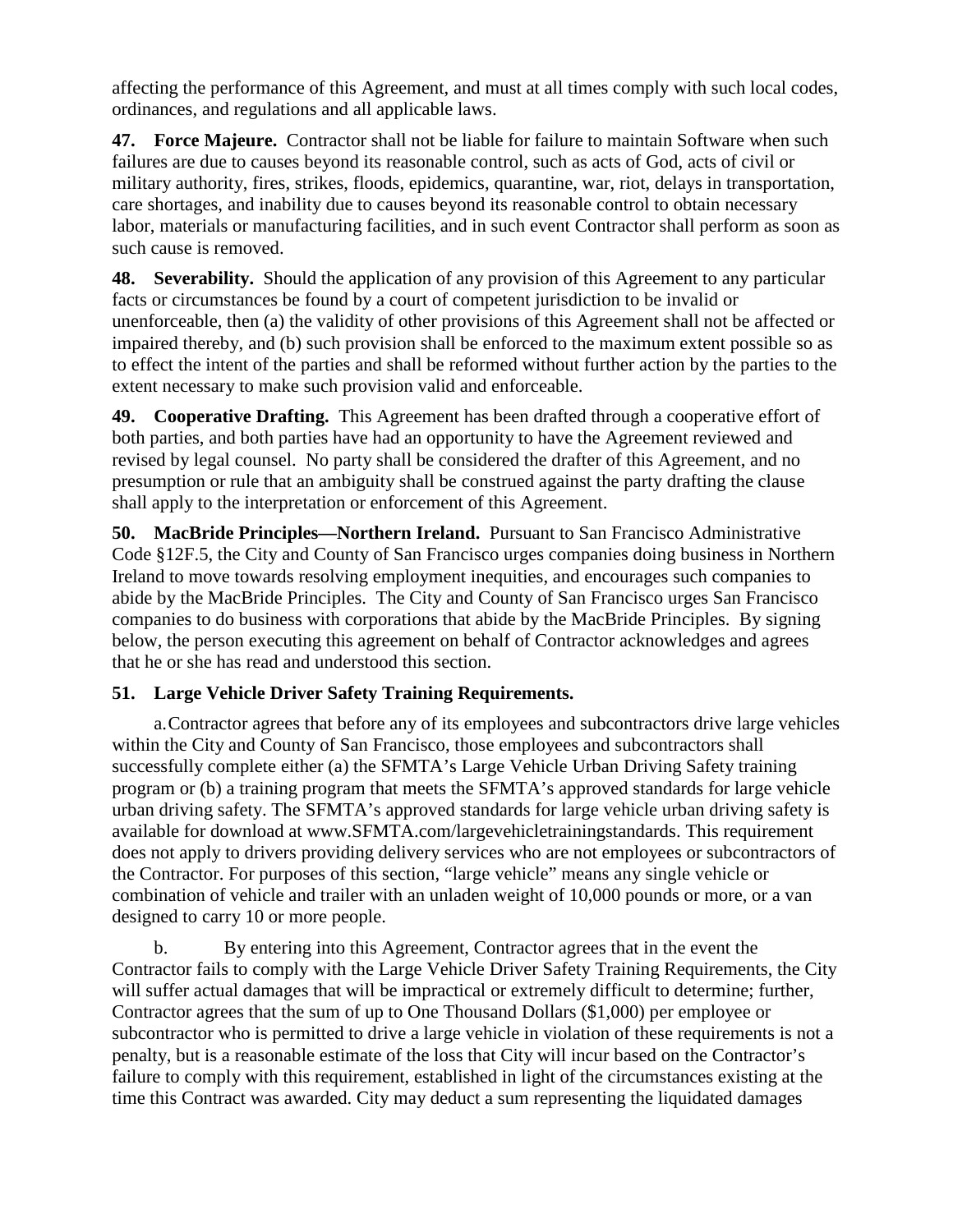affecting the performance of this Agreement, and must at all times comply with such local codes, ordinances, and regulations and all applicable laws.

**47. Force Majeure.** Contractor shall not be liable for failure to maintain Software when such failures are due to causes beyond its reasonable control, such as acts of God, acts of civil or military authority, fires, strikes, floods, epidemics, quarantine, war, riot, delays in transportation, care shortages, and inability due to causes beyond its reasonable control to obtain necessary labor, materials or manufacturing facilities, and in such event Contractor shall perform as soon as such cause is removed.

**48. Severability.** Should the application of any provision of this Agreement to any particular facts or circumstances be found by a court of competent jurisdiction to be invalid or unenforceable, then (a) the validity of other provisions of this Agreement shall not be affected or impaired thereby, and (b) such provision shall be enforced to the maximum extent possible so as to effect the intent of the parties and shall be reformed without further action by the parties to the extent necessary to make such provision valid and enforceable.

**49. Cooperative Drafting.** This Agreement has been drafted through a cooperative effort of both parties, and both parties have had an opportunity to have the Agreement reviewed and revised by legal counsel. No party shall be considered the drafter of this Agreement, and no presumption or rule that an ambiguity shall be construed against the party drafting the clause shall apply to the interpretation or enforcement of this Agreement.

**50. MacBride Principles—Northern Ireland.** Pursuant to San Francisco Administrative Code §12F.5, the City and County of San Francisco urges companies doing business in Northern Ireland to move towards resolving employment inequities, and encourages such companies to abide by the MacBride Principles. The City and County of San Francisco urges San Francisco companies to do business with corporations that abide by the MacBride Principles. By signing below, the person executing this agreement on behalf of Contractor acknowledges and agrees that he or she has read and understood this section.

## **51. Large Vehicle Driver Safety Training Requirements.**

a.Contractor agrees that before any of its employees and subcontractors drive large vehicles within the City and County of San Francisco, those employees and subcontractors shall successfully complete either (a) the SFMTA's Large Vehicle Urban Driving Safety training program or (b) a training program that meets the SFMTA's approved standards for large vehicle urban driving safety. The SFMTA's approved standards for large vehicle urban driving safety is available for download at www.SFMTA.com/largevehicletrainingstandards. This requirement does not apply to drivers providing delivery services who are not employees or subcontractors of the Contractor. For purposes of this section, "large vehicle" means any single vehicle or combination of vehicle and trailer with an unladen weight of 10,000 pounds or more, or a van designed to carry 10 or more people.

b. By entering into this Agreement, Contractor agrees that in the event the Contractor fails to comply with the Large Vehicle Driver Safety Training Requirements, the City will suffer actual damages that will be impractical or extremely difficult to determine; further, Contractor agrees that the sum of up to One Thousand Dollars (\$1,000) per employee or subcontractor who is permitted to drive a large vehicle in violation of these requirements is not a penalty, but is a reasonable estimate of the loss that City will incur based on the Contractor's failure to comply with this requirement, established in light of the circumstances existing at the time this Contract was awarded. City may deduct a sum representing the liquidated damages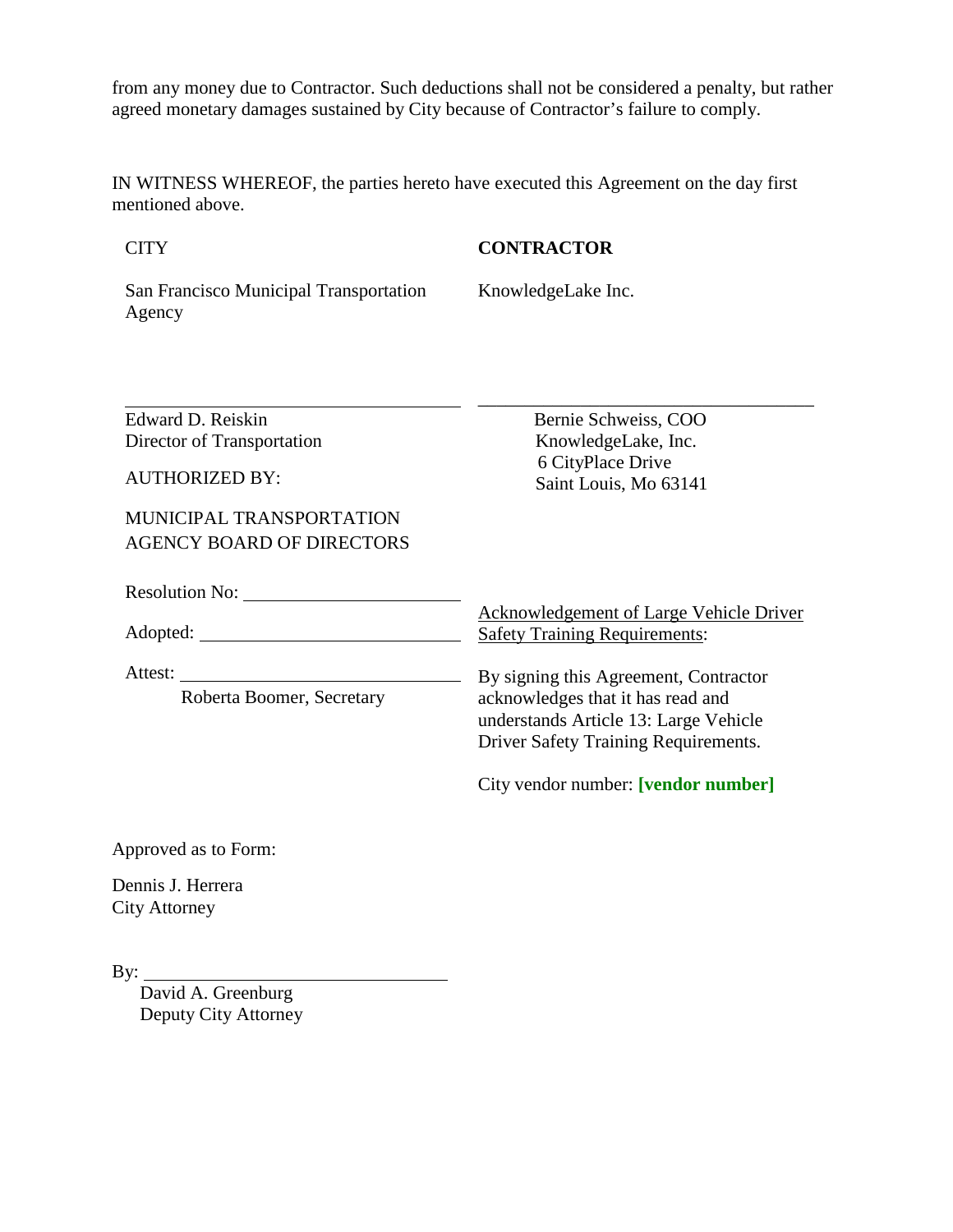from any money due to Contractor. Such deductions shall not be considered a penalty, but rather agreed monetary damages sustained by City because of Contractor's failure to comply.

IN WITNESS WHEREOF, the parties hereto have executed this Agreement on the day first mentioned above.

**CITY** 

**CONTRACTOR**

San Francisco Municipal Transportation Agency

KnowledgeLake Inc.

| Edward D. Reiskin                | Bernie Schweiss, COO                                                                   |
|----------------------------------|----------------------------------------------------------------------------------------|
| Director of Transportation       | KnowledgeLake, Inc.                                                                    |
| <b>AUTHORIZED BY:</b>            | 6 CityPlace Drive<br>Saint Louis, Mo 63141                                             |
| MUNICIPAL TRANSPORTATION         |                                                                                        |
| <b>AGENCY BOARD OF DIRECTORS</b> |                                                                                        |
| Resolution No:                   |                                                                                        |
|                                  | <b>Acknowledgement of Large Vehicle Driver</b><br><b>Safety Training Requirements:</b> |
| Attest:                          | By signing this Agreement, Contractor                                                  |
| Roberta Boomer, Secretary        | acknowledges that it has read and                                                      |
|                                  | understands Article 13: Large Vehicle                                                  |
|                                  | Driver Safety Training Requirements.                                                   |
|                                  | City vendor number: [vendor number]                                                    |
| 1. T                             |                                                                                        |

Approved as to Form:

Dennis J. Herrera City Attorney

By:  $\overline{\phantom{0}}$ 

David A. Greenburg Deputy City Attorney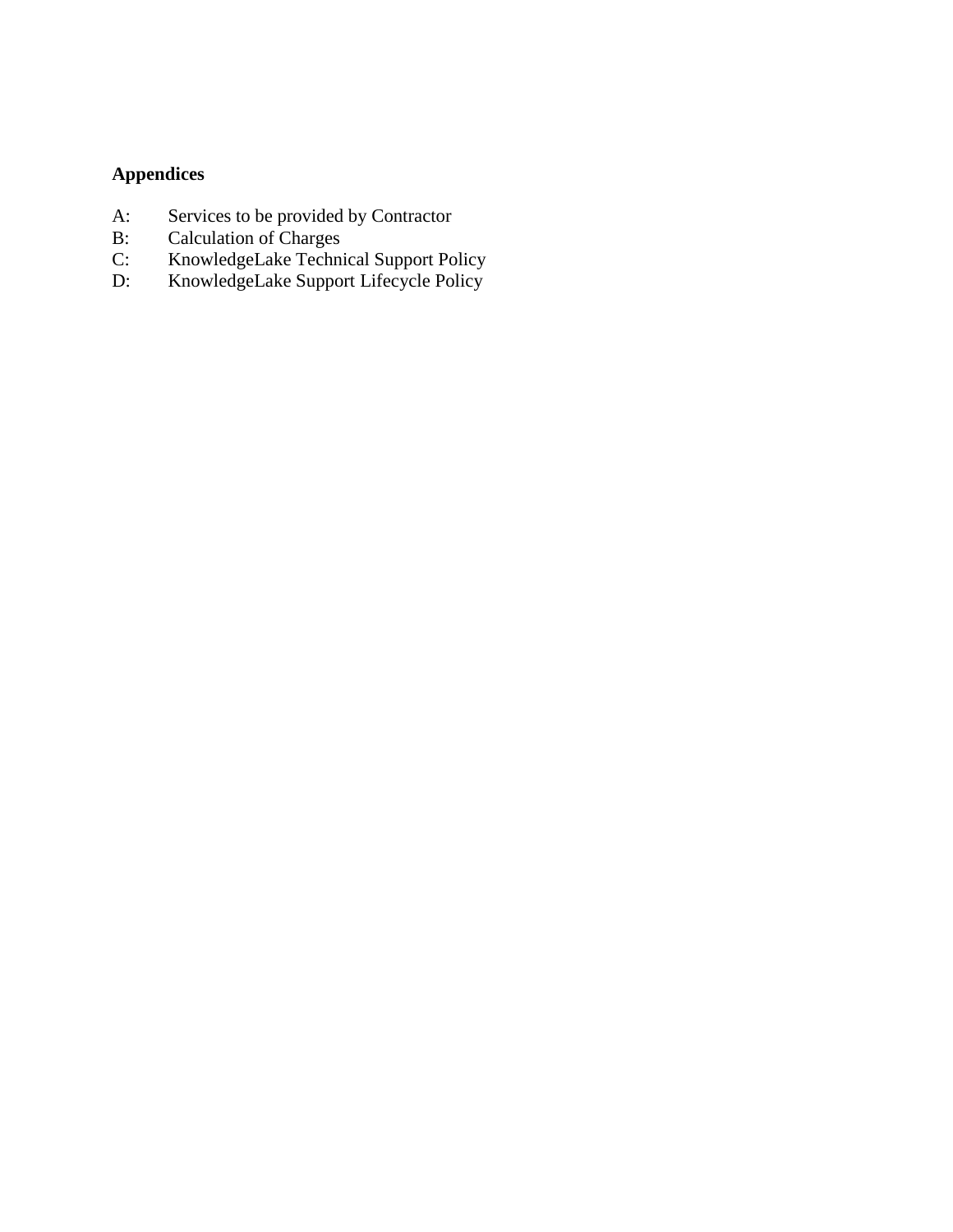# **Appendices**

- A: Services to be provided by Contractor
- B: Calculation of Charges
- C: KnowledgeLake Technical Support Policy
- D: KnowledgeLake Support Lifecycle Policy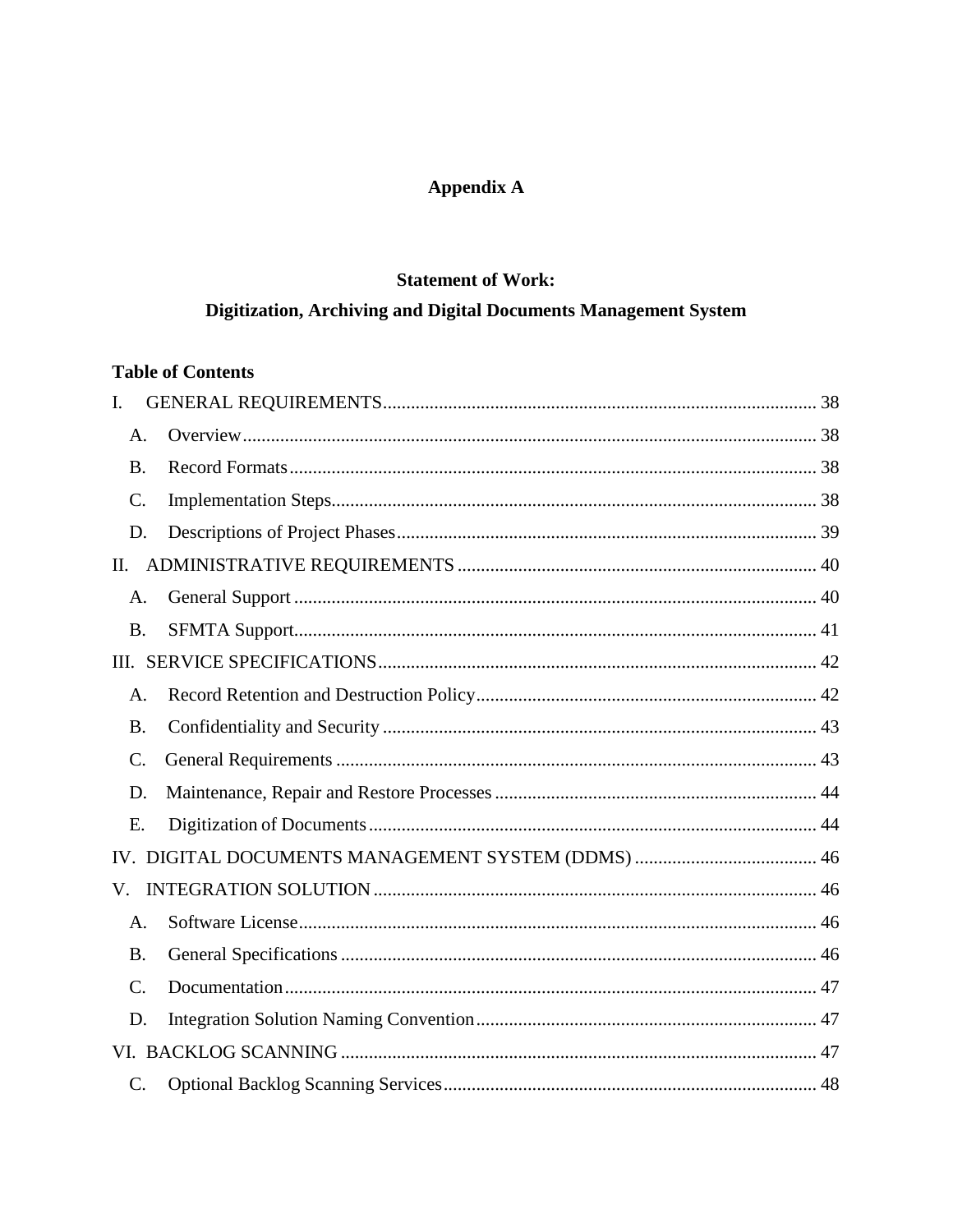## **Appendix A**

## **Statement of Work:**

# Digitization, Archiving and Digital Documents Management System

## **Table of Contents**

| L               |  |
|-----------------|--|
| A.              |  |
| <b>B.</b>       |  |
| $\mathcal{C}$ . |  |
| D.              |  |
| П.              |  |
| A.              |  |
| <b>B.</b>       |  |
|                 |  |
| A.              |  |
| <b>B.</b>       |  |
| $\mathcal{C}$ . |  |
| D.              |  |
| E.              |  |
|                 |  |
| V.              |  |
| A.              |  |
| <b>B.</b>       |  |
| $\mathcal{C}$ . |  |
| D.              |  |
|                 |  |
| $\mathbf{C}$ .  |  |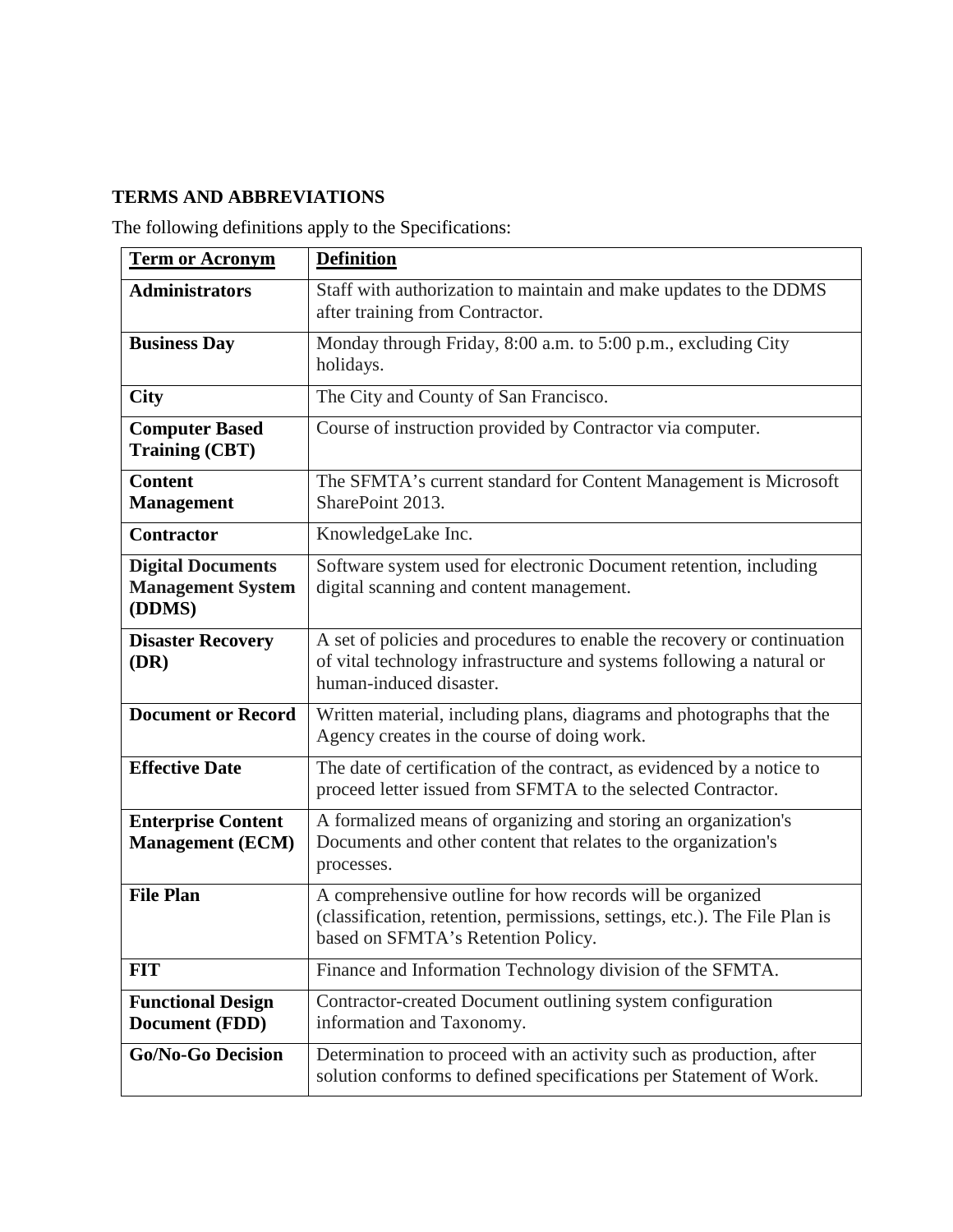## **TERMS AND ABBREVIATIONS**

The following definitions apply to the Specifications:

| <b>Term or Acronym</b>                                         | <b>Definition</b>                                                                                                                                                             |
|----------------------------------------------------------------|-------------------------------------------------------------------------------------------------------------------------------------------------------------------------------|
| <b>Administrators</b>                                          | Staff with authorization to maintain and make updates to the DDMS<br>after training from Contractor.                                                                          |
| <b>Business Day</b>                                            | Monday through Friday, 8:00 a.m. to 5:00 p.m., excluding City<br>holidays.                                                                                                    |
| <b>City</b>                                                    | The City and County of San Francisco.                                                                                                                                         |
| <b>Computer Based</b><br><b>Training (CBT)</b>                 | Course of instruction provided by Contractor via computer.                                                                                                                    |
| <b>Content</b><br><b>Management</b>                            | The SFMTA's current standard for Content Management is Microsoft<br>SharePoint 2013.                                                                                          |
| <b>Contractor</b>                                              | KnowledgeLake Inc.                                                                                                                                                            |
| <b>Digital Documents</b><br><b>Management System</b><br>(DDMS) | Software system used for electronic Document retention, including<br>digital scanning and content management.                                                                 |
| <b>Disaster Recovery</b><br>(DR)                               | A set of policies and procedures to enable the recovery or continuation<br>of vital technology infrastructure and systems following a natural or<br>human-induced disaster.   |
| <b>Document or Record</b>                                      | Written material, including plans, diagrams and photographs that the<br>Agency creates in the course of doing work.                                                           |
| <b>Effective Date</b>                                          | The date of certification of the contract, as evidenced by a notice to<br>proceed letter issued from SFMTA to the selected Contractor.                                        |
| <b>Enterprise Content</b><br><b>Management (ECM)</b>           | A formalized means of organizing and storing an organization's<br>Documents and other content that relates to the organization's<br>processes.                                |
| <b>File Plan</b>                                               | A comprehensive outline for how records will be organized<br>(classification, retention, permissions, settings, etc.). The File Plan is<br>based on SFMTA's Retention Policy. |
| <b>FIT</b>                                                     | Finance and Information Technology division of the SFMTA.                                                                                                                     |
| <b>Functional Design</b><br>Document (FDD)                     | Contractor-created Document outlining system configuration<br>information and Taxonomy.                                                                                       |
| <b>Go/No-Go Decision</b>                                       | Determination to proceed with an activity such as production, after<br>solution conforms to defined specifications per Statement of Work.                                     |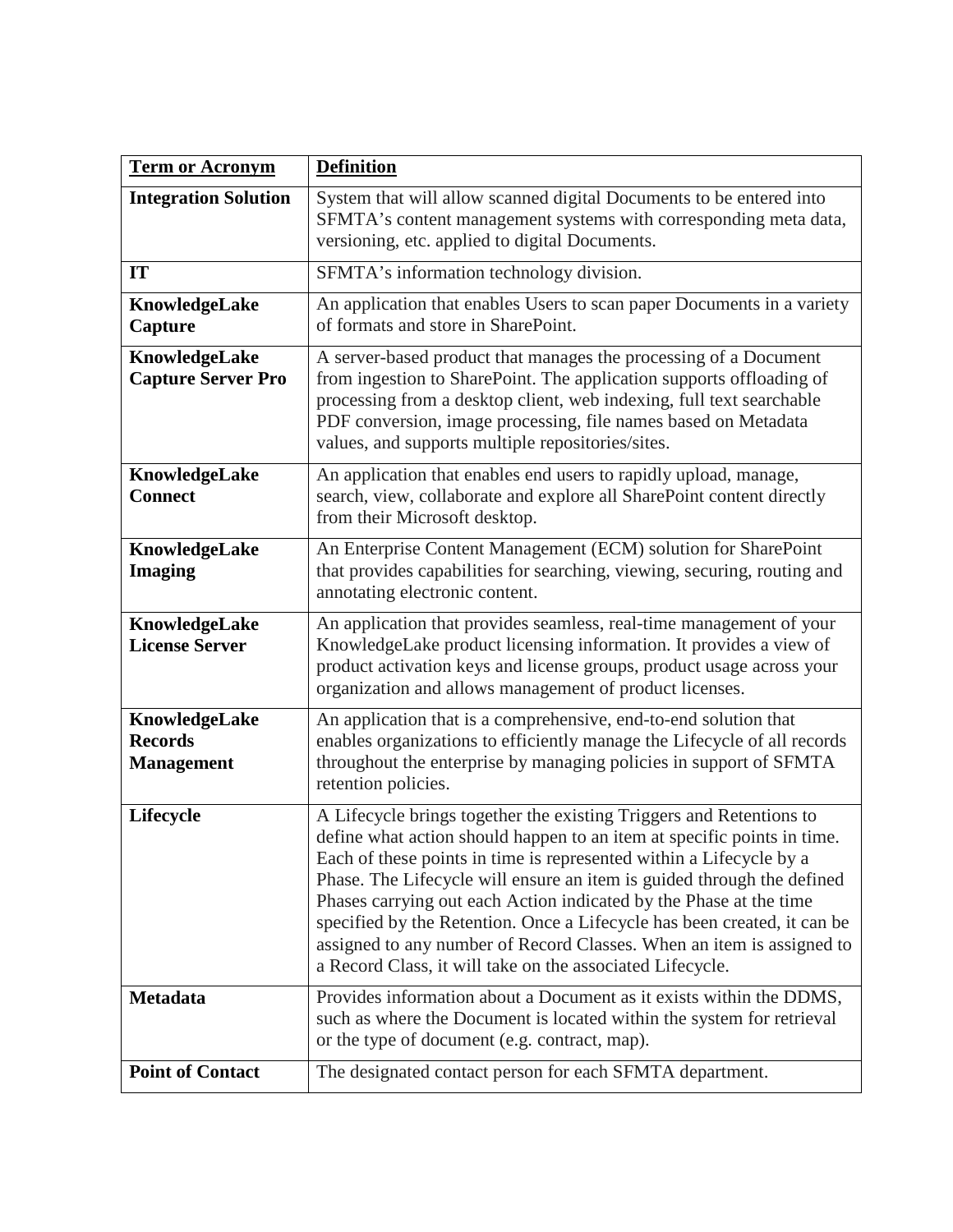| <b>Term or Acronym</b>                               | <b>Definition</b>                                                                                                                                                                                                                                                                                                                                                                                                                                                                                                                                                                       |
|------------------------------------------------------|-----------------------------------------------------------------------------------------------------------------------------------------------------------------------------------------------------------------------------------------------------------------------------------------------------------------------------------------------------------------------------------------------------------------------------------------------------------------------------------------------------------------------------------------------------------------------------------------|
| <b>Integration Solution</b>                          | System that will allow scanned digital Documents to be entered into<br>SFMTA's content management systems with corresponding meta data,<br>versioning, etc. applied to digital Documents.                                                                                                                                                                                                                                                                                                                                                                                               |
| <b>IT</b>                                            | SFMTA's information technology division.                                                                                                                                                                                                                                                                                                                                                                                                                                                                                                                                                |
| KnowledgeLake<br>Capture                             | An application that enables Users to scan paper Documents in a variety<br>of formats and store in SharePoint.                                                                                                                                                                                                                                                                                                                                                                                                                                                                           |
| KnowledgeLake<br><b>Capture Server Pro</b>           | A server-based product that manages the processing of a Document<br>from ingestion to SharePoint. The application supports offloading of<br>processing from a desktop client, web indexing, full text searchable<br>PDF conversion, image processing, file names based on Metadata<br>values, and supports multiple repositories/sites.                                                                                                                                                                                                                                                 |
| KnowledgeLake<br><b>Connect</b>                      | An application that enables end users to rapidly upload, manage,<br>search, view, collaborate and explore all SharePoint content directly<br>from their Microsoft desktop.                                                                                                                                                                                                                                                                                                                                                                                                              |
| KnowledgeLake<br><b>Imaging</b>                      | An Enterprise Content Management (ECM) solution for SharePoint<br>that provides capabilities for searching, viewing, securing, routing and<br>annotating electronic content.                                                                                                                                                                                                                                                                                                                                                                                                            |
| KnowledgeLake<br><b>License Server</b>               | An application that provides seamless, real-time management of your<br>KnowledgeLake product licensing information. It provides a view of<br>product activation keys and license groups, product usage across your<br>organization and allows management of product licenses.                                                                                                                                                                                                                                                                                                           |
| KnowledgeLake<br><b>Records</b><br><b>Management</b> | An application that is a comprehensive, end-to-end solution that<br>enables organizations to efficiently manage the Lifecycle of all records<br>throughout the enterprise by managing policies in support of SFMTA<br>retention policies.                                                                                                                                                                                                                                                                                                                                               |
| Lifecycle                                            | A Lifecycle brings together the existing Triggers and Retentions to<br>define what action should happen to an item at specific points in time.<br>Each of these points in time is represented within a Lifecycle by a<br>Phase. The Lifecycle will ensure an item is guided through the defined<br>Phases carrying out each Action indicated by the Phase at the time<br>specified by the Retention. Once a Lifecycle has been created, it can be<br>assigned to any number of Record Classes. When an item is assigned to<br>a Record Class, it will take on the associated Lifecycle. |
| <b>Metadata</b>                                      | Provides information about a Document as it exists within the DDMS,<br>such as where the Document is located within the system for retrieval<br>or the type of document (e.g. contract, map).                                                                                                                                                                                                                                                                                                                                                                                           |
| <b>Point of Contact</b>                              | The designated contact person for each SFMTA department.                                                                                                                                                                                                                                                                                                                                                                                                                                                                                                                                |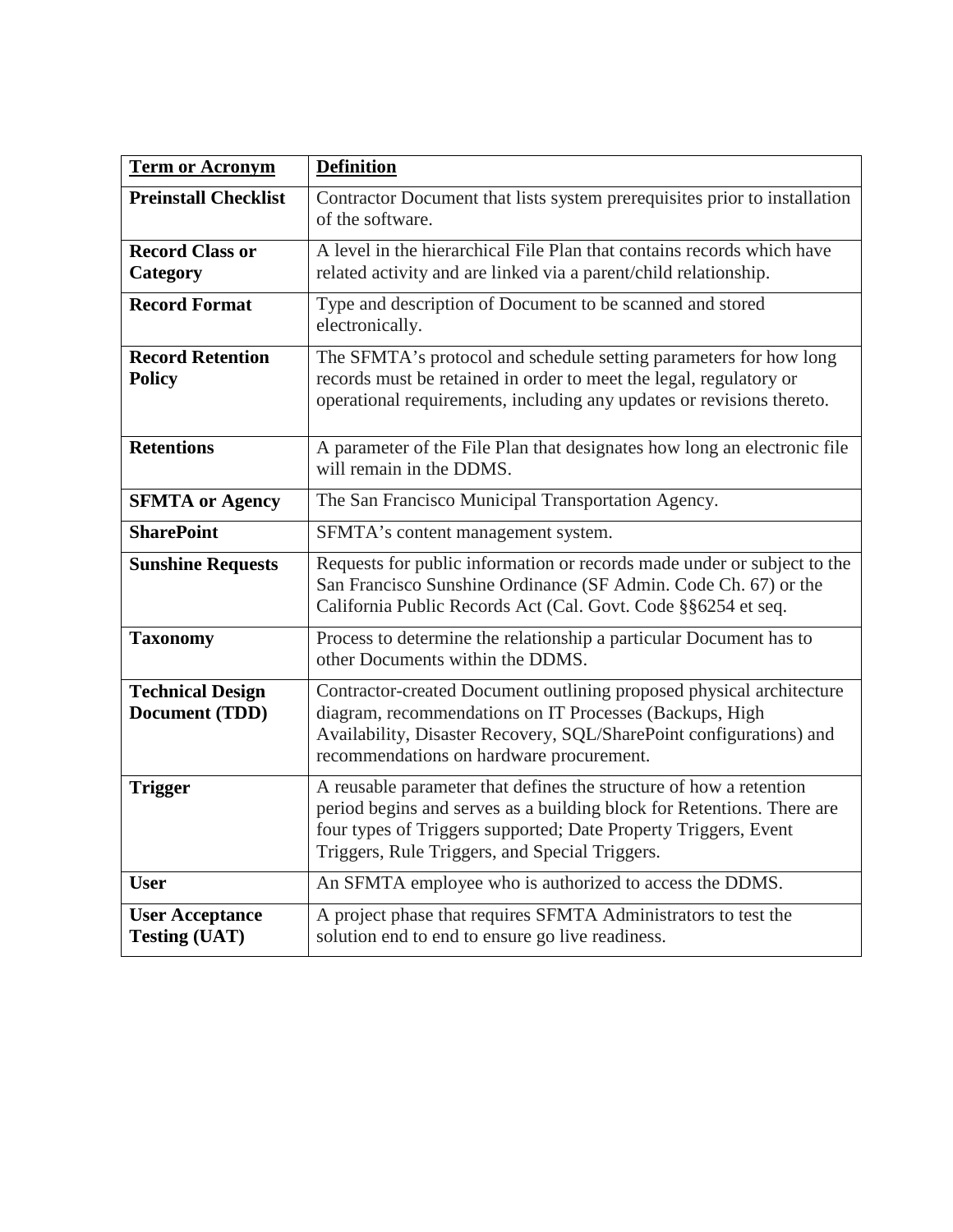| <b>Term or Acronym</b>                         | <b>Definition</b>                                                                                                                                                                                                                                                 |
|------------------------------------------------|-------------------------------------------------------------------------------------------------------------------------------------------------------------------------------------------------------------------------------------------------------------------|
| <b>Preinstall Checklist</b>                    | Contractor Document that lists system prerequisites prior to installation<br>of the software.                                                                                                                                                                     |
| <b>Record Class or</b><br>Category             | A level in the hierarchical File Plan that contains records which have<br>related activity and are linked via a parent/child relationship.                                                                                                                        |
| <b>Record Format</b>                           | Type and description of Document to be scanned and stored<br>electronically.                                                                                                                                                                                      |
| <b>Record Retention</b><br><b>Policy</b>       | The SFMTA's protocol and schedule setting parameters for how long<br>records must be retained in order to meet the legal, regulatory or<br>operational requirements, including any updates or revisions thereto.                                                  |
| <b>Retentions</b>                              | A parameter of the File Plan that designates how long an electronic file<br>will remain in the DDMS.                                                                                                                                                              |
| <b>SFMTA</b> or Agency                         | The San Francisco Municipal Transportation Agency.                                                                                                                                                                                                                |
| <b>SharePoint</b>                              | SFMTA's content management system.                                                                                                                                                                                                                                |
| <b>Sunshine Requests</b>                       | Requests for public information or records made under or subject to the<br>San Francisco Sunshine Ordinance (SF Admin. Code Ch. 67) or the<br>California Public Records Act (Cal. Govt. Code §§6254 et seq.                                                       |
| <b>Taxonomy</b>                                | Process to determine the relationship a particular Document has to<br>other Documents within the DDMS.                                                                                                                                                            |
| <b>Technical Design</b><br>Document (TDD)      | Contractor-created Document outlining proposed physical architecture<br>diagram, recommendations on IT Processes (Backups, High<br>Availability, Disaster Recovery, SQL/SharePoint configurations) and<br>recommendations on hardware procurement.                |
| <b>Trigger</b>                                 | A reusable parameter that defines the structure of how a retention<br>period begins and serves as a building block for Retentions. There are<br>four types of Triggers supported; Date Property Triggers, Event<br>Triggers, Rule Triggers, and Special Triggers. |
| <b>User</b>                                    | An SFMTA employee who is authorized to access the DDMS.                                                                                                                                                                                                           |
| <b>User Acceptance</b><br><b>Testing (UAT)</b> | A project phase that requires SFMTA Administrators to test the<br>solution end to end to ensure go live readiness.                                                                                                                                                |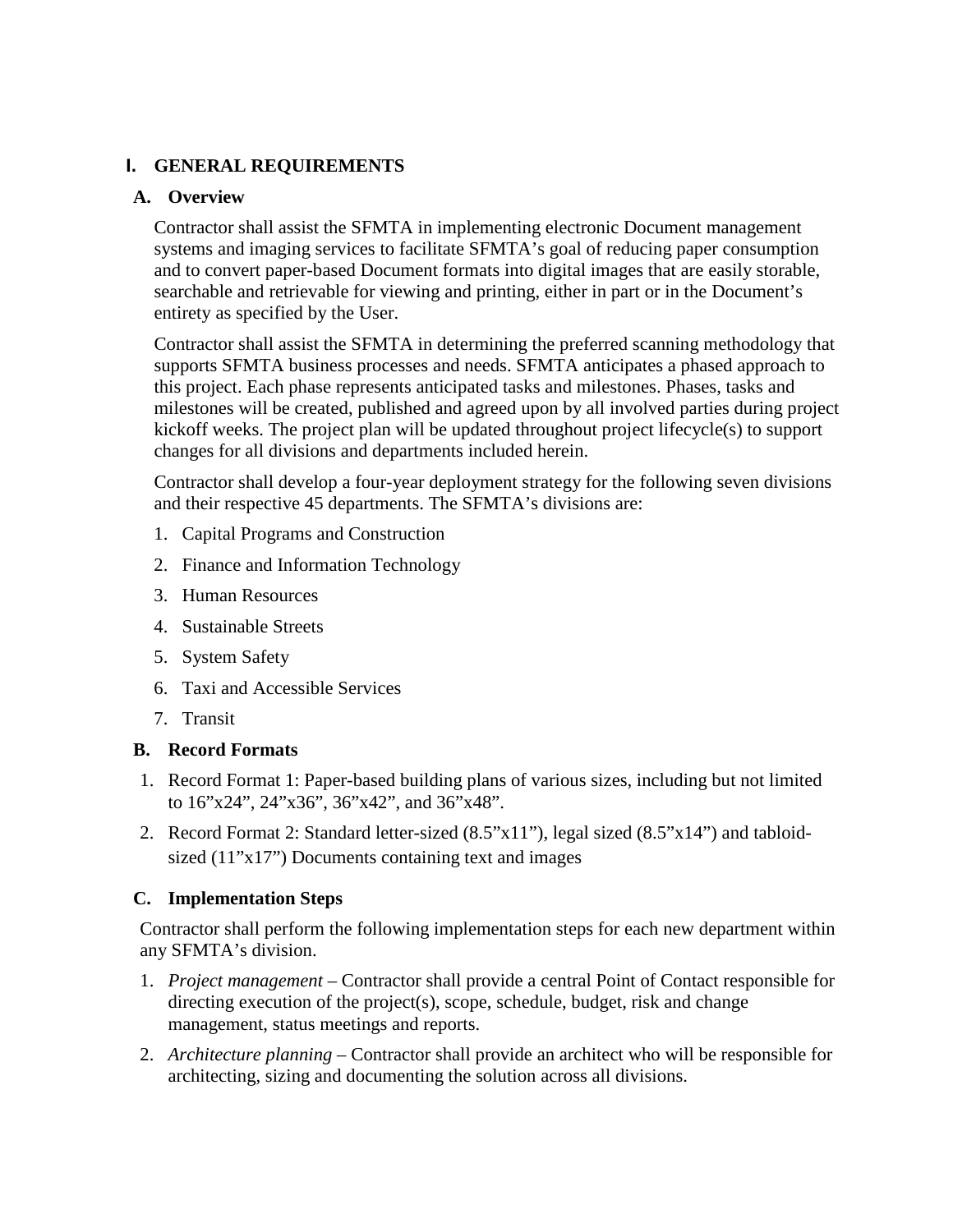## **I. GENERAL REQUIREMENTS**

## **A. Overview**

Contractor shall assist the SFMTA in implementing electronic Document management systems and imaging services to facilitate SFMTA's goal of reducing paper consumption and to convert paper-based Document formats into digital images that are easily storable, searchable and retrievable for viewing and printing, either in part or in the Document's entirety as specified by the User.

Contractor shall assist the SFMTA in determining the preferred scanning methodology that supports SFMTA business processes and needs. SFMTA anticipates a phased approach to this project. Each phase represents anticipated tasks and milestones. Phases, tasks and milestones will be created, published and agreed upon by all involved parties during project kickoff weeks. The project plan will be updated throughout project lifecycle(s) to support changes for all divisions and departments included herein.

Contractor shall develop a four-year deployment strategy for the following seven divisions and their respective 45 departments. The SFMTA's divisions are:

- 1. Capital Programs and Construction
- 2. Finance and Information Technology
- 3. Human Resources
- 4. Sustainable Streets
- 5. System Safety
- 6. Taxi and Accessible Services
- 7. Transit

## **B. Record Formats**

- 1. Record Format 1: Paper-based building plans of various sizes, including but not limited to 16"x24", 24"x36", 36"x42", and 36"x48".
- 2. Record Format 2: Standard letter-sized (8.5"x11"), legal sized (8.5"x14") and tabloidsized (11"x17") Documents containing text and images

## **C. Implementation Steps**

Contractor shall perform the following implementation steps for each new department within any SFMTA's division.

- 1. *Project management* Contractor shall provide a central Point of Contact responsible for directing execution of the project(s), scope, schedule, budget, risk and change management, status meetings and reports.
- 2. *Architecture planning* Contractor shall provide an architect who will be responsible for architecting, sizing and documenting the solution across all divisions.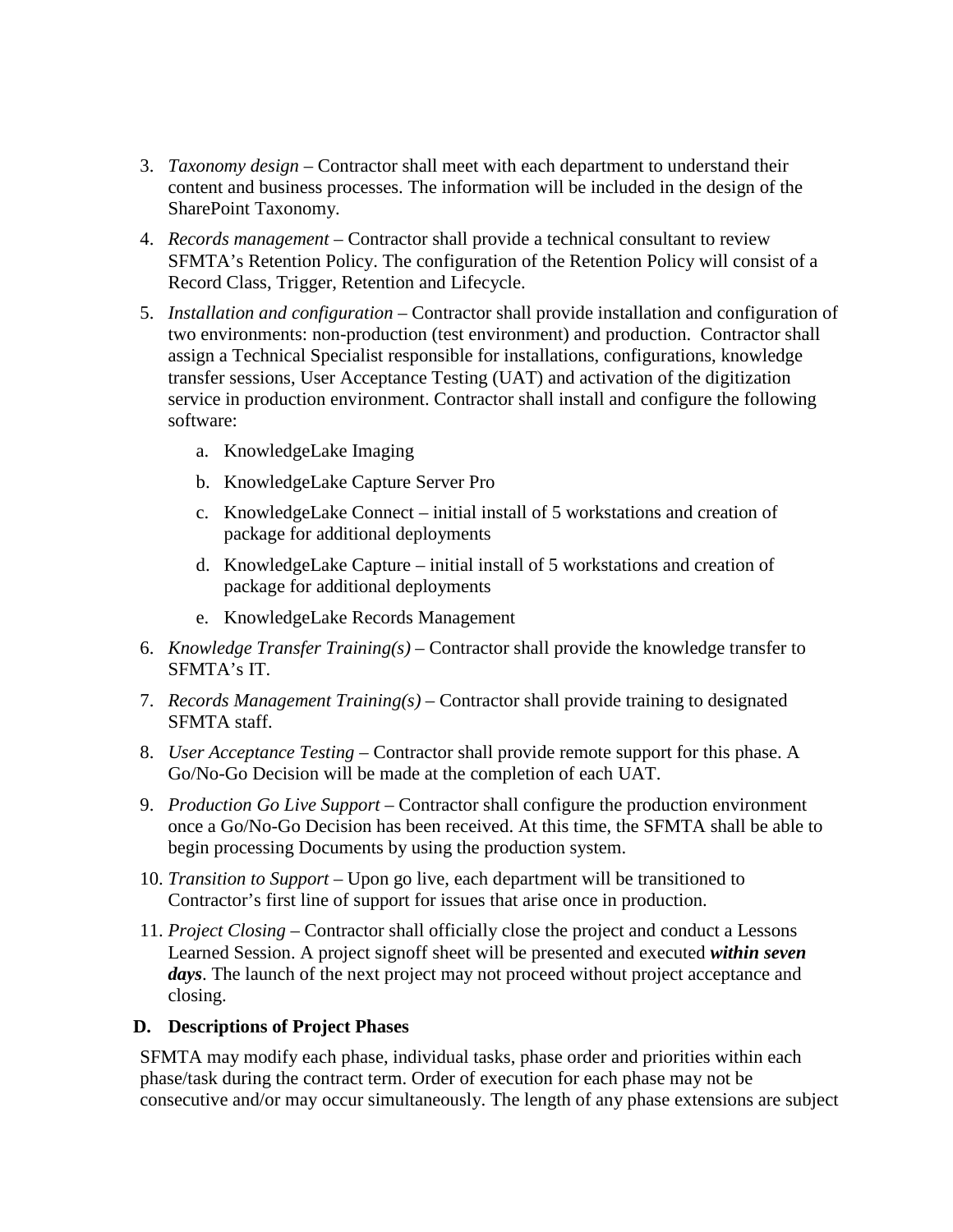- 3. *Taxonomy design* Contractor shall meet with each department to understand their content and business processes. The information will be included in the design of the SharePoint Taxonomy.
- 4. *Records management* Contractor shall provide a technical consultant to review SFMTA's Retention Policy. The configuration of the Retention Policy will consist of a Record Class, Trigger, Retention and Lifecycle.
- 5. *Installation and configuration* Contractor shall provide installation and configuration of two environments: non-production (test environment) and production. Contractor shall assign a Technical Specialist responsible for installations, configurations, knowledge transfer sessions, User Acceptance Testing (UAT) and activation of the digitization service in production environment. Contractor shall install and configure the following software:
	- a. KnowledgeLake Imaging
	- b. KnowledgeLake Capture Server Pro
	- c. KnowledgeLake Connect initial install of 5 workstations and creation of package for additional deployments
	- d. KnowledgeLake Capture initial install of 5 workstations and creation of package for additional deployments
	- e. KnowledgeLake Records Management
- 6. *Knowledge Transfer Training(s)*  Contractor shall provide the knowledge transfer to SFMTA's IT.
- 7. *Records Management Training(s)* Contractor shall provide training to designated SFMTA staff.
- 8. *User Acceptance Testing* Contractor shall provide remote support for this phase. A Go/No-Go Decision will be made at the completion of each UAT.
- 9. *Production Go Live Support* Contractor shall configure the production environment once a Go/No-Go Decision has been received. At this time, the SFMTA shall be able to begin processing Documents by using the production system.
- 10. *Transition to Support* Upon go live, each department will be transitioned to Contractor's first line of support for issues that arise once in production.
- 11. *Project Closing* Contractor shall officially close the project and conduct a Lessons Learned Session. A project signoff sheet will be presented and executed *within seven days*. The launch of the next project may not proceed without project acceptance and closing.

#### **D. Descriptions of Project Phases**

SFMTA may modify each phase, individual tasks, phase order and priorities within each phase/task during the contract term. Order of execution for each phase may not be consecutive and/or may occur simultaneously. The length of any phase extensions are subject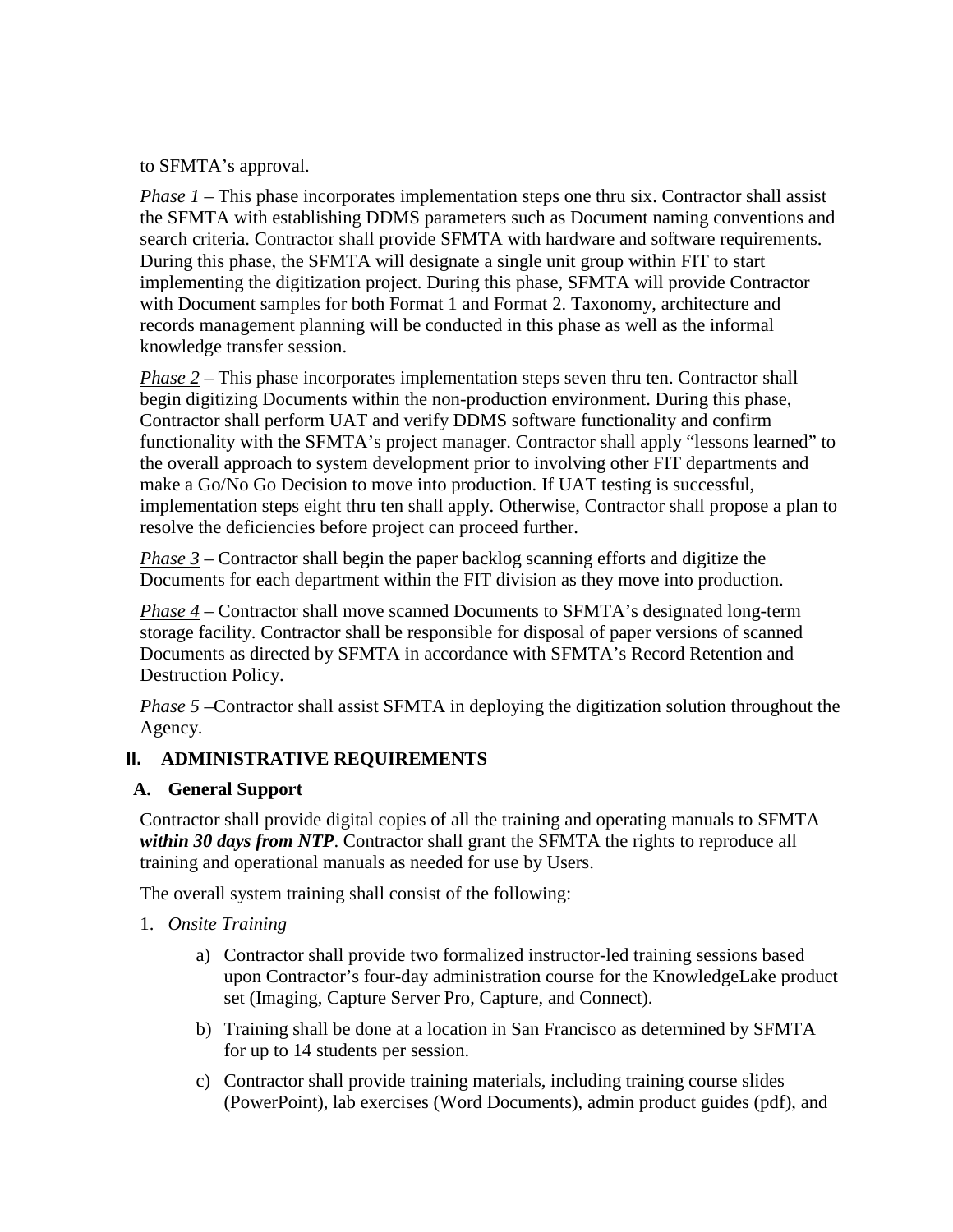to SFMTA's approval.

*Phase 1* – This phase incorporates implementation steps one thru six. Contractor shall assist the SFMTA with establishing DDMS parameters such as Document naming conventions and search criteria. Contractor shall provide SFMTA with hardware and software requirements. During this phase, the SFMTA will designate a single unit group within FIT to start implementing the digitization project. During this phase, SFMTA will provide Contractor with Document samples for both Format 1 and Format 2. Taxonomy, architecture and records management planning will be conducted in this phase as well as the informal knowledge transfer session.

*Phase 2* – This phase incorporates implementation steps seven thru ten. Contractor shall begin digitizing Documents within the non-production environment. During this phase, Contractor shall perform UAT and verify DDMS software functionality and confirm functionality with the SFMTA's project manager. Contractor shall apply "lessons learned" to the overall approach to system development prior to involving other FIT departments and make a Go/No Go Decision to move into production. If UAT testing is successful, implementation steps eight thru ten shall apply. Otherwise, Contractor shall propose a plan to resolve the deficiencies before project can proceed further.

*Phase 3* – Contractor shall begin the paper backlog scanning efforts and digitize the Documents for each department within the FIT division as they move into production.

*Phase 4* – Contractor shall move scanned Documents to SFMTA's designated long-term storage facility. Contractor shall be responsible for disposal of paper versions of scanned Documents as directed by SFMTA in accordance with SFMTA's Record Retention and Destruction Policy.

*Phase 5* – Contractor shall assist SFMTA in deploying the digitization solution throughout the Agency.

## **II. ADMINISTRATIVE REQUIREMENTS**

#### **A. General Support**

Contractor shall provide digital copies of all the training and operating manuals to SFMTA *within 30 days from NTP*. Contractor shall grant the SFMTA the rights to reproduce all training and operational manuals as needed for use by Users.

The overall system training shall consist of the following:

- 1. *Onsite Training*
	- a) Contractor shall provide two formalized instructor-led training sessions based upon Contractor's four-day administration course for the KnowledgeLake product set (Imaging, Capture Server Pro, Capture, and Connect).
	- b) Training shall be done at a location in San Francisco as determined by SFMTA for up to 14 students per session.
	- c) Contractor shall provide training materials, including training course slides (PowerPoint), lab exercises (Word Documents), admin product guides (pdf), and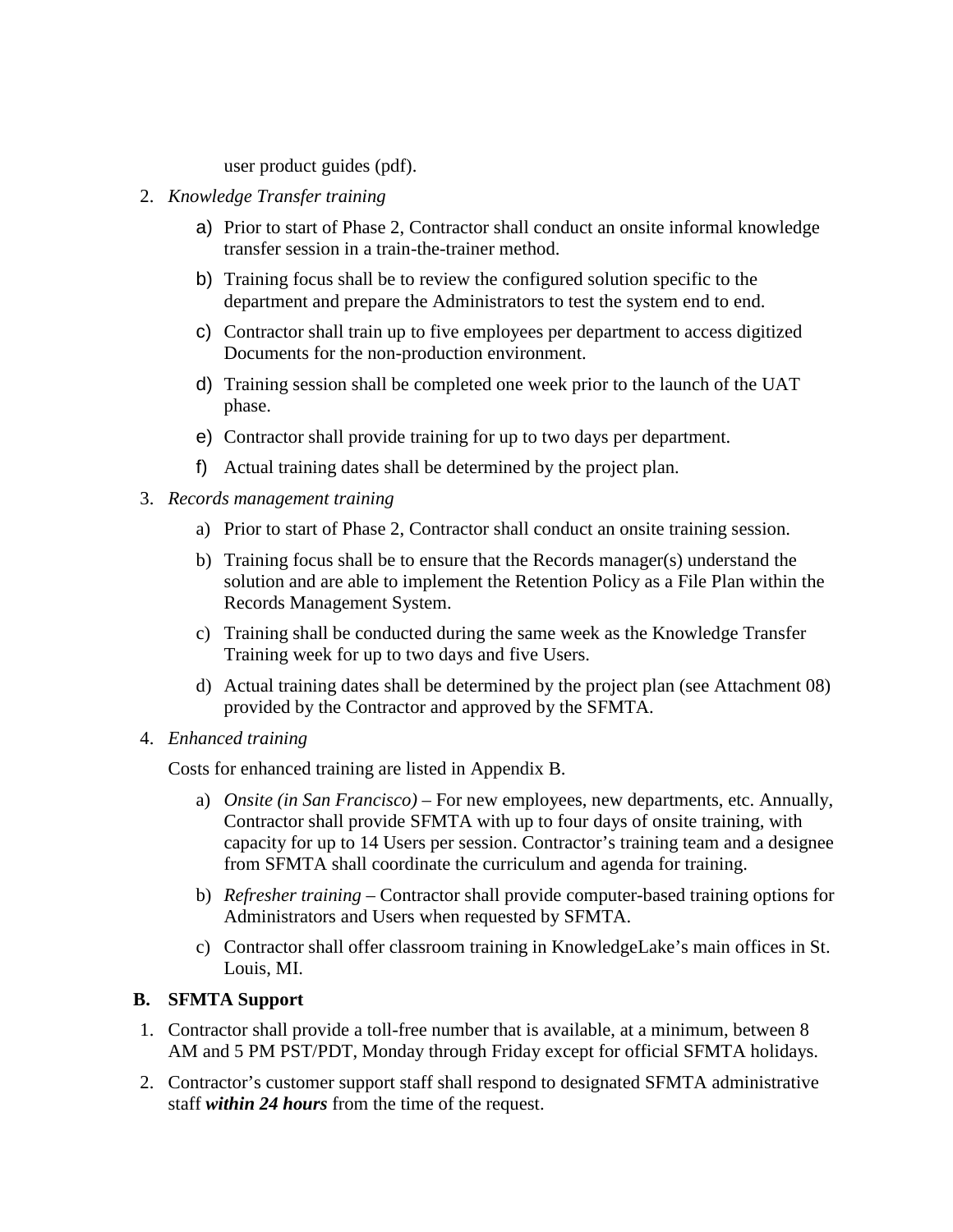#### user product guides (pdf).

- 2. *Knowledge Transfer training*
	- a) Prior to start of Phase 2, Contractor shall conduct an onsite informal knowledge transfer session in a train-the-trainer method.
	- b) Training focus shall be to review the configured solution specific to the department and prepare the Administrators to test the system end to end.
	- c) Contractor shall train up to five employees per department to access digitized Documents for the non-production environment.
	- d) Training session shall be completed one week prior to the launch of the UAT phase.
	- e) Contractor shall provide training for up to two days per department.
	- f) Actual training dates shall be determined by the project plan.
- 3. *Records management training*
	- a) Prior to start of Phase 2, Contractor shall conduct an onsite training session.
	- b) Training focus shall be to ensure that the Records manager(s) understand the solution and are able to implement the Retention Policy as a File Plan within the Records Management System.
	- c) Training shall be conducted during the same week as the Knowledge Transfer Training week for up to two days and five Users.
	- d) Actual training dates shall be determined by the project plan (see Attachment 08) provided by the Contractor and approved by the SFMTA.
- 4. *Enhanced training*

Costs for enhanced training are listed in Appendix B.

- a) *Onsite (in San Francisco)* For new employees, new departments, etc. Annually, Contractor shall provide SFMTA with up to four days of onsite training, with capacity for up to 14 Users per session. Contractor's training team and a designee from SFMTA shall coordinate the curriculum and agenda for training.
- b) *Refresher training* Contractor shall provide computer-based training options for Administrators and Users when requested by SFMTA.
- c) Contractor shall offer classroom training in KnowledgeLake's main offices in St. Louis, MI.

#### **B. SFMTA Support**

- 1. Contractor shall provide a toll-free number that is available, at a minimum, between 8 AM and 5 PM PST/PDT, Monday through Friday except for official SFMTA holidays.
- 2. Contractor's customer support staff shall respond to designated SFMTA administrative staff *within 24 hours* from the time of the request.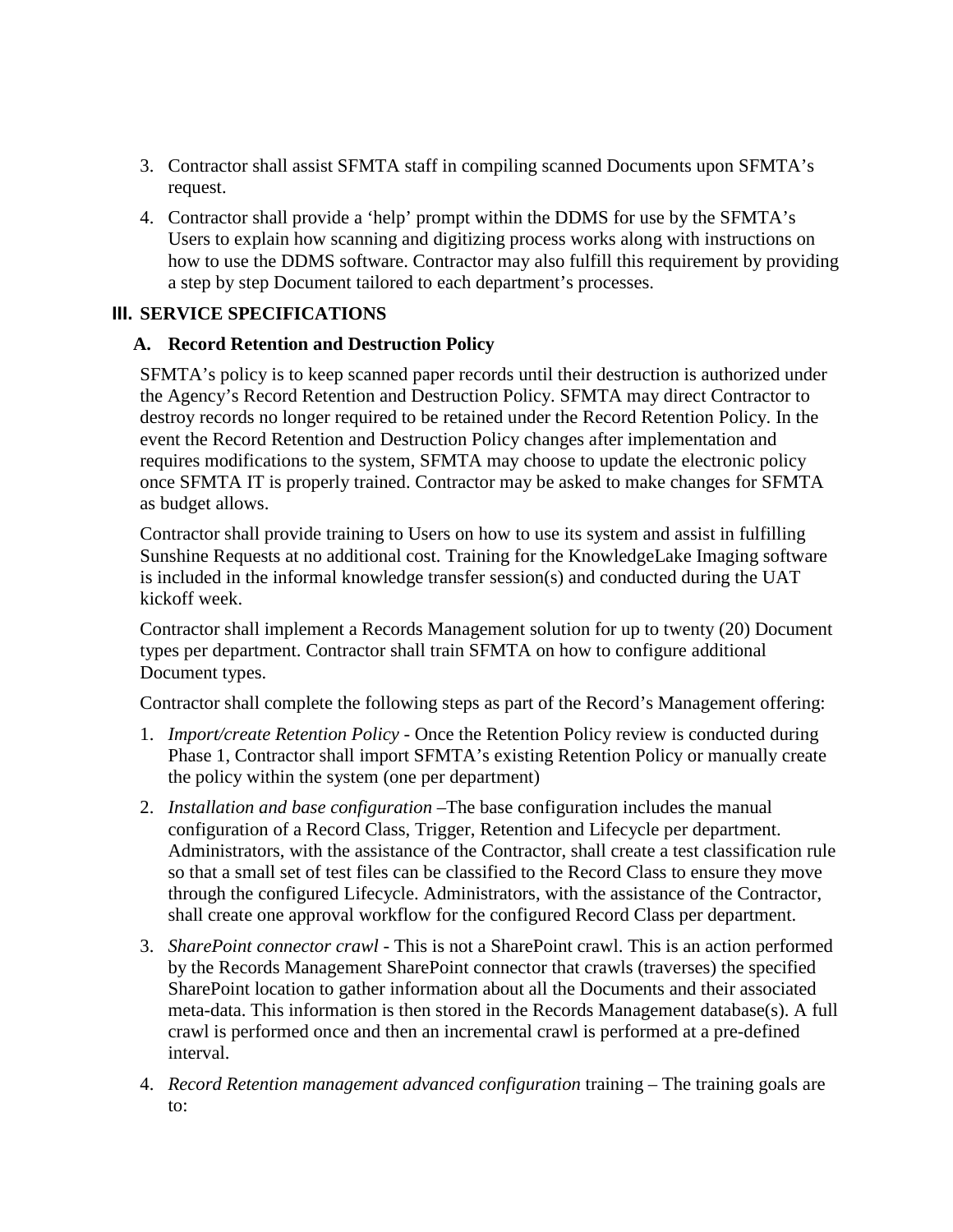- 3. Contractor shall assist SFMTA staff in compiling scanned Documents upon SFMTA's request.
- 4. Contractor shall provide a 'help' prompt within the DDMS for use by the SFMTA's Users to explain how scanning and digitizing process works along with instructions on how to use the DDMS software. Contractor may also fulfill this requirement by providing a step by step Document tailored to each department's processes.

#### **III. SERVICE SPECIFICATIONS**

#### **A. Record Retention and Destruction Policy**

SFMTA's policy is to keep scanned paper records until their destruction is authorized under the Agency's Record Retention and Destruction Policy. SFMTA may direct Contractor to destroy records no longer required to be retained under the Record Retention Policy. In the event the Record Retention and Destruction Policy changes after implementation and requires modifications to the system, SFMTA may choose to update the electronic policy once SFMTA IT is properly trained. Contractor may be asked to make changes for SFMTA as budget allows.

Contractor shall provide training to Users on how to use its system and assist in fulfilling Sunshine Requests at no additional cost. Training for the KnowledgeLake Imaging software is included in the informal knowledge transfer session(s) and conducted during the UAT kickoff week.

Contractor shall implement a Records Management solution for up to twenty (20) Document types per department. Contractor shall train SFMTA on how to configure additional Document types.

Contractor shall complete the following steps as part of the Record's Management offering:

- 1. *Import/create Retention Policy* Once the Retention Policy review is conducted during Phase 1, Contractor shall import SFMTA's existing Retention Policy or manually create the policy within the system (one per department)
- 2. *Installation and base configuration* –The base configuration includes the manual configuration of a Record Class, Trigger, Retention and Lifecycle per department. Administrators, with the assistance of the Contractor, shall create a test classification rule so that a small set of test files can be classified to the Record Class to ensure they move through the configured Lifecycle. Administrators, with the assistance of the Contractor, shall create one approval workflow for the configured Record Class per department.
- 3. *SharePoint connector crawl* This is not a SharePoint crawl. This is an action performed by the Records Management SharePoint connector that crawls (traverses) the specified SharePoint location to gather information about all the Documents and their associated meta-data. This information is then stored in the Records Management database(s). A full crawl is performed once and then an incremental crawl is performed at a pre-defined interval.
- 4. *Record Retention management advanced configuration* training The training goals are to: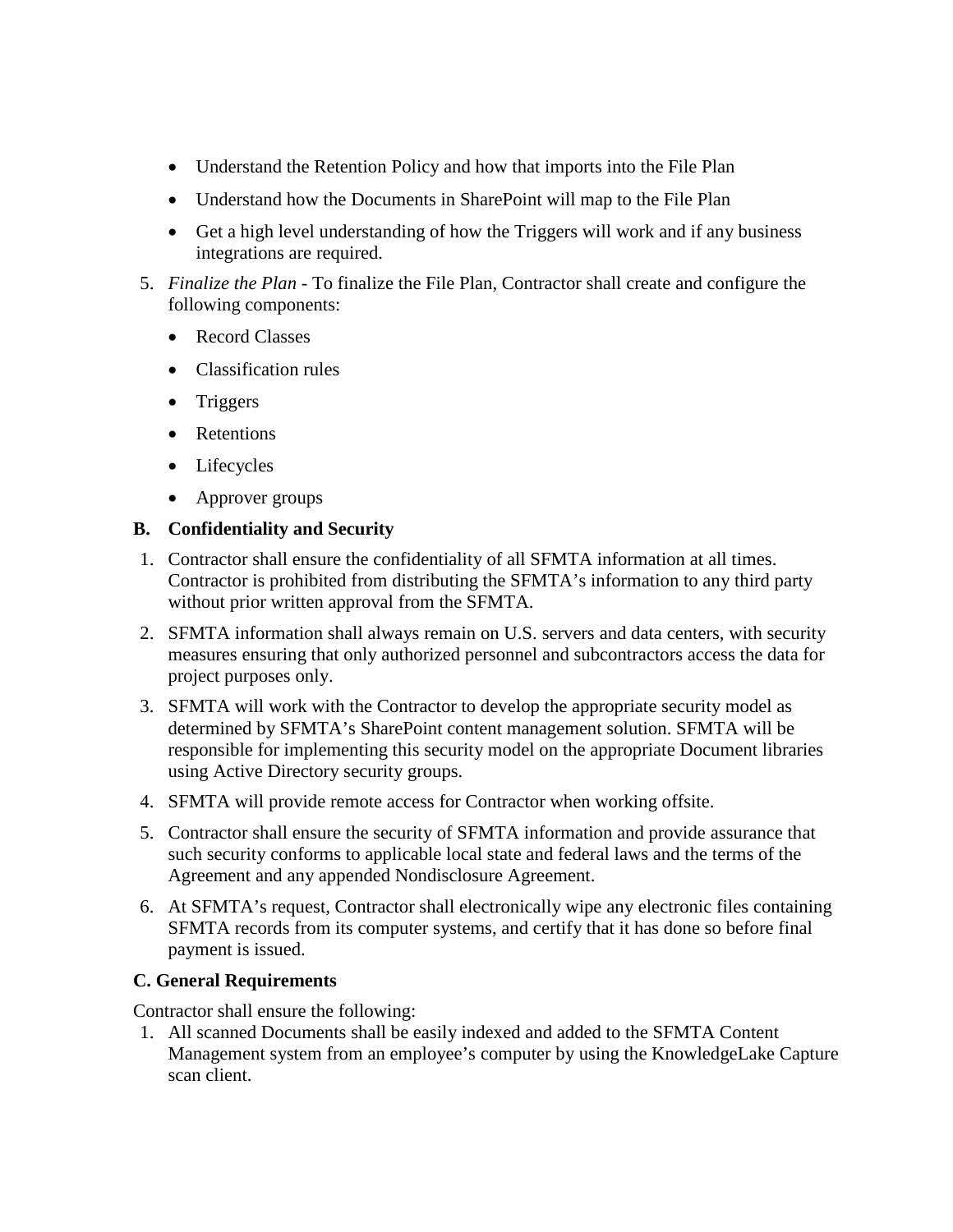- Understand the Retention Policy and how that imports into the File Plan
- Understand how the Documents in SharePoint will map to the File Plan
- Get a high level understanding of how the Triggers will work and if any business integrations are required.
- 5. *Finalize the Plan* To finalize the File Plan, Contractor shall create and configure the following components:
	- Record Classes
	- Classification rules
	- Triggers
	- Retentions
	- Lifecycles
	- Approver groups

#### **B. Confidentiality and Security**

- 1. Contractor shall ensure the confidentiality of all SFMTA information at all times. Contractor is prohibited from distributing the SFMTA's information to any third party without prior written approval from the SFMTA.
- 2. SFMTA information shall always remain on U.S. servers and data centers, with security measures ensuring that only authorized personnel and subcontractors access the data for project purposes only.
- 3. SFMTA will work with the Contractor to develop the appropriate security model as determined by SFMTA's SharePoint content management solution. SFMTA will be responsible for implementing this security model on the appropriate Document libraries using Active Directory security groups.
- 4. SFMTA will provide remote access for Contractor when working offsite.
- 5. Contractor shall ensure the security of SFMTA information and provide assurance that such security conforms to applicable local state and federal laws and the terms of the Agreement and any appended Nondisclosure Agreement.
- 6. At SFMTA's request, Contractor shall electronically wipe any electronic files containing SFMTA records from its computer systems, and certify that it has done so before final payment is issued.

## **C. General Requirements**

Contractor shall ensure the following:

1. All scanned Documents shall be easily indexed and added to the SFMTA Content Management system from an employee's computer by using the KnowledgeLake Capture scan client.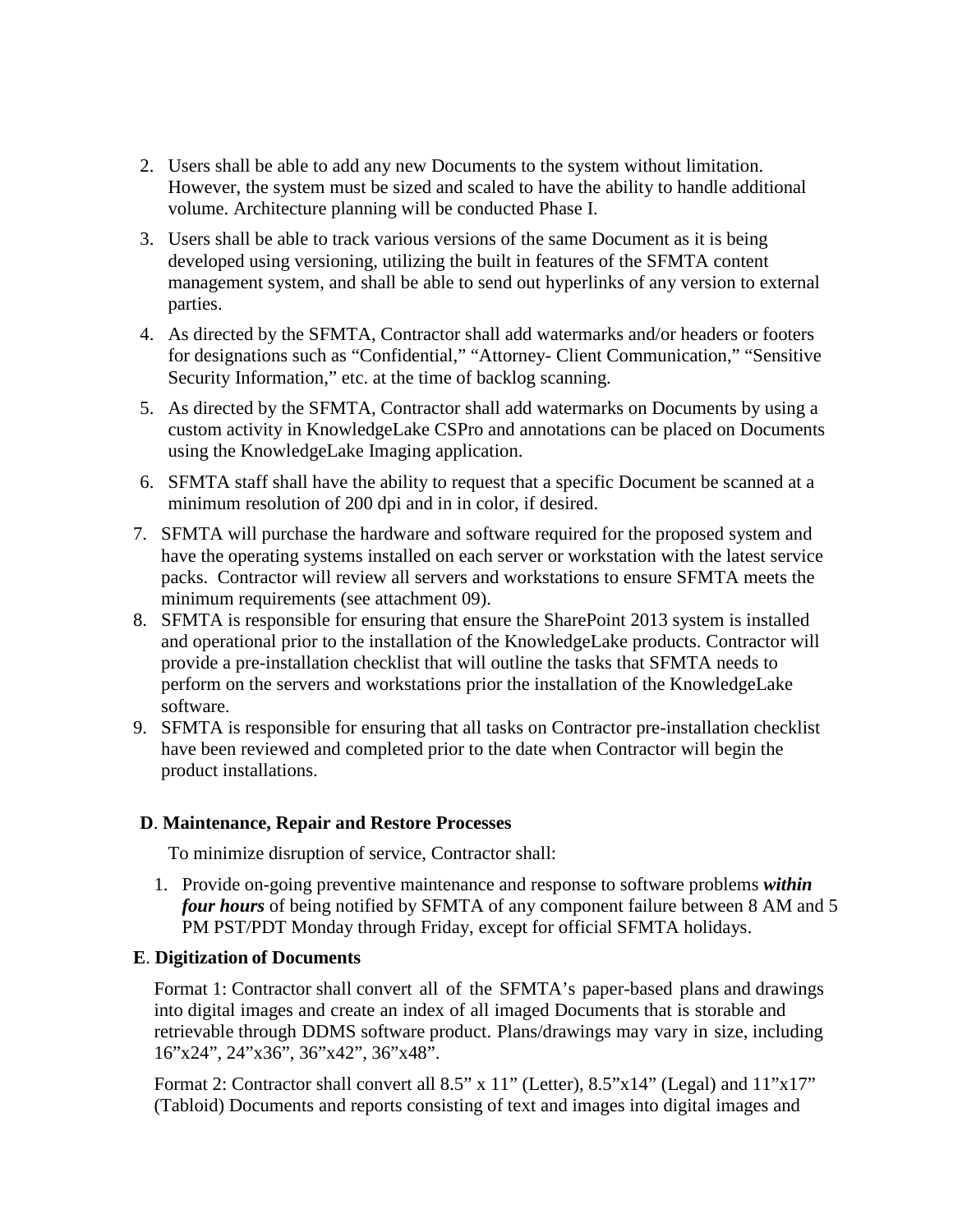- 2. Users shall be able to add any new Documents to the system without limitation. However, the system must be sized and scaled to have the ability to handle additional volume. Architecture planning will be conducted Phase I.
- 3. Users shall be able to track various versions of the same Document as it is being developed using versioning, utilizing the built in features of the SFMTA content management system, and shall be able to send out hyperlinks of any version to external parties.
- 4. As directed by the SFMTA, Contractor shall add watermarks and/or headers or footers for designations such as "Confidential," "Attorney- Client Communication," "Sensitive Security Information," etc. at the time of backlog scanning.
- 5. As directed by the SFMTA, Contractor shall add watermarks on Documents by using a custom activity in KnowledgeLake CSPro and annotations can be placed on Documents using the KnowledgeLake Imaging application.
- 6. SFMTA staff shall have the ability to request that a specific Document be scanned at a minimum resolution of 200 dpi and in in color, if desired.
- 7. SFMTA will purchase the hardware and software required for the proposed system and have the operating systems installed on each server or workstation with the latest service packs. Contractor will review all servers and workstations to ensure SFMTA meets the minimum requirements (see attachment 09).
- 8. SFMTA is responsible for ensuring that ensure the SharePoint 2013 system is installed and operational prior to the installation of the KnowledgeLake products. Contractor will provide a pre-installation checklist that will outline the tasks that SFMTA needs to perform on the servers and workstations prior the installation of the KnowledgeLake software.
- 9. SFMTA is responsible for ensuring that all tasks on Contractor pre-installation checklist have been reviewed and completed prior to the date when Contractor will begin the product installations.

#### **D**. **Maintenance, Repair and Restore Processes**

To minimize disruption of service, Contractor shall:

1. Provide on-going preventive maintenance and response to software problems *within four hours* of being notified by SFMTA of any component failure between 8 AM and 5 PM PST/PDT Monday through Friday, except for official SFMTA holidays.

#### **E**. **Digitization of Documents**

Format 1: Contractor shall convert all of the SFMTA's paper-based plans and drawings into digital images and create an index of all imaged Documents that is storable and retrievable through DDMS software product. Plans/drawings may vary in size, including 16"x24", 24"x36", 36"x42", 36"x48".

Format 2: Contractor shall convert all 8.5" x 11" (Letter), 8.5"x14" (Legal) and 11"x17" (Tabloid) Documents and reports consisting of text and images into digital images and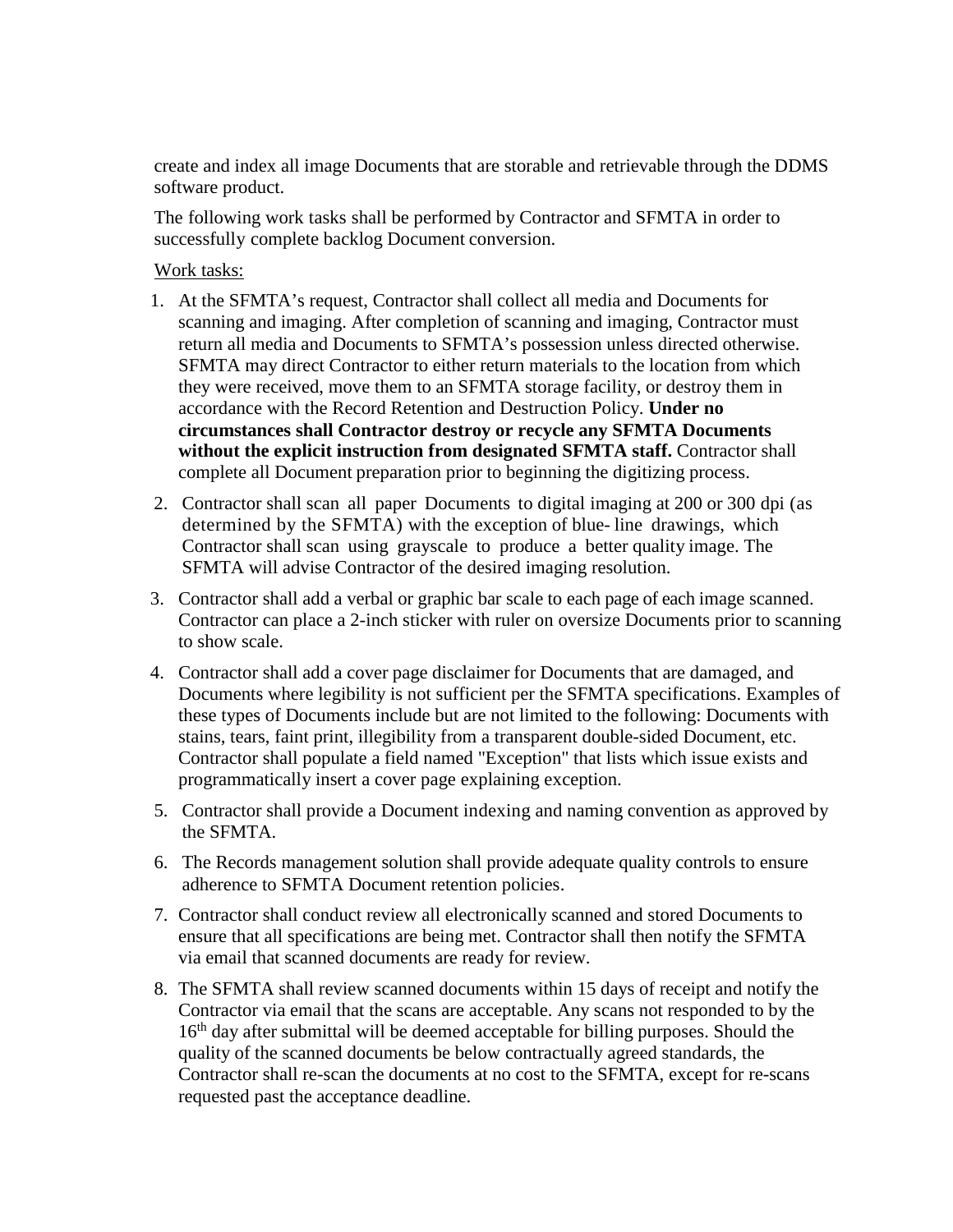create and index all image Documents that are storable and retrievable through the DDMS software product.

The following work tasks shall be performed by Contractor and SFMTA in order to successfully complete backlog Document conversion.

#### Work tasks:

- 1. At the SFMTA's request, Contractor shall collect all media and Documents for scanning and imaging. After completion of scanning and imaging, Contractor must return all media and Documents to SFMTA's possession unless directed otherwise. SFMTA may direct Contractor to either return materials to the location from which they were received, move them to an SFMTA storage facility, or destroy them in accordance with the Record Retention and Destruction Policy. **Under no circumstances shall Contractor destroy or recycle any SFMTA Documents without the explicit instruction from designated SFMTA staff.** Contractor shall complete all Document preparation prior to beginning the digitizing process.
- 2. Contractor shall scan all paper Documents to digital imaging at 200 or 300 dpi (as determined by the SFMTA) with the exception of blue- line drawings, which Contractor shall scan using grayscale to produce a better quality image. The SFMTA will advise Contractor of the desired imaging resolution.
- 3. Contractor shall add a verbal or graphic bar scale to each page of each image scanned. Contractor can place a 2-inch sticker with ruler on oversize Documents prior to scanning to show scale.
- 4. Contractor shall add a cover page disclaimer for Documents that are damaged, and Documents where legibility is not sufficient per the SFMTA specifications. Examples of these types of Documents include but are not limited to the following: Documents with stains, tears, faint print, illegibility from a transparent double-sided Document, etc. Contractor shall populate a field named "Exception" that lists which issue exists and programmatically insert a cover page explaining exception.
- 5. Contractor shall provide a Document indexing and naming convention as approved by the SFMTA.
- 6. The Records management solution shall provide adequate quality controls to ensure adherence to SFMTA Document retention policies.
- 7. Contractor shall conduct review all electronically scanned and stored Documents to ensure that all specifications are being met. Contractor shall then notify the SFMTA via email that scanned documents are ready for review.
- 8. The SFMTA shall review scanned documents within 15 days of receipt and notify the Contractor via email that the scans are acceptable. Any scans not responded to by the 16<sup>th</sup> day after submittal will be deemed acceptable for billing purposes. Should the quality of the scanned documents be below contractually agreed standards, the Contractor shall re-scan the documents at no cost to the SFMTA, except for re-scans requested past the acceptance deadline.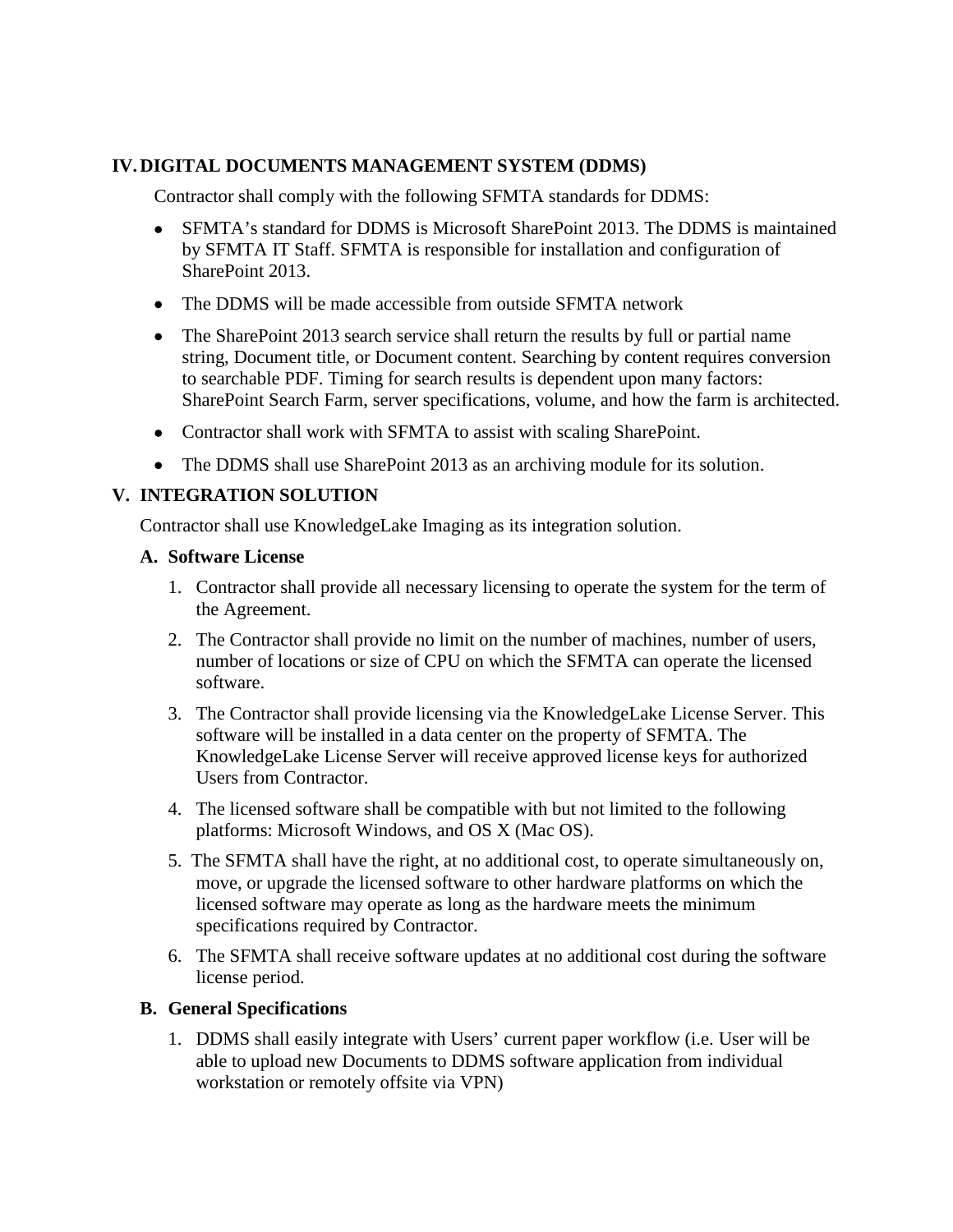## **IV.DIGITAL DOCUMENTS MANAGEMENT SYSTEM (DDMS)**

Contractor shall comply with the following SFMTA standards for DDMS:

- SFMTA's standard for DDMS is Microsoft SharePoint 2013. The DDMS is maintained by SFMTA IT Staff. SFMTA is responsible for installation and configuration of SharePoint 2013.
- The DDMS will be made accessible from outside SFMTA network
- The SharePoint 2013 search service shall return the results by full or partial name string, Document title, or Document content. Searching by content requires conversion to searchable PDF. Timing for search results is dependent upon many factors: SharePoint Search Farm, server specifications, volume, and how the farm is architected.
- Contractor shall work with SFMTA to assist with scaling SharePoint.
- The DDMS shall use SharePoint 2013 as an archiving module for its solution.

## **V. INTEGRATION SOLUTION**

Contractor shall use KnowledgeLake Imaging as its integration solution.

#### **A. Software License**

- 1. Contractor shall provide all necessary licensing to operate the system for the term of the Agreement.
- 2. The Contractor shall provide no limit on the number of machines, number of users, number of locations or size of CPU on which the SFMTA can operate the licensed software.
- 3. The Contractor shall provide licensing via the KnowledgeLake License Server. This software will be installed in a data center on the property of SFMTA. The KnowledgeLake License Server will receive approved license keys for authorized Users from Contractor.
- 4. The licensed software shall be compatible with but not limited to the following platforms: Microsoft Windows, and OS X (Mac OS).
- 5. The SFMTA shall have the right, at no additional cost, to operate simultaneously on, move, or upgrade the licensed software to other hardware platforms on which the licensed software may operate as long as the hardware meets the minimum specifications required by Contractor.
- 6. The SFMTA shall receive software updates at no additional cost during the software license period.

## **B. General Specifications**

1. DDMS shall easily integrate with Users' current paper workflow (i.e. User will be able to upload new Documents to DDMS software application from individual workstation or remotely offsite via VPN)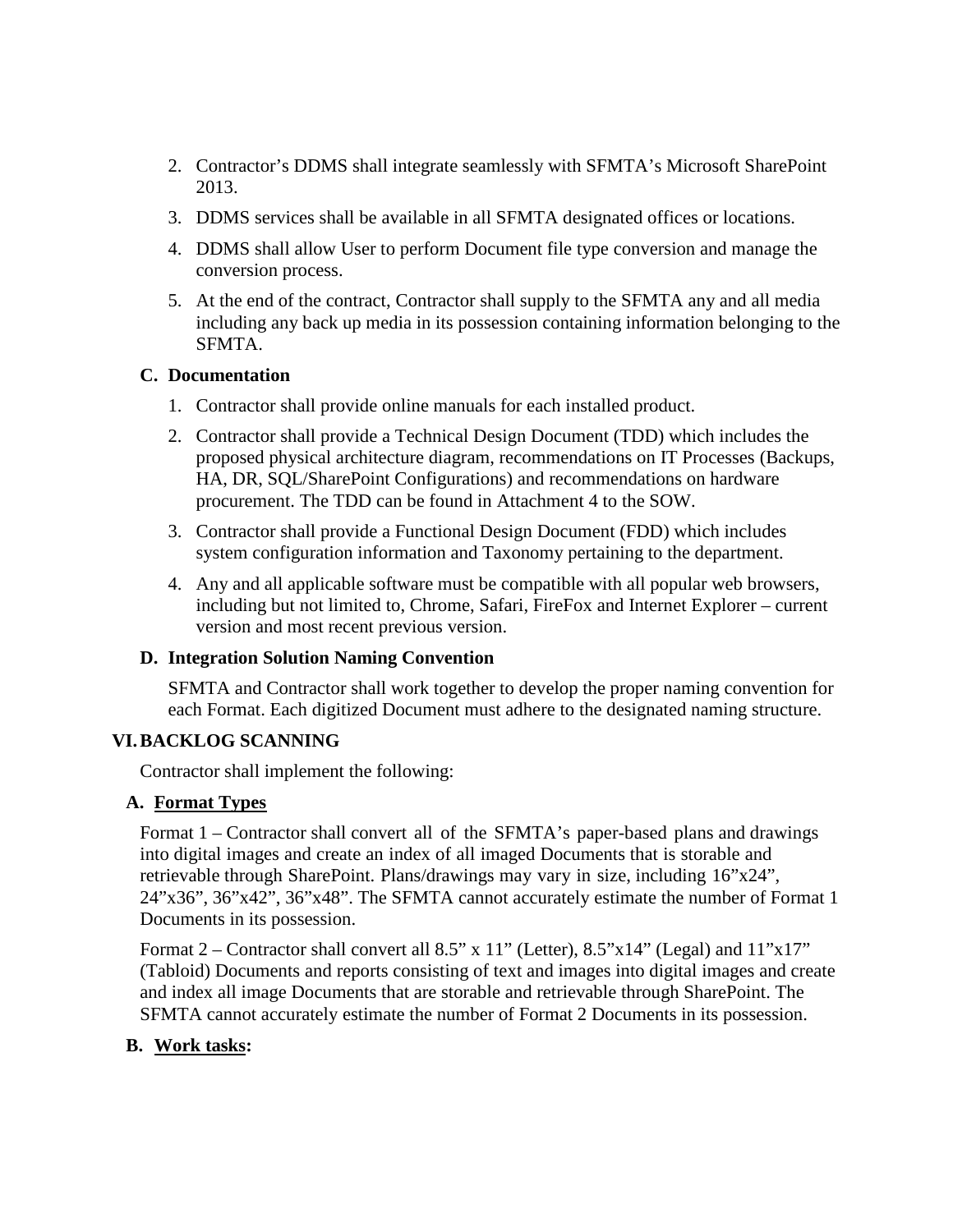- 2. Contractor's DDMS shall integrate seamlessly with SFMTA's Microsoft SharePoint 2013.
- 3. DDMS services shall be available in all SFMTA designated offices or locations.
- 4. DDMS shall allow User to perform Document file type conversion and manage the conversion process.
- 5. At the end of the contract, Contractor shall supply to the SFMTA any and all media including any back up media in its possession containing information belonging to the SFMTA.

#### **C. Documentation**

- 1. Contractor shall provide online manuals for each installed product.
- 2. Contractor shall provide a Technical Design Document (TDD) which includes the proposed physical architecture diagram, recommendations on IT Processes (Backups, HA, DR, SQL/SharePoint Configurations) and recommendations on hardware procurement. The TDD can be found in Attachment 4 to the SOW.
- 3. Contractor shall provide a Functional Design Document (FDD) which includes system configuration information and Taxonomy pertaining to the department.
- 4. Any and all applicable software must be compatible with all popular web browsers, including but not limited to, Chrome, Safari, FireFox and Internet Explorer – current version and most recent previous version.

#### **D. Integration Solution Naming Convention**

SFMTA and Contractor shall work together to develop the proper naming convention for each Format. Each digitized Document must adhere to the designated naming structure.

#### **VI.BACKLOG SCANNING**

Contractor shall implement the following:

#### **A. Format Types**

Format 1 – Contractor shall convert all of the SFMTA's paper-based plans and drawings into digital images and create an index of all imaged Documents that is storable and retrievable through SharePoint. Plans/drawings may vary in size, including 16"x24", 24"x36", 36"x42", 36"x48". The SFMTA cannot accurately estimate the number of Format 1 Documents in its possession.

Format  $2$  – Contractor shall convert all 8.5" x 11" (Letter), 8.5"x14" (Legal) and  $11"x17"$ (Tabloid) Documents and reports consisting of text and images into digital images and create and index all image Documents that are storable and retrievable through SharePoint. The SFMTA cannot accurately estimate the number of Format 2 Documents in its possession.

#### **B. Work tasks:**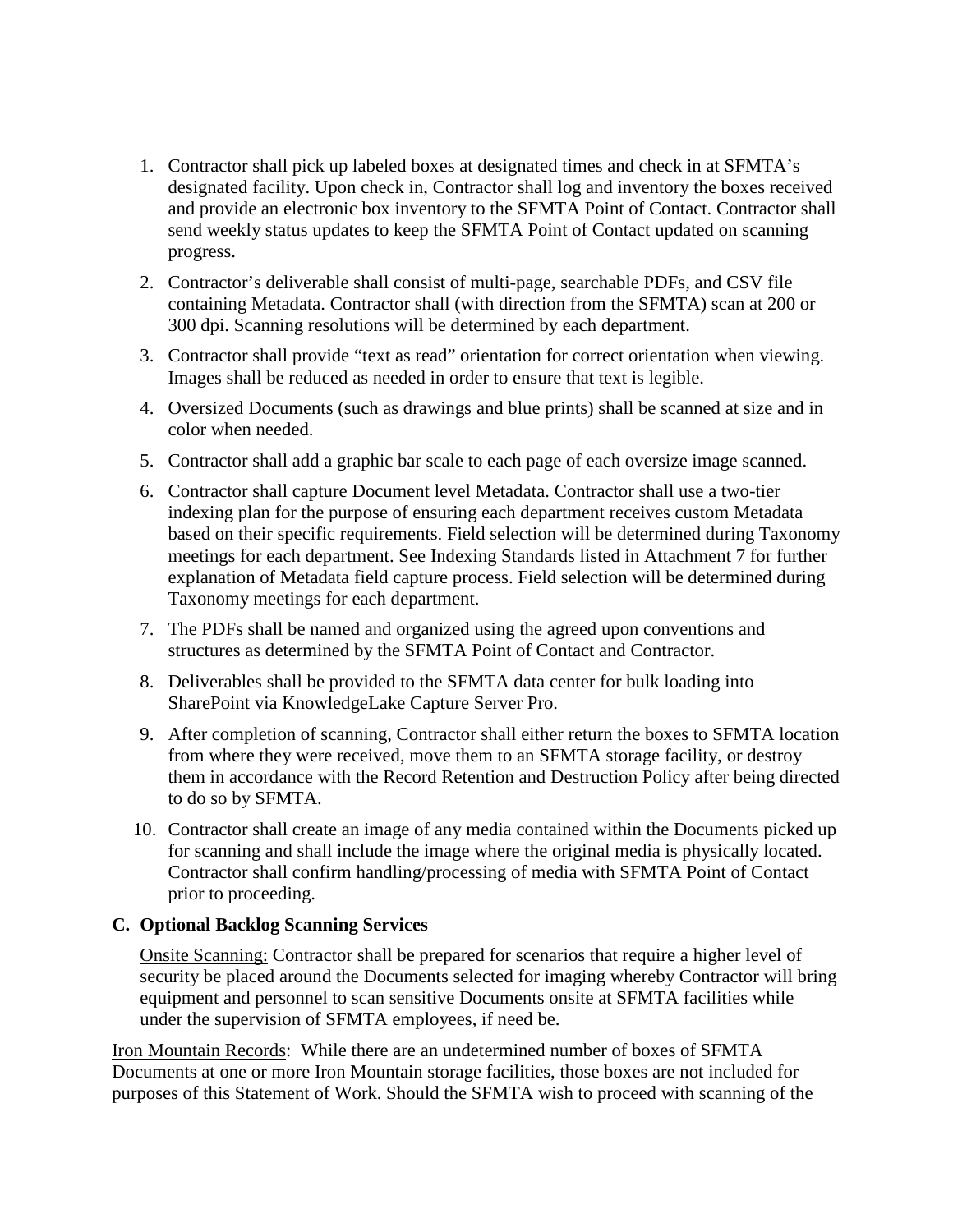- 1. Contractor shall pick up labeled boxes at designated times and check in at SFMTA's designated facility. Upon check in, Contractor shall log and inventory the boxes received and provide an electronic box inventory to the SFMTA Point of Contact. Contractor shall send weekly status updates to keep the SFMTA Point of Contact updated on scanning progress.
- 2. Contractor's deliverable shall consist of multi-page, searchable PDFs, and CSV file containing Metadata. Contractor shall (with direction from the SFMTA) scan at 200 or 300 dpi. Scanning resolutions will be determined by each department.
- 3. Contractor shall provide "text as read" orientation for correct orientation when viewing. Images shall be reduced as needed in order to ensure that text is legible.
- 4. Oversized Documents (such as drawings and blue prints) shall be scanned at size and in color when needed.
- 5. Contractor shall add a graphic bar scale to each page of each oversize image scanned.
- 6. Contractor shall capture Document level Metadata. Contractor shall use a two-tier indexing plan for the purpose of ensuring each department receives custom Metadata based on their specific requirements. Field selection will be determined during Taxonomy meetings for each department. See Indexing Standards listed in Attachment 7 for further explanation of Metadata field capture process. Field selection will be determined during Taxonomy meetings for each department.
- 7. The PDFs shall be named and organized using the agreed upon conventions and structures as determined by the SFMTA Point of Contact and Contractor.
- 8. Deliverables shall be provided to the SFMTA data center for bulk loading into SharePoint via KnowledgeLake Capture Server Pro.
- 9. After completion of scanning, Contractor shall either return the boxes to SFMTA location from where they were received, move them to an SFMTA storage facility, or destroy them in accordance with the Record Retention and Destruction Policy after being directed to do so by SFMTA.
- 10. Contractor shall create an image of any media contained within the Documents picked up for scanning and shall include the image where the original media is physically located. Contractor shall confirm handling/processing of media with SFMTA Point of Contact prior to proceeding.

#### **C. Optional Backlog Scanning Services**

Onsite Scanning: Contractor shall be prepared for scenarios that require a higher level of security be placed around the Documents selected for imaging whereby Contractor will bring equipment and personnel to scan sensitive Documents onsite at SFMTA facilities while under the supervision of SFMTA employees, if need be.

Iron Mountain Records: While there are an undetermined number of boxes of SFMTA Documents at one or more Iron Mountain storage facilities, those boxes are not included for purposes of this Statement of Work. Should the SFMTA wish to proceed with scanning of the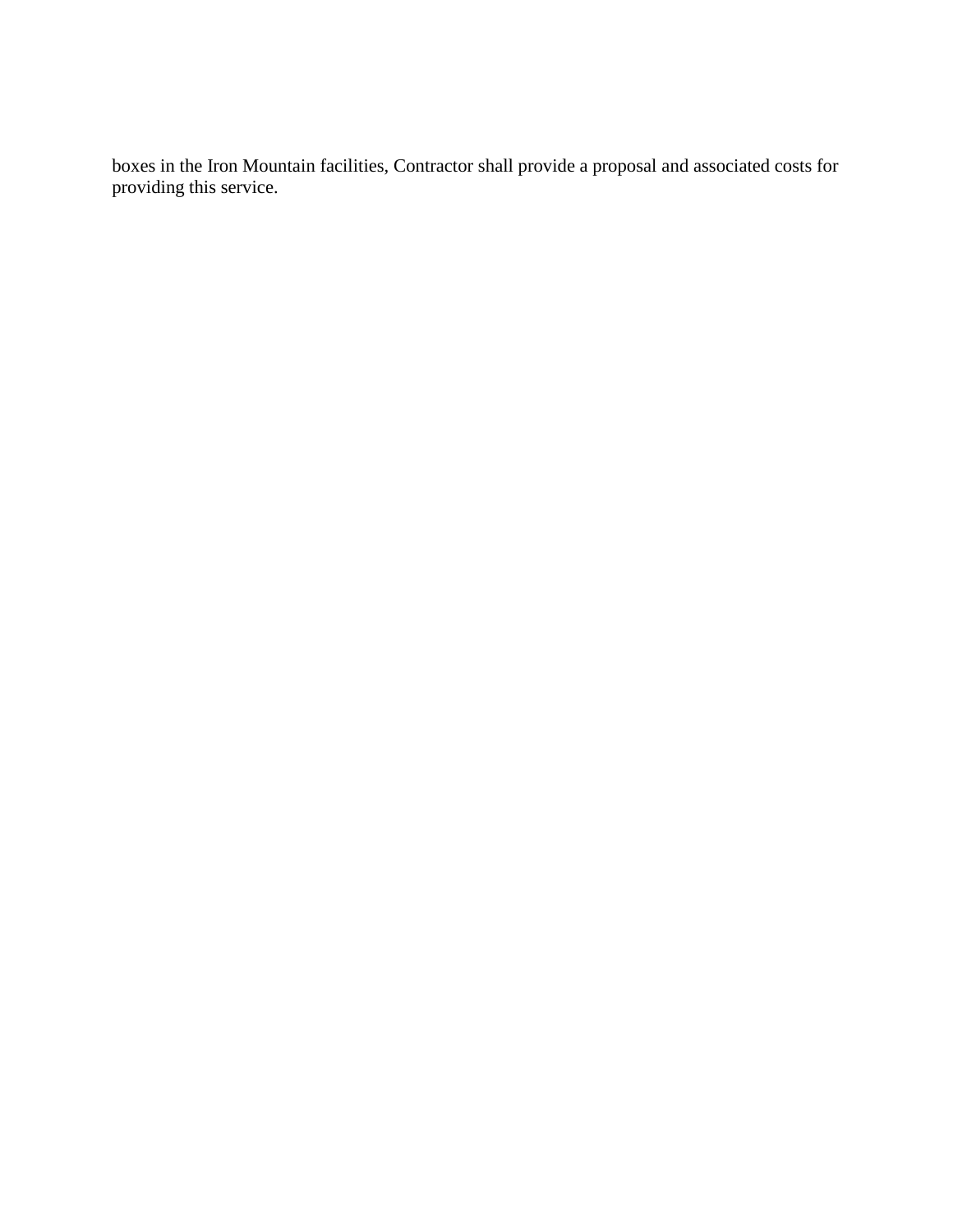boxes in the Iron Mountain facilities, Contractor shall provide a proposal and associated costs for providing this service.